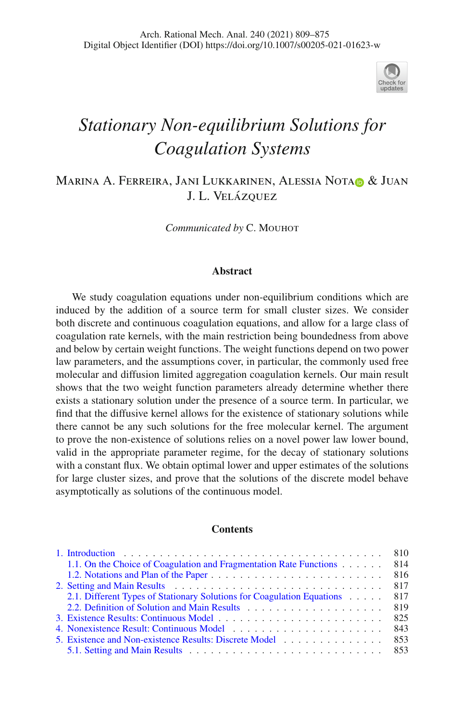

# *Stationary Non-equilibrium Solutions for Coagulation Systems*

M[a](http://orcid.org/0000-0002-1259-4761)rina A. Ferreira, Jani Lukkarinen, Alessia Notao & Juan J. L. Velázquez

Communicated by C. MOUHOT

#### **Abstract**

We study coagulation equations under non-equilibrium conditions which are induced by the addition of a source term for small cluster sizes. We consider both discrete and continuous coagulation equations, and allow for a large class of coagulation rate kernels, with the main restriction being boundedness from above and below by certain weight functions. The weight functions depend on two power law parameters, and the assumptions cover, in particular, the commonly used free molecular and diffusion limited aggregation coagulation kernels. Our main result shows that the two weight function parameters already determine whether there exists a stationary solution under the presence of a source term. In particular, we find that the diffusive kernel allows for the existence of stationary solutions while there cannot be any such solutions for the free molecular kernel. The argument to prove the non-existence of solutions relies on a novel power law lower bound, valid in the appropriate parameter regime, for the decay of stationary solutions with a constant flux. We obtain optimal lower and upper estimates of the solutions for large cluster sizes, and prove that the solutions of the discrete model behave asymptotically as solutions of the continuous model.

#### **Contents**

|                                                                        | 810 |
|------------------------------------------------------------------------|-----|
| 1.1. On the Choice of Coagulation and Fragmentation Rate Functions     | 814 |
|                                                                        | 816 |
|                                                                        | 817 |
| 2.1. Different Types of Stationary Solutions for Coagulation Equations | 817 |
|                                                                        | 819 |
|                                                                        | 825 |
|                                                                        | 843 |
|                                                                        | 853 |
|                                                                        |     |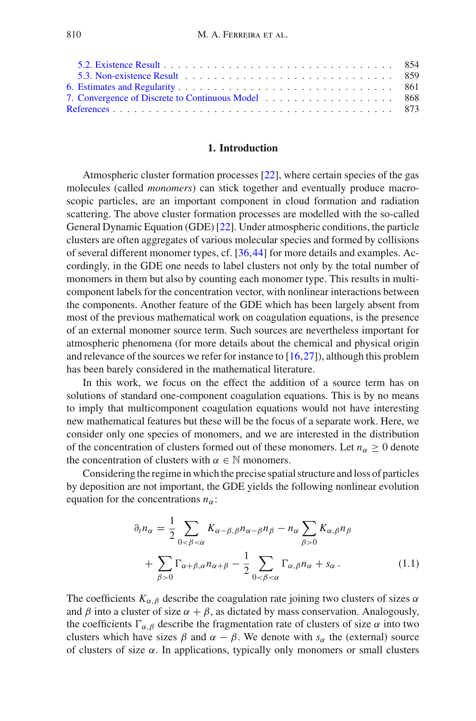# **1. Introduction**

<span id="page-1-0"></span>Atmospheric cluster formation processes [\[22](#page-65-0)], where certain species of the gas molecules (called *monomers*) can stick together and eventually produce macroscopic particles, are an important component in cloud formation and radiation scattering. The above cluster formation processes are modelled with the so-called General Dynamic Equation (GDE) [\[22\]](#page-65-0). Under atmospheric conditions, the particle clusters are often aggregates of various molecular species and formed by collisions of several different monomer types, cf. [\[36](#page-65-1)[,44](#page-66-0)] for more details and examples. Accordingly, in the GDE one needs to label clusters not only by the total number of monomers in them but also by counting each monomer type. This results in multicomponent labels for the concentration vector, with nonlinear interactions between the components. Another feature of the GDE which has been largely absent from most of the previous mathematical work on coagulation equations, is the presence of an external monomer source term. Such sources are nevertheless important for atmospheric phenomena (for more details about the chemical and physical origin and relevance of the sources we refer for instance to  $(16,27)$  $(16,27)$  $(16,27)$ , although this problem has been barely considered in the mathematical literature.

In this work, we focus on the effect the addition of a source term has on solutions of standard one-component coagulation equations. This is by no means to imply that multicomponent coagulation equations would not have interesting new mathematical features but these will be the focus of a separate work. Here, we consider only one species of monomers, and we are interested in the distribution of the concentration of clusters formed out of these monomers. Let  $n_{\alpha} > 0$  denote the concentration of clusters with  $\alpha \in \mathbb{N}$  monomers.

Considering the regime in which the precise spatial structure and loss of particles by deposition are not important, the GDE yields the following nonlinear evolution equation for the concentrations  $n_{\alpha}$ :

<span id="page-1-1"></span>
$$
\partial_t n_{\alpha} = \frac{1}{2} \sum_{0 < \beta < \alpha} K_{\alpha - \beta, \beta} n_{\alpha - \beta} n_{\beta} - n_{\alpha} \sum_{\beta > 0} K_{\alpha, \beta} n_{\beta} \\
+ \sum_{\beta > 0} \Gamma_{\alpha + \beta, \alpha} n_{\alpha + \beta} - \frac{1}{2} \sum_{0 < \beta < \alpha} \Gamma_{\alpha, \beta} n_{\alpha} + s_{\alpha} \,. \tag{1.1}
$$

The coefficients  $K_{\alpha,\beta}$  describe the coagulation rate joining two clusters of sizes  $\alpha$ and  $\beta$  into a cluster of size  $\alpha + \beta$ , as dictated by mass conservation. Analogously, the coefficients  $\Gamma_{\alpha,\beta}$  describe the fragmentation rate of clusters of size  $\alpha$  into two clusters which have sizes  $\beta$  and  $\alpha - \beta$ . We denote with  $s_{\alpha}$  the (external) source of clusters of size  $\alpha$ . In applications, typically only monomers or small clusters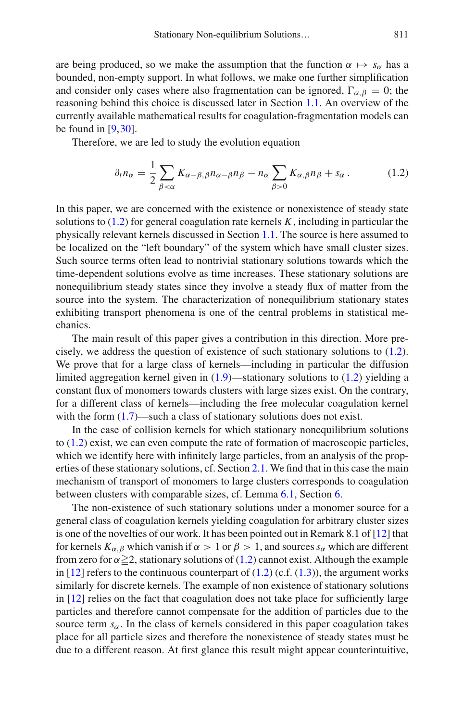are being produced, so we make the assumption that the function  $\alpha \mapsto s_\alpha$  has a bounded, non-empty support. In what follows, we make one further simplification and consider only cases where also fragmentation can be ignored,  $\Gamma_{\alpha,\beta} = 0$ ; the reasoning behind this choice is discussed later in Section [1.1.](#page-5-0) An overview of the currently available mathematical results for coagulation-fragmentation models can be found in [\[9](#page-64-2)[,30\]](#page-65-3).

Therefore, we are led to study the evolution equation

<span id="page-2-0"></span>
$$
\partial_t n_\alpha = \frac{1}{2} \sum_{\beta < \alpha} K_{\alpha - \beta, \beta} n_{\alpha - \beta} n_\beta - n_\alpha \sum_{\beta > 0} K_{\alpha, \beta} n_\beta + s_\alpha. \tag{1.2}
$$

In this paper, we are concerned with the existence or nonexistence of steady state solutions to [\(1.2\)](#page-2-0) for general coagulation rate kernels *K*, including in particular the physically relevant kernels discussed in Section [1.1.](#page-5-0) The source is here assumed to be localized on the "left boundary" of the system which have small cluster sizes. Such source terms often lead to nontrivial stationary solutions towards which the time-dependent solutions evolve as time increases. These stationary solutions are nonequilibrium steady states since they involve a steady flux of matter from the source into the system. The characterization of nonequilibrium stationary states exhibiting transport phenomena is one of the central problems in statistical mechanics.

The main result of this paper gives a contribution in this direction. More precisely, we address the question of existence of such stationary solutions to [\(1.2\)](#page-2-0). We prove that for a large class of kernels—including in particular the diffusion limited aggregation kernel given in [\(1.9\)](#page-6-0)—stationary solutions to [\(1.2\)](#page-2-0) yielding a constant flux of monomers towards clusters with large sizes exist. On the contrary, for a different class of kernels—including the free molecular coagulation kernel with the form  $(1.7)$ —such a class of stationary solutions does not exist.

In the case of collision kernels for which stationary nonequilibrium solutions to [\(1.2\)](#page-2-0) exist, we can even compute the rate of formation of macroscopic particles, which we identify here with infinitely large particles, from an analysis of the properties of these stationary solutions, cf. Section [2.1.](#page-8-1) We find that in this case the main mechanism of transport of monomers to large clusters corresponds to coagulation between clusters with comparable sizes, cf. Lemma [6.1,](#page-52-1) Section [6.](#page-52-0)

The non-existence of such stationary solutions under a monomer source for a general class of coagulation kernels yielding coagulation for arbitrary cluster sizes is one of the novelties of our work. It has been pointed out in Remark 8.1 of [\[12](#page-64-3)] that for kernels  $K_{\alpha,\beta}$  which vanish if  $\alpha > 1$  or  $\beta > 1$ , and sources  $s_{\alpha}$  which are different from zero for  $\alpha \geq 2$ , stationary solutions of [\(1.2\)](#page-2-0) cannot exist. Although the example in [\[12\]](#page-64-3) refers to the continuous counterpart of  $(1.2)$  (c.f.  $(1.3)$ ), the argument works similarly for discrete kernels. The example of non existence of stationary solutions in [\[12](#page-64-3)] relies on the fact that coagulation does not take place for sufficiently large particles and therefore cannot compensate for the addition of particles due to the source term  $s_{\alpha}$ . In the class of kernels considered in this paper coagulation takes place for all particle sizes and therefore the nonexistence of steady states must be due to a different reason. At first glance this result might appear counterintuitive,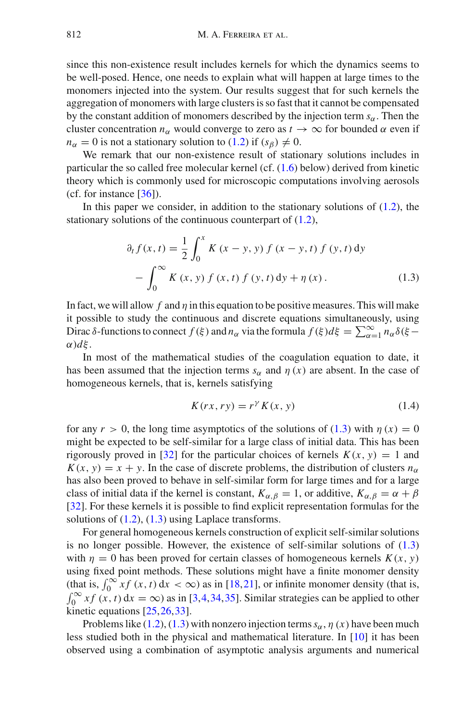since this non-existence result includes kernels for which the dynamics seems to be well-posed. Hence, one needs to explain what will happen at large times to the monomers injected into the system. Our results suggest that for such kernels the aggregation of monomers with large clusters is so fast that it cannot be compensated by the constant addition of monomers described by the injection term  $s_\alpha$ . Then the cluster concentration  $n_{\alpha}$  would converge to zero as  $t \to \infty$  for bounded  $\alpha$  even if  $n_{\alpha} = 0$  is not a stationary solution to [\(1.2\)](#page-2-0) if  $(s_{\beta}) \neq 0$ .

We remark that our non-existence result of stationary solutions includes in particular the so called free molecular kernel (cf. [\(1.6\)](#page-5-2) below) derived from kinetic theory which is commonly used for microscopic computations involving aerosols (cf. for instance  $[36]$  $[36]$ ).

In this paper we consider, in addition to the stationary solutions of  $(1.2)$ , the stationary solutions of the continuous counterpart of [\(1.2\)](#page-2-0),

<span id="page-3-0"></span>
$$
\partial_t f(x, t) = \frac{1}{2} \int_0^x K(x - y, y) f(x - y, t) f(y, t) dy \n- \int_0^\infty K(x, y) f(x, t) f(y, t) dy + \eta(x).
$$
\n(1.3)

In fact, we will allow  $f$  and  $\eta$  in this equation to be positive measures. This will make it possible to study the continuous and discrete equations simultaneously, using Dirac  $\delta$ -functions to connect  $f(\xi)$  and  $n_\alpha$  via the formula  $f(\xi)d\xi = \sum_{\alpha=1}^{\infty} n_\alpha \delta(\xi-\xi)$ α)*d*ξ .

In most of the mathematical studies of the coagulation equation to date, it has been assumed that the injection terms  $s_\alpha$  and  $\eta(x)$  are absent. In the case of homogeneous kernels, that is, kernels satisfying

<span id="page-3-1"></span>
$$
K(rx, ry) = r^{\gamma} K(x, y) \tag{1.4}
$$

for any  $r > 0$ , the long time asymptotics of the solutions of [\(1.3\)](#page-3-0) with  $\eta(x) = 0$ might be expected to be self-similar for a large class of initial data. This has been rigorously proved in [\[32\]](#page-65-4) for the particular choices of kernels  $K(x, y) = 1$  and  $K(x, y) = x + y$ . In the case of discrete problems, the distribution of clusters  $n_{\alpha}$ has also been proved to behave in self-similar form for large times and for a large class of initial data if the kernel is constant,  $K_{\alpha,\beta} = 1$ , or additive,  $K_{\alpha,\beta} = \alpha + \beta$ [\[32\]](#page-65-4). For these kernels it is possible to find explicit representation formulas for the solutions of  $(1.2)$ ,  $(1.3)$  using Laplace transforms.

For general homogeneous kernels construction of explicit self-similar solutions is no longer possible. However, the existence of self-similar solutions of  $(1.3)$ with  $\eta = 0$  has been proved for certain classes of homogeneous kernels  $K(x, y)$ using fixed point methods. These solutions might have a finite monomer density (that is,  $\int_0^\infty x f(x, t) dx < \infty$ ) as in [\[18,](#page-64-4)[21\]](#page-65-5), or infinite monomer density (that is,  $\int_0^\infty x f(x, t) dx = \infty$ ) as in [\[3](#page-64-5)[,4](#page-64-6)[,34](#page-65-6),[35\]](#page-65-7). Similar strategies can be applied to other kinetic equations [\[25](#page-65-8)[,26](#page-65-9),[33](#page-65-10)].

Problems like  $(1.2)$ ,  $(1.3)$  with nonzero injection terms  $s_\alpha$ ,  $\eta(x)$  have been much less studied both in the physical and mathematical literature. In [\[10\]](#page-64-7) it has been observed using a combination of asymptotic analysis arguments and numerical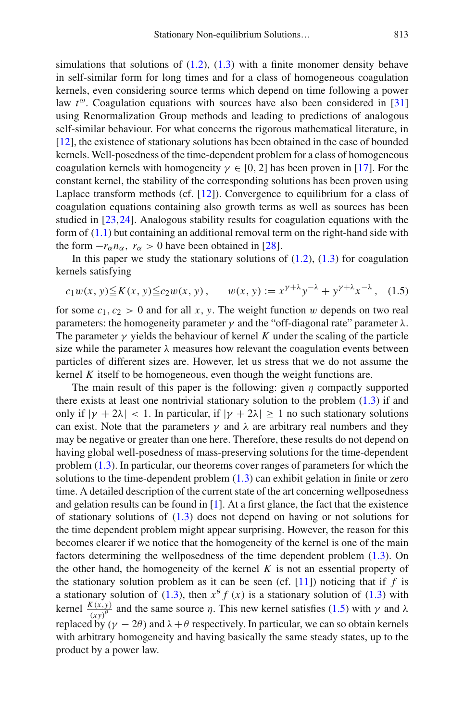simulations that solutions of  $(1.2)$ ,  $(1.3)$  with a finite monomer density behave in self-similar form for long times and for a class of homogeneous coagulation kernels, even considering source terms which depend on time following a power law  $t^{\omega}$ . Coagulation equations with sources have also been considered in [\[31](#page-65-11)] using Renormalization Group methods and leading to predictions of analogous self-similar behaviour. For what concerns the rigorous mathematical literature, in [\[12\]](#page-64-3), the existence of stationary solutions has been obtained in the case of bounded kernels. Well-posedness of the time-dependent problem for a class of homogeneous coagulation kernels with homogeneity  $\gamma \in [0, 2]$  has been proven in [\[17\]](#page-64-8). For the constant kernel, the stability of the corresponding solutions has been proven using Laplace transform methods (cf. [\[12\]](#page-64-3)). Convergence to equilibrium for a class of coagulation equations containing also growth terms as well as sources has been studied in [\[23](#page-65-12),[24\]](#page-65-13). Analogous stability results for coagulation equations with the form of  $(1.1)$  but containing an additional removal term on the right-hand side with the form  $-r_\alpha n_\alpha$ ,  $r_\alpha > 0$  have been obtained in [\[28](#page-65-14)].

In this paper we study the stationary solutions of  $(1.2)$ ,  $(1.3)$  for coagulation kernels satisfying

<span id="page-4-0"></span>
$$
c_1 w(x, y) \le K(x, y) \le c_2 w(x, y), \qquad w(x, y) := x^{\gamma + \lambda} y^{-\lambda} + y^{\gamma + \lambda} x^{-\lambda}, \quad (1.5)
$$

for some  $c_1, c_2 > 0$  and for all x, y. The weight function w depends on two real parameters: the homogeneity parameter γ and the "off-diagonal rate" parameter  $λ$ . The parameter  $\gamma$  yields the behaviour of kernel K under the scaling of the particle size while the parameter  $\lambda$  measures how relevant the coagulation events between particles of different sizes are. However, let us stress that we do not assume the kernel *K* itself to be homogeneous, even though the weight functions are.

The main result of this paper is the following: given  $\eta$  compactly supported there exists at least one nontrivial stationary solution to the problem  $(1.3)$  if and only if  $|\gamma + 2\lambda| < 1$ . In particular, if  $|\gamma + 2\lambda| \ge 1$  no such stationary solutions can exist. Note that the parameters  $\gamma$  and  $\lambda$  are arbitrary real numbers and they may be negative or greater than one here. Therefore, these results do not depend on having global well-posedness of mass-preserving solutions for the time-dependent problem [\(1.3\)](#page-3-0). In particular, our theorems cover ranges of parameters for which the solutions to the time-dependent problem [\(1.3\)](#page-3-0) can exhibit gelation in finite or zero time. A detailed description of the current state of the art concerning wellposedness and gelation results can be found in [\[1](#page-64-9)]. At a first glance, the fact that the existence of stationary solutions of  $(1.3)$  does not depend on having or not solutions for the time dependent problem might appear surprising. However, the reason for this becomes clearer if we notice that the homogeneity of the kernel is one of the main factors determining the wellposedness of the time dependent problem [\(1.3\)](#page-3-0). On the other hand, the homogeneity of the kernel *K* is not an essential property of the stationary solution problem as it can be seen (cf.  $[11]$ ) noticing that if *f* is a stationary solution of [\(1.3\)](#page-3-0), then  $x^{\theta} f(x)$  is a stationary solution of (1.3) with kernel  $\frac{K(x,y)}{(xy)^\theta}$  and the same source *η*. This new kernel satisfies [\(1.5\)](#page-4-0) with *γ* and λ replaced by  $(\gamma - 2\theta)$  and  $\lambda + \theta$  respectively. In particular, we can so obtain kernels with arbitrary homogeneity and having basically the same steady states, up to the product by a power law.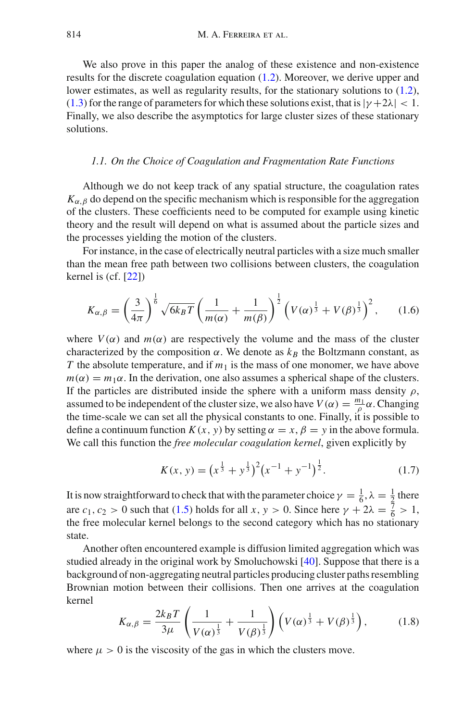We also prove in this paper the analog of these existence and non-existence results for the discrete coagulation equation [\(1.2\)](#page-2-0). Moreover, we derive upper and lower estimates, as well as regularity results, for the stationary solutions to [\(1.2\)](#page-2-0), [\(1.3\)](#page-3-0) for the range of parameters for which these solutions exist, that is  $|\gamma + 2\lambda| < 1$ . Finally, we also describe the asymptotics for large cluster sizes of these stationary solutions.

#### <span id="page-5-0"></span>*1.1. On the Choice of Coagulation and Fragmentation Rate Functions*

Although we do not keep track of any spatial structure, the coagulation rates  $K_{\alpha,\beta}$  do depend on the specific mechanism which is responsible for the aggregation of the clusters. These coefficients need to be computed for example using kinetic theory and the result will depend on what is assumed about the particle sizes and the processes yielding the motion of the clusters.

For instance, in the case of electrically neutral particles with a size much smaller than the mean free path between two collisions between clusters, the coagulation kernel is (cf. [\[22](#page-65-0)])

<span id="page-5-2"></span>
$$
K_{\alpha,\beta} = \left(\frac{3}{4\pi}\right)^{\frac{1}{6}} \sqrt{6k_B T} \left(\frac{1}{m(\alpha)} + \frac{1}{m(\beta)}\right)^{\frac{1}{2}} \left(V(\alpha)^{\frac{1}{3}} + V(\beta)^{\frac{1}{3}}\right)^2, \quad (1.6)
$$

where  $V(\alpha)$  and  $m(\alpha)$  are respectively the volume and the mass of the cluster characterized by the composition  $\alpha$ . We denote as  $k_B$  the Boltzmann constant, as *T* the absolute temperature, and if  $m_1$  is the mass of one monomer, we have above  $m(\alpha) = m_1 \alpha$ . In the derivation, one also assumes a spherical shape of the clusters. If the particles are distributed inside the sphere with a uniform mass density  $\rho$ , assumed to be independent of the cluster size, we also have  $V(\alpha) = \frac{m_1}{\rho} \alpha$ . Changing the time-scale we can set all the physical constants to one. Finally, it is possible to define a continuum function  $K(x, y)$  by setting  $\alpha = x, \beta = y$  in the above formula. We call this function the *free molecular coagulation kernel*, given explicitly by

<span id="page-5-1"></span>
$$
K(x, y) = (x^{\frac{1}{3}} + y^{\frac{1}{3}})^2 (x^{-1} + y^{-1})^{\frac{1}{2}}.
$$
 (1.7)

It is now straightforward to check that with the parameter choice  $\gamma = \frac{1}{6}, \lambda = \frac{1}{2}$  there are *c*<sub>1</sub>, *c*<sub>2</sub> > 0 such that [\(1.5\)](#page-4-0) holds for all *x*, *y* > 0. Since here  $\gamma + 2\lambda = \frac{7}{6} > 1$ , the free molecular kernel belongs to the second category which has no stationary state.

Another often encountered example is diffusion limited aggregation which was studied already in the original work by Smoluchowski [\[40\]](#page-65-15). Suppose that there is a background of non-aggregating neutral particles producing cluster paths resembling Brownian motion between their collisions. Then one arrives at the coagulation kernel

<span id="page-5-3"></span>
$$
K_{\alpha,\beta} = \frac{2k_B T}{3\mu} \left( \frac{1}{V(\alpha)^{\frac{1}{3}}} + \frac{1}{V(\beta)^{\frac{1}{3}}} \right) \left( V(\alpha)^{\frac{1}{3}} + V(\beta)^{\frac{1}{3}} \right), \quad (1.8)
$$

where  $\mu > 0$  is the viscosity of the gas in which the clusters move.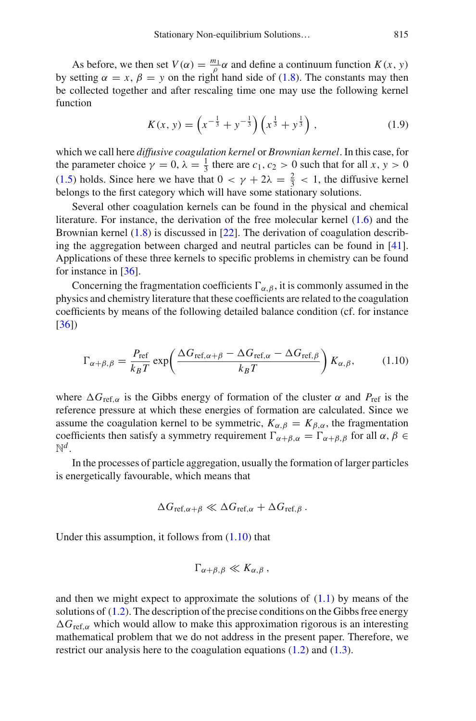<span id="page-6-0"></span>As before, we then set  $V(\alpha) = \frac{m_1}{\rho} \alpha$  and define a continuum function  $K(x, y)$ by setting  $\alpha = x$ ,  $\beta = y$  on the right hand side of [\(1.8\)](#page-5-3). The constants may then be collected together and after rescaling time one may use the following kernel function

$$
K(x, y) = \left(x^{-\frac{1}{3}} + y^{-\frac{1}{3}}\right)\left(x^{\frac{1}{3}} + y^{\frac{1}{3}}\right),\tag{1.9}
$$

which we call here *diffusive coagulation kernel* or *Brownian kernel*. In this case, for the parameter choice  $\gamma = 0$ ,  $\lambda = \frac{1}{3}$  there are  $c_1$ ,  $c_2 > 0$  such that for all  $x, y > 0$ [\(1.5\)](#page-4-0) holds. Since here we have that  $0 < \gamma + 2\lambda = \frac{2}{3} < 1$ , the diffusive kernel belongs to the first category which will have some stationary solutions.

Several other coagulation kernels can be found in the physical and chemical literature. For instance, the derivation of the free molecular kernel [\(1.6\)](#page-5-2) and the Brownian kernel [\(1.8\)](#page-5-3) is discussed in [\[22](#page-65-0)]. The derivation of coagulation describing the aggregation between charged and neutral particles can be found in [\[41\]](#page-65-16). Applications of these three kernels to specific problems in chemistry can be found for instance in [\[36](#page-65-1)].

Concerning the fragmentation coefficients  $\Gamma_{\alpha,\beta}$ , it is commonly assumed in the physics and chemistry literature that these coefficients are related to the coagulation coefficients by means of the following detailed balance condition (cf. for instance [\[36\]](#page-65-1))

<span id="page-6-1"></span>
$$
\Gamma_{\alpha+\beta,\beta} = \frac{P_{\text{ref}}}{k_B T} \exp\left(\frac{\Delta G_{\text{ref},\alpha+\beta} - \Delta G_{\text{ref},\alpha} - \Delta G_{\text{ref},\beta}}{k_B T}\right) K_{\alpha,\beta},\tag{1.10}
$$

where  $\Delta G_{\text{ref},\alpha}$  is the Gibbs energy of formation of the cluster  $\alpha$  and  $P_{\text{ref}}$  is the reference pressure at which these energies of formation are calculated. Since we assume the coagulation kernel to be symmetric,  $K_{\alpha,\beta} = K_{\beta,\alpha}$ , the fragmentation coefficients then satisfy a symmetry requirement  $\Gamma_{\alpha+\beta,\alpha} = \Gamma_{\alpha+\beta,\beta}$  for all  $\alpha, \beta \in$  $\mathbb{N}^d$ .

In the processes of particle aggregation, usually the formation of larger particles is energetically favourable, which means that

$$
\Delta G_{\text{ref},\alpha+\beta} \ll \Delta G_{\text{ref},\alpha} + \Delta G_{\text{ref},\beta}.
$$

Under this assumption, it follows from [\(1.10\)](#page-6-1) that

$$
\Gamma_{\alpha+\beta,\beta}\ll K_{\alpha,\beta}\,,
$$

and then we might expect to approximate the solutions of  $(1.1)$  by means of the solutions of [\(1.2\)](#page-2-0). The description of the precise conditions on the Gibbs free energy  $\Delta G_{\text{ref.}\alpha}$  which would allow to make this approximation rigorous is an interesting mathematical problem that we do not address in the present paper. Therefore, we restrict our analysis here to the coagulation equations [\(1.2\)](#page-2-0) and [\(1.3\)](#page-3-0).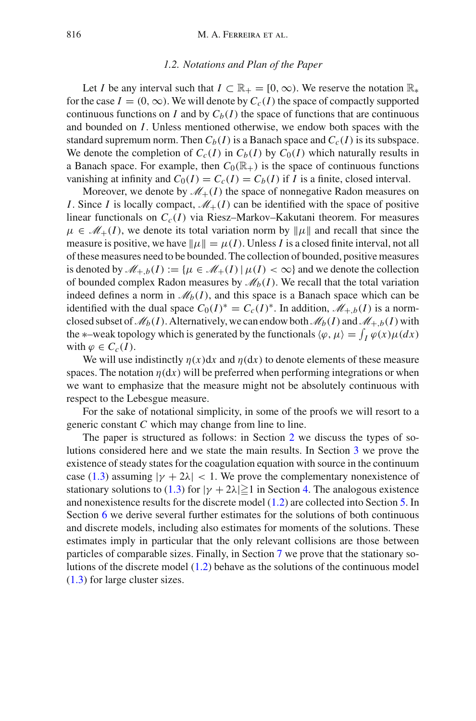# *1.2. Notations and Plan of the Paper*

<span id="page-7-0"></span>Let *I* be any interval such that  $I \subset \mathbb{R}_+ = [0, \infty)$ . We reserve the notation  $\mathbb{R}_*$ for the case  $I = (0, \infty)$ . We will denote by  $C_c(I)$  the space of compactly supported continuous functions on *I* and by  $C_b(I)$  the space of functions that are continuous and bounded on *I*. Unless mentioned otherwise, we endow both spaces with the standard supremum norm. Then  $C_b(I)$  is a Banach space and  $C_c(I)$  is its subspace. We denote the completion of  $C_c(I)$  in  $C_b(I)$  by  $C_0(I)$  which naturally results in a Banach space. For example, then  $C_0(\mathbb{R}_+)$  is the space of continuous functions vanishing at infinity and  $C_0(I) = C_c(I) = C_b(I)$  if *I* is a finite, closed interval.

Moreover, we denote by  $\mathcal{M}_{+}(I)$  the space of nonnegative Radon measures on *I*. Since *I* is locally compact,  $\mathcal{M}_+(I)$  can be identified with the space of positive linear functionals on  $C_c(I)$  via Riesz–Markov–Kakutani theorem. For measures  $\mu \in \mathcal{M}_+(I)$ , we denote its total variation norm by  $\|\mu\|$  and recall that since the measure is positive, we have  $\|\mu\| = \mu(I)$ . Unless *I* is a closed finite interval, not all of these measures need to be bounded. The collection of bounded, positive measures is denoted by  $\mathcal{M}_{+,b}(I) := \{ \mu \in \mathcal{M}_{+}(I) | \mu(I) < \infty \}$  and we denote the collection of bounded complex Radon measures by  $\mathcal{M}_b(I)$ . We recall that the total variation indeed defines a norm in  $\mathcal{M}_b(I)$ , and this space is a Banach space which can be identified with the dual space  $C_0(I)^* = C_c(I)^*$ . In addition,  $\mathcal{M}_{+,b}(I)$  is a normclosed subset of  $\mathcal{M}_b(I)$ . Alternatively, we can endow both  $\mathcal{M}_b(I)$  and  $\mathcal{M}_{+,b}(I)$  with the  $*$ –weak topology which is generated by the functionals  $\langle \varphi, \mu \rangle = \int_I \varphi(x) \mu(dx)$ with  $\varphi \in C_c(I)$ .

We will use indistinctly  $\eta(x)dx$  and  $\eta(dx)$  to denote elements of these measure spaces. The notation  $\eta(dx)$  will be preferred when performing integrations or when we want to emphasize that the measure might not be absolutely continuous with respect to the Lebesgue measure.

For the sake of notational simplicity, in some of the proofs we will resort to a generic constant *C* which may change from line to line.

The paper is structured as follows: in Section [2](#page-8-0) we discuss the types of solutions considered here and we state the main results. In Section [3](#page-16-0) we prove the existence of steady states for the coagulation equation with source in the continuum case [\(1.3\)](#page-3-0) assuming  $|\gamma + 2\lambda| < 1$ . We prove the complementary nonexistence of stationary solutions to [\(1.3\)](#page-3-0) for  $|\gamma + 2\lambda| \ge 1$  in Section [4.](#page-34-0) The analogous existence and nonexistence results for the discrete model [\(1.2\)](#page-2-0) are collected into Section [5.](#page-44-0) In Section [6](#page-52-0) we derive several further estimates for the solutions of both continuous and discrete models, including also estimates for moments of the solutions. These estimates imply in particular that the only relevant collisions are those between particles of comparable sizes. Finally, in Section [7](#page-59-0) we prove that the stationary solutions of the discrete model [\(1.2\)](#page-2-0) behave as the solutions of the continuous model [\(1.3\)](#page-3-0) for large cluster sizes.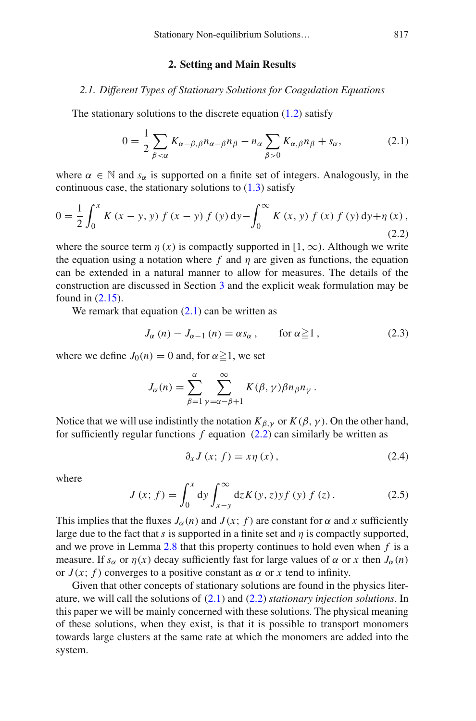# <span id="page-8-3"></span><span id="page-8-2"></span>**2. Setting and Main Results**

# <span id="page-8-1"></span><span id="page-8-0"></span>*2.1. Different Types of Stationary Solutions for Coagulation Equations*

The stationary solutions to the discrete equation [\(1.2\)](#page-2-0) satisfy

$$
0 = \frac{1}{2} \sum_{\beta < \alpha} K_{\alpha - \beta, \beta} n_{\alpha - \beta} n_{\beta} - n_{\alpha} \sum_{\beta > 0} K_{\alpha, \beta} n_{\beta} + s_{\alpha}, \tag{2.1}
$$

where  $\alpha \in \mathbb{N}$  and  $s_{\alpha}$  is supported on a finite set of integers. Analogously, in the continuous case, the stationary solutions to  $(1.3)$  satisfy

$$
0 = \frac{1}{2} \int_0^x K(x - y, y) f(x - y) f(y) dy - \int_0^\infty K(x, y) f(x) f(y) dy + \eta(x),
$$
\n(2.2)

where the source term  $\eta(x)$  is compactly supported in  $[1,\infty)$ . Although we write the equation using a notation where  $f$  and  $\eta$  are given as functions, the equation can be extended in a natural manner to allow for measures. The details of the construction are discussed in Section [3](#page-16-0) and the explicit weak formulation may be found in [\(2.15\)](#page-11-0).

We remark that equation  $(2.1)$  can be written as

$$
J_{\alpha}(n) - J_{\alpha - 1}(n) = \alpha s_{\alpha}, \quad \text{for } \alpha \ge 1,
$$
 (2.3)

where we define  $J_0(n) = 0$  and, for  $\alpha \ge 1$ , we set

$$
J_{\alpha}(n) = \sum_{\beta=1}^{\alpha} \sum_{\gamma=\alpha-\beta+1}^{\infty} K(\beta, \gamma) \beta n_{\beta} n_{\gamma}.
$$

Notice that we will use indistintly the notation  $K_{\beta,\gamma}$  or  $K(\beta,\gamma)$ . On the other hand, for sufficiently regular functions *f* equation [\(2.2\)](#page-8-3) can similarly be written as

<span id="page-8-5"></span>
$$
\partial_x J\left(x; f\right) = x\eta\left(x\right),\tag{2.4}
$$

<span id="page-8-4"></span>where

$$
J(x; f) = \int_0^x dy \int_{x-y}^\infty dz K(y, z) y f(y) f(z).
$$
 (2.5)

This implies that the fluxes  $J_\alpha(n)$  and  $J(x; f)$  are constant for  $\alpha$  and x sufficiently large due to the fact that *s* is supported in a finite set and  $\eta$  is compactly supported, and we prove in Lemma [2.8](#page-13-0) that this property continues to hold even when *f* is a measure. If  $s_\alpha$  or  $\eta(x)$  decay sufficiently fast for large values of  $\alpha$  or x then  $J_\alpha(n)$ or  $J(x; f)$  converges to a positive constant as  $\alpha$  or x tend to infinity.

Given that other concepts of stationary solutions are found in the physics literature, we will call the solutions of [\(2.1\)](#page-8-2) and [\(2.2\)](#page-8-3) *stationary injection solutions*. In this paper we will be mainly concerned with these solutions. The physical meaning of these solutions, when they exist, is that it is possible to transport monomers towards large clusters at the same rate at which the monomers are added into the system.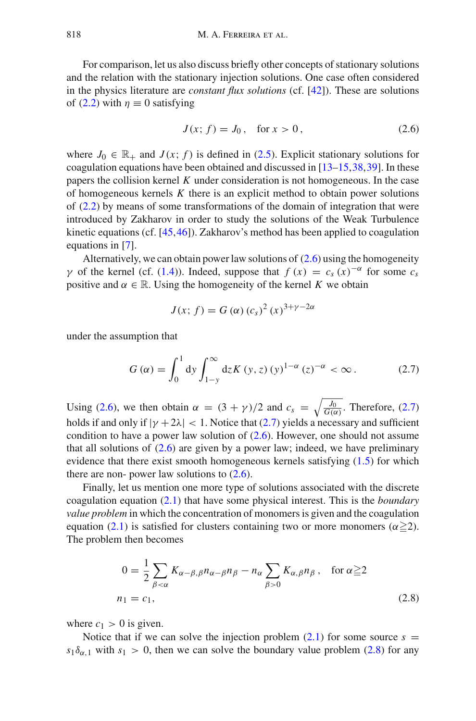For comparison, let us also discuss briefly other concepts of stationary solutions and the relation with the stationary injection solutions. One case often considered in the physics literature are *constant flux solutions* (cf. [\[42](#page-65-17)]). These are solutions of [\(2.2\)](#page-8-3) with  $\eta \equiv 0$  satisfying

<span id="page-9-0"></span>
$$
J(x; f) = J_0, \quad \text{for } x > 0,
$$
 (2.6)

where  $J_0 \in \mathbb{R}_+$  and  $J(x; f)$  is defined in [\(2.5\)](#page-8-4). Explicit stationary solutions for coagulation equations have been obtained and discussed in  $[13–15,38,39]$  $[13–15,38,39]$  $[13–15,38,39]$  $[13–15,38,39]$  $[13–15,38,39]$ . In these papers the collision kernel *K* under consideration is not homogeneous. In the case of homogeneous kernels *K* there is an explicit method to obtain power solutions of [\(2.2\)](#page-8-3) by means of some transformations of the domain of integration that were introduced by Zakharov in order to study the solutions of the Weak Turbulence kinetic equations (cf. [\[45](#page-66-1)[,46](#page-66-2)]). Zakharov's method has been applied to coagulation equations in [\[7\]](#page-64-13).

Alternatively, we can obtain power law solutions of  $(2.6)$  using the homogeneity  $γ$  of the kernel (cf. [\(1.4\)](#page-3-1)). Indeed, suppose that  $f(x) = c_s(x)^{-\alpha}$  for some  $c_s$ positive and  $\alpha \in \mathbb{R}$ . Using the homogeneity of the kernel *K* we obtain

<span id="page-9-1"></span>
$$
J(x; f) = G(\alpha) (c_s)^2 (x)^{3 + \gamma - 2\alpha}
$$

under the assumption that

$$
G(\alpha) = \int_0^1 dy \int_{1-y}^{\infty} dz K(y, z) (y)^{1-\alpha} (z)^{-\alpha} < \infty.
$$
 (2.7)

Using [\(2.6\)](#page-9-0), we then obtain  $\alpha = (3 + \gamma)/2$  and  $c_s = \sqrt{\frac{J_0}{G(\alpha)}}$ . Therefore, [\(2.7\)](#page-9-1) holds if and only if  $|\gamma + 2\lambda| < 1$ . Notice that [\(2.7\)](#page-9-1) yields a necessary and sufficient condition to have a power law solution of [\(2.6\)](#page-9-0). However, one should not assume that all solutions of [\(2.6\)](#page-9-0) are given by a power law; indeed, we have preliminary evidence that there exist smooth homogeneous kernels satisfying [\(1.5\)](#page-4-0) for which there are non- power law solutions to  $(2.6)$ .

Finally, let us mention one more type of solutions associated with the discrete coagulation equation [\(2.1\)](#page-8-2) that have some physical interest. This is the *boundary value problem* in which the concentration of monomers is given and the coagulation equation [\(2.1\)](#page-8-2) is satisfied for clusters containing two or more monomers ( $\alpha \geq 2$ ). The problem then becomes

<span id="page-9-2"></span>
$$
0 = \frac{1}{2} \sum_{\beta < \alpha} K_{\alpha - \beta, \beta} n_{\alpha - \beta} n_{\beta} - n_{\alpha} \sum_{\beta > 0} K_{\alpha, \beta} n_{\beta}, \quad \text{for } \alpha \ge 2
$$
\n
$$
n_1 = c_1,\tag{2.8}
$$

where  $c_1 > 0$  is given.

Notice that if we can solve the injection problem  $(2.1)$  for some source  $s =$  $s_1\delta_{\alpha,1}$  with  $s_1 > 0$ , then we can solve the boundary value problem [\(2.8\)](#page-9-2) for any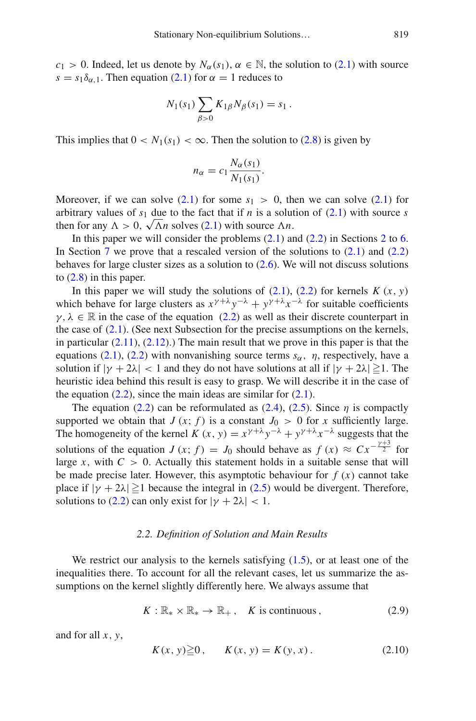$c_1 > 0$ . Indeed, let us denote by  $N_\alpha(s_1)$ ,  $\alpha \in \mathbb{N}$ , the solution to [\(2.1\)](#page-8-2) with source  $s = s_1 \delta_{\alpha,1}$ . Then equation [\(2.1\)](#page-8-2) for  $\alpha = 1$  reduces to

$$
N_1(s_1) \sum_{\beta > 0} K_{1\beta} N_{\beta}(s_1) = s_1.
$$

This implies that  $0 < N_1(s_1) < \infty$ . Then the solution to [\(2.8\)](#page-9-2) is given by

$$
n_{\alpha} = c_1 \frac{N_{\alpha}(s_1)}{N_1(s_1)}.
$$

Moreover, if we can solve  $(2.1)$  for some  $s_1 > 0$ , then we can solve  $(2.1)$  for arbitrary values of  $s_1$  due to the fact that if *n* is a solution of [\(2.1\)](#page-8-2) with source *s* then for any  $\Lambda > 0$ ,  $\sqrt{\Lambda}n$  solves [\(2.1\)](#page-8-2) with source  $\Lambda n$ .

In this paper we will consider the problems  $(2.1)$  and  $(2.2)$  in Sections [2](#page-8-0) to [6.](#page-52-0) In Section [7](#page-59-0) we prove that a rescaled version of the solutions to  $(2.1)$  and  $(2.2)$ behaves for large cluster sizes as a solution to [\(2.6\)](#page-9-0). We will not discuss solutions to [\(2.8\)](#page-9-2) in this paper.

In this paper we will study the solutions of  $(2.1)$ ,  $(2.2)$  for kernels  $K(x, y)$ which behave for large clusters as  $x^{\gamma+\lambda}y^{-\lambda} + y^{\gamma+\lambda}x^{-\lambda}$  for suitable coefficients  $\gamma, \lambda \in \mathbb{R}$  in the case of the equation [\(2.2\)](#page-8-3) as well as their discrete counterpart in the case of  $(2.1)$ . (See next Subsection for the precise assumptions on the kernels, in particular  $(2.11)$ ,  $(2.12)$ .) The main result that we prove in this paper is that the equations [\(2.1\)](#page-8-2), [\(2.2\)](#page-8-3) with nonvanishing source terms  $s_\alpha$ ,  $\eta$ , respectively, have a solution if  $|\gamma + 2\lambda| < 1$  and they do not have solutions at all if  $|\gamma + 2\lambda| \ge 1$ . The heuristic idea behind this result is easy to grasp. We will describe it in the case of the equation  $(2.2)$ , since the main ideas are similar for  $(2.1)$ .

The equation [\(2.2\)](#page-8-3) can be reformulated as [\(2.4\)](#page-8-5), [\(2.5\)](#page-8-4). Since  $\eta$  is compactly supported we obtain that  $J(x; f)$  is a constant  $J_0 > 0$  for x sufficiently large. The homogeneity of the kernel  $K(x, y) = x^{\gamma + \lambda} y^{-\lambda} + y^{\gamma + \lambda} x^{-\lambda}$  suggests that the solutions of the equation *J* (*x*; *f*) = *J*<sub>0</sub> should behave as  $f(x) \approx C x^{-\frac{\gamma+3}{2}}$  for large *x*, with  $C > 0$ . Actually this statement holds in a suitable sense that will be made precise later. However, this asymptotic behaviour for  $f(x)$  cannot take place if  $|\gamma + 2\lambda| \ge 1$  because the integral in [\(2.5\)](#page-8-4) would be divergent. Therefore, solutions to [\(2.2\)](#page-8-3) can only exist for  $|\gamma + 2\lambda| < 1$ .

#### *2.2. Definition of Solution and Main Results*

<span id="page-10-0"></span>We restrict our analysis to the kernels satisfying  $(1.5)$ , or at least one of the inequalities there. To account for all the relevant cases, let us summarize the assumptions on the kernel slightly differently here. We always assume that

<span id="page-10-1"></span>
$$
K: \mathbb{R}_* \times \mathbb{R}_* \to \mathbb{R}_+, \quad K \text{ is continuous}, \tag{2.9}
$$

and for all *x*, *y*,

<span id="page-10-2"></span>
$$
K(x, y) \ge 0
$$
,  $K(x, y) = K(y, x)$ . (2.10)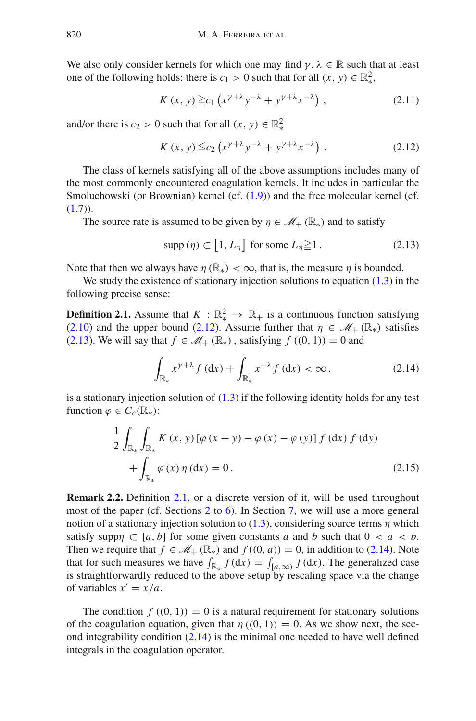We also only consider kernels for which one may find  $\gamma$ ,  $\lambda \in \mathbb{R}$  such that at least one of the following holds: there is  $c_1 > 0$  such that for all  $(x, y) \in \mathbb{R}^2_*$ ,

<span id="page-11-1"></span>
$$
K(x, y) \geq c_1 \left( x^{\gamma + \lambda} y^{-\lambda} + y^{\gamma + \lambda} x^{-\lambda} \right), \tag{2.11}
$$

and/or there is  $c_2 > 0$  such that for all  $(x, y) \in \mathbb{R}^2_*$ 

<span id="page-11-2"></span>
$$
K(x, y) \leq c_2 \left( x^{\gamma + \lambda} y^{-\lambda} + y^{\gamma + \lambda} x^{-\lambda} \right). \tag{2.12}
$$

The class of kernels satisfying all of the above assumptions includes many of the most commonly encountered coagulation kernels. It includes in particular the Smoluchowski (or Brownian) kernel (cf. [\(1.9\)](#page-6-0)) and the free molecular kernel (cf.  $(1.7)$ .

The source rate is assumed to be given by  $\eta \in \mathcal{M}_+ (\mathbb{R}_*)$  and to satisfy

<span id="page-11-4"></span><span id="page-11-3"></span>
$$
\text{supp}\left(\eta\right) \subset \left[1, L_{\eta}\right] \text{ for some } L_{\eta} \geq 1. \tag{2.13}
$$

Note that then we always have  $\eta$  ( $\mathbb{R}_*$ ) <  $\infty$ , that is, the measure  $\eta$  is bounded.

We study the existence of stationary injection solutions to equation  $(1.3)$  in the following precise sense:

**Definition 2.1.** Assume that  $K : \mathbb{R}^2 \to \mathbb{R}^2$  is a continuous function satisfying [\(2.10\)](#page-10-1) and the upper bound [\(2.12\)](#page-11-2). Assume further that  $\eta \in \mathcal{M}_+(\mathbb{R}_*)$  satisfies [\(2.13\)](#page-11-3). We will say that  $f \in \mathcal{M}_+(\mathbb{R}_*)$ , satisfying  $f((0, 1)) = 0$  and

<span id="page-11-5"></span>
$$
\int_{\mathbb{R}_*} x^{\gamma + \lambda} f(\mathrm{d}x) + \int_{\mathbb{R}_*} x^{-\lambda} f(\mathrm{d}x) < \infty \,, \tag{2.14}
$$

is a stationary injection solution of  $(1.3)$  if the following identity holds for any test function  $\varphi \in C_c(\mathbb{R}_*)$ :

<span id="page-11-0"></span>
$$
\frac{1}{2} \int_{\mathbb{R}_*} \int_{\mathbb{R}_*} K(x, y) \left[ \varphi(x + y) - \varphi(x) - \varphi(y) \right] f(\mathrm{d}x) f(\mathrm{d}y) + \int_{\mathbb{R}_*} \varphi(x) \eta(\mathrm{d}x) = 0.
$$
\n(2.15)

<span id="page-11-6"></span>**Remark 2.2.** Definition [2.1,](#page-11-4) or a discrete version of it, will be used throughout most of the paper (cf. Sections [2](#page-8-0) to [6\)](#page-52-0). In Section [7,](#page-59-0) we will use a more general notion of a stationary injection solution to  $(1.3)$ , considering source terms  $\eta$  which satisfy supp $\eta \subset [a, b]$  for some given constants *a* and *b* such that  $0 < a < b$ . Then we require that  $f \in \mathcal{M}_+ (\mathbb{R}_*)$  and  $f((0, a)) = 0$ , in addition to [\(2.14\)](#page-11-5). Note that for such measures we have  $\int_{\mathbb{R}_*} f(\mathrm{d}x) = \int_{[a,\infty)} f(\mathrm{d}x)$ . The generalized case is straightforwardly reduced to the above setup by rescaling space via the change of variables  $x' = x/a$ .

The condition  $f((0, 1)) = 0$  is a natural requirement for stationary solutions of the coagulation equation, given that  $\eta$  ((0, 1)) = 0. As we show next, the second integrability condition  $(2.14)$  is the minimal one needed to have well defined integrals in the coagulation operator.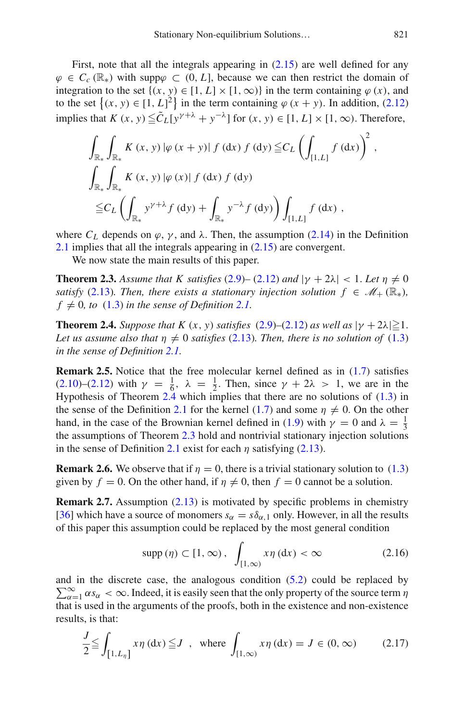First, note that all the integrals appearing in [\(2.15\)](#page-11-0) are well defined for any  $\varphi \in C_c(\mathbb{R})$  with supp $\varphi \subset (0, L]$ , because we can then restrict the domain of integration to the set  $\{(x, y) \in [1, L] \times [1, \infty)\}\$ in the term containing  $\varphi(x)$ , and to the set  $\{(x, y) \in [1, L]^2\}$  in the term containing  $\varphi(x + y)$ . In addition, [\(2.12\)](#page-11-2) implies that  $K(x, y) \leq \tilde{C}_L [y^{\gamma+\lambda} + y^{-\lambda}]$  for  $(x, y) \in [1, L] \times [1, \infty)$ . Therefore,

$$
\int_{\mathbb{R}_{*}} \int_{\mathbb{R}_{*}} K(x, y) |\varphi(x + y)| f (dx) f (dy) \leq C_{L} \left( \int_{[1, L]} f (dx) \right)^{2},
$$
\n
$$
\int_{\mathbb{R}_{*}} \int_{\mathbb{R}_{*}} K(x, y) |\varphi(x)| f (dx) f (dy)
$$
\n
$$
\leq C_{L} \left( \int_{\mathbb{R}_{*}} y^{\gamma + \lambda} f (dy) + \int_{\mathbb{R}_{*}} y^{-\lambda} f (dy) \right) \int_{[1, L]} f (dx),
$$

where  $C_L$  depends on  $\varphi$ ,  $\gamma$ , and  $\lambda$ . Then, the assumption [\(2.14\)](#page-11-5) in the Definition [2.1](#page-11-4) implies that all the integrals appearing in [\(2.15\)](#page-11-0) are convergent.

<span id="page-12-1"></span>We now state the main results of this paper.

**Theorem 2.3.** Assume that K satisfies [\(2.9\)](#page-10-2)– [\(2.12\)](#page-11-2) and  $|\gamma + 2\lambda| < 1$ . Let  $\eta \neq 0$ *satisfy* [\(2.13\)](#page-11-3)*. Then, there exists a stationary injection solution*  $f \in M_+(\mathbb{R}_*)$ *,*  $f \neq 0$ , to  $(1.3)$  *in the sense of Definition* [2.1.](#page-11-4)

<span id="page-12-0"></span>**Theorem 2.4.** *Suppose that K*  $(x, y)$  *satisfies*  $(2.9)$ – $(2.12)$  *as well as*  $|y + 2\lambda| \ge 1$ . *Let us assume also that*  $\eta \neq 0$  *satisfies* [\(2.13\)](#page-11-3)*. Then, there is no solution of* [\(1.3\)](#page-3-0) *in the sense of Definition [2.1.](#page-11-4)*

**Remark 2.5.** Notice that the free molecular kernel defined as in  $(1.7)$  satisfies [\(2.10\)](#page-10-1)–[\(2.12\)](#page-11-2) with  $\gamma = \frac{1}{6}$ ,  $\lambda = \frac{1}{2}$ . Then, since  $\gamma + 2\lambda > 1$ , we are in the Hypothesis of Theorem [2.4](#page-12-0) which implies that there are no solutions of [\(1.3\)](#page-3-0) in the sense of the Definition [2.1](#page-11-4) for the kernel [\(1.7\)](#page-5-1) and some  $\eta \neq 0$ . On the other hand, in the case of the Brownian kernel defined in [\(1.9\)](#page-6-0) with  $\gamma = 0$  and  $\lambda = \frac{1}{3}$ the assumptions of Theorem [2.3](#page-12-1) hold and nontrivial stationary injection solutions in the sense of Definition [2.1](#page-11-4) exist for each  $\eta$  satisfying [\(2.13\)](#page-11-3).

**Remark 2.6.** We observe that if  $\eta = 0$ , there is a trivial stationary solution to [\(1.3\)](#page-3-0) given by  $f = 0$ . On the other hand, if  $\eta \neq 0$ , then  $f = 0$  cannot be a solution.

**Remark 2.7.** Assumption [\(2.13\)](#page-11-3) is motivated by specific problems in chemistry [\[36\]](#page-65-1) which have a source of monomers  $s_\alpha = s\delta_{\alpha,1}$  only. However, in all the results of this paper this assumption could be replaced by the most general condition

<span id="page-12-2"></span>
$$
\text{supp}\left(\eta\right) \subset [1,\infty), \quad \int_{[1,\infty)} x\eta\left(\text{d}x\right) < \infty \tag{2.16}
$$

 $\sum_{\alpha=1}^{\infty} \alpha s_{\alpha} < \infty$ . Indeed, it is easily seen that the only property of the source term  $\eta$ and in the discrete case, the analogous condition [\(5.2\)](#page-44-2) could be replaced by that is used in the arguments of the proofs, both in the existence and non-existence results, is that:

$$
\frac{J}{2} \le \int_{\left[1, L_{\eta}\right]} x \eta \,(\mathrm{d}x) \le J \quad \text{where} \quad \int_{\left[1, \infty\right)} x \eta \,(\mathrm{d}x) = J \in (0, \infty) \tag{2.17}
$$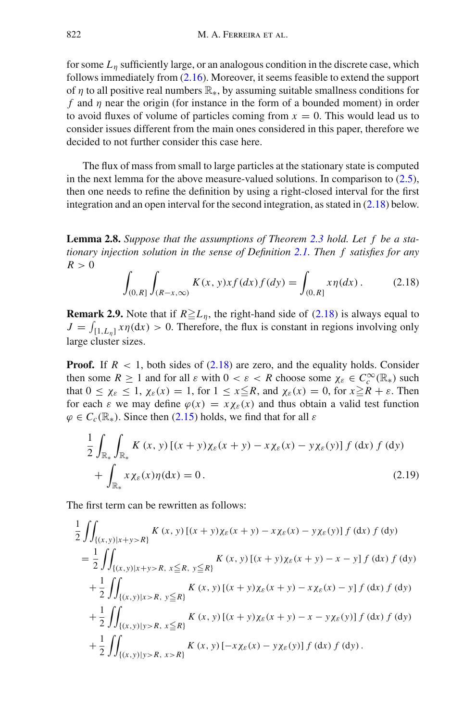for some *L*<sup>η</sup> sufficiently large, or an analogous condition in the discrete case, which follows immediately from [\(2.16\)](#page-12-2). Moreover, it seems feasible to extend the support of  $\eta$  to all positive real numbers  $\mathbb{R}_*$ , by assuming suitable smallness conditions for *f* and  $\eta$  near the origin (for instance in the form of a bounded moment) in order to avoid fluxes of volume of particles coming from  $x = 0$ . This would lead us to consider issues different from the main ones considered in this paper, therefore we decided to not further consider this case here.

The flux of mass from small to large particles at the stationary state is computed in the next lemma for the above measure-valued solutions. In comparison to  $(2.5)$ , then one needs to refine the definition by using a right-closed interval for the first integration and an open interval for the second integration, as stated in [\(2.18\)](#page-13-1) below.

<span id="page-13-0"></span>**Lemma 2.8.** *Suppose that the assumptions of Theorem [2.3](#page-12-1) hold. Let f be a stationary injection solution in the sense of Definition [2.1.](#page-11-4) Then f satisfies for any*  $R > 0$ 

<span id="page-13-1"></span>
$$
\int_{(0,R]} \int_{(R-x,\infty)} K(x,y) x f(dx) f(dy) = \int_{(0,R]} x \eta(dx) .
$$
 (2.18)

**Remark 2.9.** Note that if  $R \geq L_{\eta}$ , the right-hand side of [\(2.18\)](#page-13-1) is always equal to  $J = \int_{[1, L_{\eta}]} x \eta(dx) > 0$ . Therefore, the flux is constant in regions involving only large cluster sizes.

**Proof.** If  $R < 1$ , both sides of  $(2.18)$  are zero, and the equality holds. Consider then some  $R \ge 1$  and for all  $\varepsilon$  with  $0 < \varepsilon < R$  choose some  $\chi_{\varepsilon} \in C_c^{\infty}(\mathbb{R})$  such that  $0 \leq \chi_{\varepsilon} \leq 1$ ,  $\chi_{\varepsilon}(x) = 1$ , for  $1 \leq x \leq R$ , and  $\chi_{\varepsilon}(x) = 0$ , for  $x \geq R + \varepsilon$ . Then for each  $\varepsilon$  we may define  $\varphi(x) = x \chi_{\varepsilon}(x)$  and thus obtain a valid test function  $\varphi \in C_c(\mathbb{R}_*)$ . Since then [\(2.15\)](#page-11-0) holds, we find that for all  $\varepsilon$ 

<span id="page-13-2"></span>
$$
\frac{1}{2} \int_{\mathbb{R}_*} \int_{\mathbb{R}_*} K(x, y) \left[ (x + y) \chi_{\varepsilon}(x + y) - x \chi_{\varepsilon}(x) - y \chi_{\varepsilon}(y) \right] f(\mathrm{d}x) f(\mathrm{d}y) \n+ \int_{\mathbb{R}_*} x \chi_{\varepsilon}(x) \eta(\mathrm{d}x) = 0.
$$
\n(2.19)

The first term can be rewritten as follows:

$$
\frac{1}{2} \iint_{\{(x,y)|x+y>R\}} K(x,y) [(x+y)\chi_{\varepsilon}(x+y) - x\chi_{\varepsilon}(x) - y\chi_{\varepsilon}(y)] f(\mathrm{d}x) f(\mathrm{d}y) \n= \frac{1}{2} \iint_{\{(x,y)|x+y>R, x \le R, y \le R\}} K(x,y) [(x+y)\chi_{\varepsilon}(x+y) - x - y] f(\mathrm{d}x) f(\mathrm{d}y) \n+ \frac{1}{2} \iint_{\{(x,y)|x>R, y \le R\}} K(x,y) [(x+y)\chi_{\varepsilon}(x+y) - x\chi_{\varepsilon}(x) - y] f(\mathrm{d}x) f(\mathrm{d}y) \n+ \frac{1}{2} \iint_{\{(x,y)|y>R, x \le R\}} K(x,y) [(x+y)\chi_{\varepsilon}(x+y) - x - y\chi_{\varepsilon}(y)] f(\mathrm{d}x) f(\mathrm{d}y) \n+ \frac{1}{2} \iint_{\{(x,y)|y>R, x>R\}} K(x,y) [-x\chi_{\varepsilon}(x) - y\chi_{\varepsilon}(y)] f(\mathrm{d}x) f(\mathrm{d}y).
$$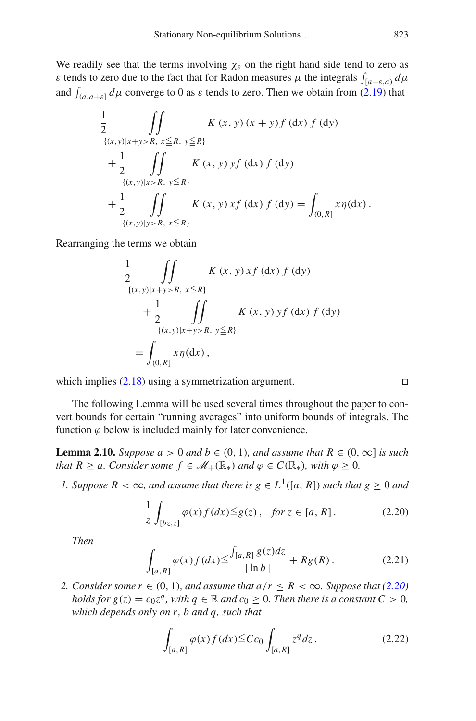We readily see that the terms involving  $\chi_{\varepsilon}$  on the right hand side tend to zero as ε tends to zero due to the fact that for Radon measures μ the integrals  $\int_{[a-\varepsilon,a)} d\mu$ and  $\int_{(a,a+\varepsilon]} d\mu$  converge to 0 as  $\varepsilon$  tends to zero. Then we obtain from [\(2.19\)](#page-13-2) that

$$
\frac{1}{2} \iint_{\{(x,y)|x+y>R, x \le R, y \le R\}} K(x, y) (x + y) f (dx) f (dy) \n+ \frac{1}{2} \iint_{\{(x,y)|x>R, y \le R\}} K(x, y) y f (dx) f (dy) \n+ \frac{1}{2} \iint_{\{(x,y)|y>R, x \le R\}} K(x, y) xf (dx) f (dy) = \int_{(0,R]} x \eta(dx).
$$

Rearranging the terms we obtain

$$
\frac{1}{2} \iint_{\{(x,y)|x+y>R, x \le R\}} K(x, y) xf (\mathrm{d}x) f (\mathrm{d}y) \n+ \frac{1}{2} \iint_{\{(x,y)|x+y>R, y \le R\}} K(x, y) y f (\mathrm{d}x) f (\mathrm{d}y) \n= \int_{(0,R]} x \eta(\mathrm{d}x),
$$

which implies  $(2.18)$  using a symmetrization argument.

The following Lemma will be used several times throughout the paper to convert bounds for certain "running averages" into uniform bounds of integrals. The function  $\varphi$  below is included mainly for later convenience.

<span id="page-14-3"></span>**Lemma 2.10.** *Suppose a* > 0 *and b*  $\in$  (0, 1)*, and assume that*  $R \in (0, \infty]$  *is such that*  $R \ge a$ *. Consider some*  $f \in M_+(\mathbb{R}_*)$  *and*  $\varphi \in C(\mathbb{R}_*)$ *, with*  $\varphi \ge 0$ *.* 

*1. Suppose*  $R < \infty$ *, and assume that there is*  $g \in L^1([a, R])$  *such that*  $g \ge 0$  *and* 

$$
\frac{1}{z} \int_{[bz,z]} \varphi(x) f(dx) \leqq g(z), \quad \text{for } z \in [a, R]. \tag{2.20}
$$

<span id="page-14-1"></span>*Then*

$$
\int_{[a,R]} \varphi(x) f(dx) \le \frac{\int_{[a,R]} g(z) dz}{|\ln b|} + Rg(R). \tag{2.21}
$$

*2. Consider some*  $r \in (0, 1)$ *, and assume that*  $a/r \leq R < \infty$ *. Suppose that [\(2.20\)](#page-14-0) holds for*  $g(z) = c_0 z^q$ , with  $q \in \mathbb{R}$  and  $c_0 \ge 0$ . Then there is a constant  $C > 0$ , *which depends only on r, b and q, such that*

<span id="page-14-2"></span>
$$
\int_{[a,R]} \varphi(x) f(dx) \leq C c_0 \int_{[a,R]} z^q dz.
$$
\n(2.22)

<span id="page-14-0"></span>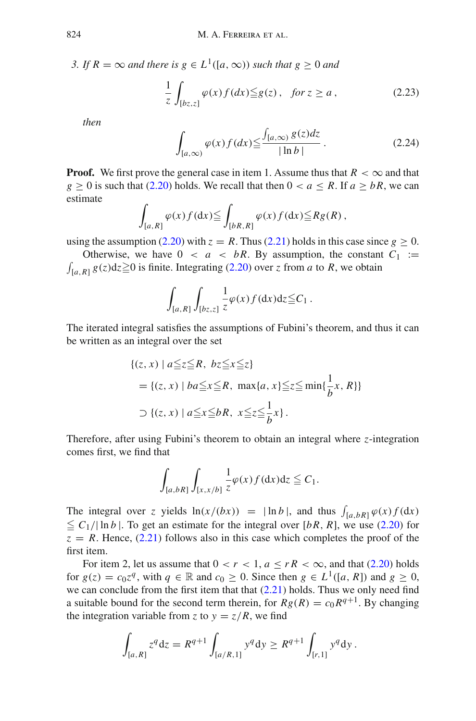*3. If*  $R = \infty$  *and there is*  $g \in L^1([a, \infty))$  *such that*  $g \ge 0$  *and* 

<span id="page-15-0"></span>
$$
\frac{1}{z} \int_{[bz,z]} \varphi(x) f(dx) \leq g(z), \quad \text{for } z \geq a \,, \tag{2.23}
$$

<span id="page-15-1"></span>*then*

$$
\int_{[a,\infty)} \varphi(x) f(dx) \le \frac{\int_{[a,\infty)} g(z) dz}{|\ln b|}.
$$
\n(2.24)

**Proof.** We first prove the general case in item 1. Assume thus that  $R < \infty$  and that  $g \ge 0$  is such that [\(2.20\)](#page-14-0) holds. We recall that then  $0 < a \le R$ . If  $a \ge bR$ , we can estimate

$$
\int_{[a,R]} \varphi(x) f(\mathrm{d} x) \leqq \int_{[bR,R]} \varphi(x) f(\mathrm{d} x) \leqq R g(R) ,
$$

using the assumption [\(2.20\)](#page-14-0) with  $z = R$ . Thus [\(2.21\)](#page-14-1) holds in this case since  $g \ge 0$ .

Otherwise, we have  $0 < a < bR$ . By assumption, the constant  $C_1 :=$  $\int_{[a,R]} g(z) dz \ge 0$  is finite. Integrating [\(2.20\)](#page-14-0) over *z* from *a* to *R*, we obtain

$$
\int_{[a,R]}\int_{[bz,z]} \frac{1}{z}\varphi(x)f(\mathrm{d}x)\mathrm{d}z \leqq C_1.
$$

The iterated integral satisfies the assumptions of Fubini's theorem, and thus it can be written as an integral over the set

$$
\{(z, x) \mid a \leq z \leq R, \ bz \leq x \leq z\}
$$
  
= 
$$
\{(z, x) \mid ba \leq x \leq R, \ \max\{a, x\} \leq z \leq \min\{\frac{1}{b}x, R\}\}
$$
  

$$
\supset \{(z, x) \mid a \leq x \leq bR, \ x \leq z \leq \frac{1}{b}x\}.
$$

Therefore, after using Fubini's theorem to obtain an integral where *z*-integration comes first, we find that

$$
\int_{[a,bR]} \int_{[x,x/b]} \frac{1}{z} \varphi(x) f(\mathrm{d} x) \mathrm{d} z \leqq C_1.
$$

The integral over *z* yields  $\ln(x/(bx)) = |\ln b|$ , and thus  $\int_{[a,bR]} \varphi(x) f(dx)$  $\leq C_1/|\ln b|$ . To get an estimate for the integral over [bR, R], we use [\(2.20\)](#page-14-0) for  $z = R$ . Hence, [\(2.21\)](#page-14-1) follows also in this case which completes the proof of the first item.

For item 2, let us assume that  $0 < r < 1$ ,  $a \le rR < \infty$ , and that [\(2.20\)](#page-14-0) holds for  $g(z) = c_0 z^q$ , with  $q \in \mathbb{R}$  and  $c_0 \ge 0$ . Since then  $g \in L^1([a, R])$  and  $g \ge 0$ , we can conclude from the first item that that  $(2.21)$  holds. Thus we only need find a suitable bound for the second term therein, for  $Rg(R) = c_0 R^{q+1}$ . By changing the integration variable from *z* to  $y = z/R$ , we find

$$
\int_{[a,R]} z^q dz = R^{q+1} \int_{[a/R,1]} y^q dy \ge R^{q+1} \int_{[r,1]} y^q dy.
$$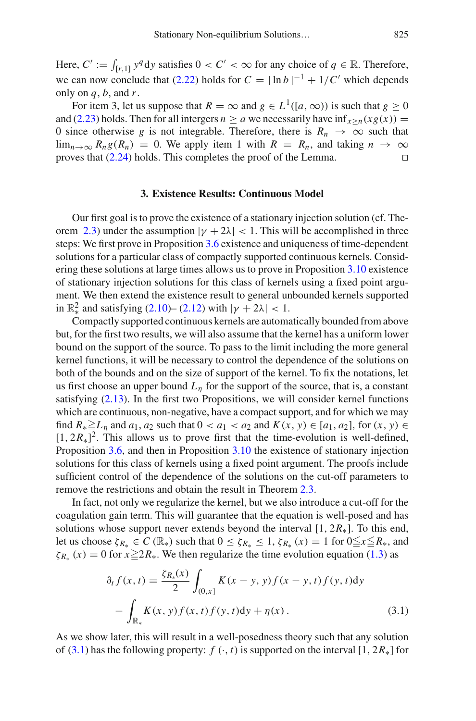Here,  $C' := \int_{[r,1]} y^q dy$  satisfies  $0 < C' < \infty$  for any choice of  $q \in \mathbb{R}$ . Therefore, we can now conclude that [\(2.22\)](#page-14-2) holds for  $C = |\ln b|^{-1} + 1/C'$  which depends only on *q*, *b*, and *r*.

For item 3, let us suppose that  $R = \infty$  and  $g \in L^1([a, \infty))$  is such that  $g \ge 0$ and [\(2.23\)](#page-15-0) holds. Then for all intergers  $n \ge a$  we necessarily have inf $\chi_{\ge n}(x g(x)) =$ 0 since otherwise *g* is not integrable. Therefore, there is  $R_n \to \infty$  such that  $\lim_{n\to\infty} R_n g(R_n) = 0$ . We apply item 1 with  $R = R_n$ , and taking  $n \to \infty$  proves that (2.24) holds. This completes the proof of the Lemma proves that [\(2.24\)](#page-15-1) holds. This completes the proof of the Lemma.

#### **3. Existence Results: Continuous Model**

<span id="page-16-0"></span>Our first goal is to prove the existence of a stationary injection solution (cf. The-orem [2.3\)](#page-12-1) under the assumption  $|\gamma + 2\lambda| < 1$ . This will be accomplished in three steps: We first prove in Proposition [3.6](#page-18-0) existence and uniqueness of time-dependent solutions for a particular class of compactly supported continuous kernels. Considering these solutions at large times allows us to prove in Proposition [3.10](#page-21-0) existence of stationary injection solutions for this class of kernels using a fixed point argument. We then extend the existence result to general unbounded kernels supported in  $\mathbb{R}^2_*$  and satisfying [\(2.10\)](#page-10-1)– [\(2.12\)](#page-11-2) with  $|\gamma + 2\lambda| < 1$ .

Compactly supported continuous kernels are automatically bounded from above but, for the first two results, we will also assume that the kernel has a uniform lower bound on the support of the source. To pass to the limit including the more general kernel functions, it will be necessary to control the dependence of the solutions on both of the bounds and on the size of support of the kernel. To fix the notations, let us first choose an upper bound  $L_n$  for the support of the source, that is, a constant satisfying [\(2.13\)](#page-11-3). In the first two Propositions, we will consider kernel functions which are continuous, non-negative, have a compact support, and for which we may find *R*∗-*L*<sup>η</sup> and *a*1, *a*<sup>2</sup> such that 0 < *a*<sup>1</sup> < *a*<sup>2</sup> and *K*(*x*, *y*) ∈ [*a*1, *a*2], for (*x*, *y*) ∈  $[1, 2R_*]^2$ . This allows us to prove first that the time-evolution is well-defined, Proposition [3.6,](#page-18-0) and then in Proposition [3.10](#page-21-0) the existence of stationary injection solutions for this class of kernels using a fixed point argument. The proofs include sufficient control of the dependence of the solutions on the cut-off parameters to remove the restrictions and obtain the result in Theorem [2.3.](#page-12-1)

In fact, not only we regularize the kernel, but we also introduce a cut-off for the coagulation gain term. This will guarantee that the equation is well-posed and has solutions whose support never extends beyond the interval  $[1, 2R<sub>*</sub>]$ . To this end, let us choose  $\zeta_{R_*} \in C(\mathbb{R}_*)$  such that  $0 \leq \zeta_{R_*} \leq 1$ ,  $\zeta_{R_*}(x) = 1$  for  $0 \leq x \leq R_*$ , and  $\zeta_{R_*}(x) = 0$  for  $x \ge 2R_*$ . We then regularize the time evolution equation [\(1.3\)](#page-3-0) as

<span id="page-16-1"></span>
$$
\partial_t f(x, t) = \frac{\zeta_{R_*}(x)}{2} \int_{(0, x]} K(x - y, y) f(x - y, t) f(y, t) dy \n- \int_{\mathbb{R}_*} K(x, y) f(x, t) f(y, t) dy + \eta(x).
$$
\n(3.1)

As we show later, this will result in a well-posedness theory such that any solution of [\(3.1\)](#page-16-1) has the following property:  $f(\cdot, t)$  is supported on the interval  $[1, 2R_*]$  for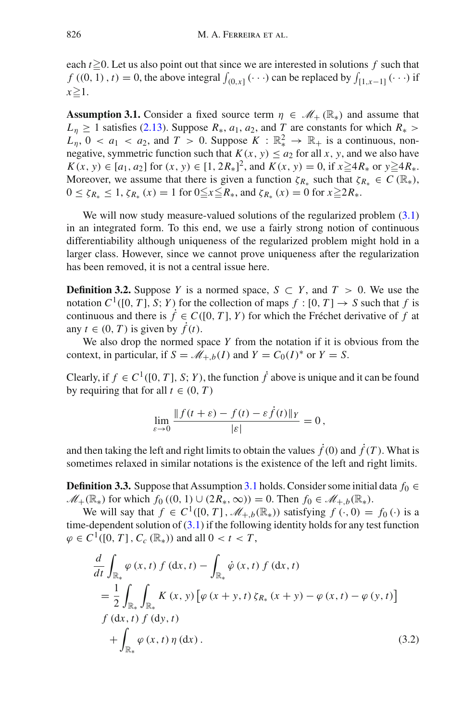each  $t \ge 0$ . Let us also point out that since we are interested in solutions  $f$  such that  $f((0, 1), t) = 0$ , the above integral  $\int_{(0,x]} (\cdots)$  can be replaced by  $\int_{[1,x-1]} (\cdots)$  if  $x \geq 1$ .

<span id="page-17-0"></span>**Assumption 3.1.** Consider a fixed source term  $\eta \in \mathcal{M}_+(\mathbb{R}_*)$  and assume that  $L_n \geq 1$  satisfies [\(2.13\)](#page-11-3). Suppose  $R_*, a_1, a_2$ , and *T* are constants for which  $R_*$  $L_n$ ,  $0 < a_1 < a_2$ , and  $T > 0$ . Suppose  $K : \mathbb{R}^2_* \to \mathbb{R}_+$  is a continuous, nonnegative, symmetric function such that  $K(x, y) \le a_2$  for all *x*, *y*, and we also have  $K(x, y) \in [a_1, a_2]$  for  $(x, y) \in [1, 2R_*]^2$ , and  $K(x, y) = 0$ , if  $x \ge 4R_*$  or  $y \ge 4R_*$ . Moreover, we assume that there is given a function  $\zeta_{R*}$  such that  $\zeta_{R*} \in C(\mathbb{R}_*),$  $0 \le \zeta_{R_*} \le 1$ ,  $\zeta_{R_*}(x) = 1$  for  $0 \le x \le R_*$ , and  $\zeta_{R_*}(x) = 0$  for  $x \ge 2R_*$ .

We will now study measure-valued solutions of the regularized problem  $(3.1)$ in an integrated form. To this end, we use a fairly strong notion of continuous differentiability although uniqueness of the regularized problem might hold in a larger class. However, since we cannot prove uniqueness after the regularization has been removed, it is not a central issue here.

**Definition 3.2.** Suppose *Y* is a normed space,  $S \subset Y$ , and  $T > 0$ . We use the notation  $C^1([0, T], S; Y)$  for the collection of maps  $f : [0, T] \rightarrow S$  such that f is continuous and there is  $\dot{f} \in C([0, T], Y)$  for which the Fréchet derivative of f at any  $t \in (0, T)$  is given by  $\hat{f}(t)$ .

We also drop the normed space *Y* from the notation if it is obvious from the context, in particular, if  $S = M_{+,b}(I)$  and  $Y = C_0(I)^*$  or  $Y = S$ .

Clearly, if  $f \in C^1([0, T], S; Y)$ , the function  $\dot{f}$  above is unique and it can be found by requiring that for all  $t \in (0, T)$ 

$$
\lim_{\varepsilon \to 0} \frac{\|f(t+\varepsilon) - f(t) - \varepsilon \dot{f}(t)\|_{Y}}{|\varepsilon|} = 0,
$$

<span id="page-17-2"></span>and then taking the left and right limits to obtain the values  $\dot{f}(0)$  and  $\dot{f}(T)$ . What is sometimes relaxed in similar notations is the existence of the left and right limits.

**Definition 3.3.** Suppose that Assumption [3.1](#page-17-0) holds. Consider some initial data  $f_0 \in$ *M*<sub>+</sub>( $\mathbb{R}_*$ ) for which *f*<sub>0</sub> ((0, 1) ∪ (2 $R_*, \infty$ )) = 0. Then *f*<sub>0</sub> ∈ *M*<sub>+*,b*</sub>( $\mathbb{R}_*$ ).

We will say that  $f \in C^1([0, T], \mathcal{M}_{+,b}(\mathbb{R}_*))$  satisfying  $f(\cdot, 0) = f_0(\cdot)$  is a time-dependent solution of  $(3.1)$  if the following identity holds for any test function  $\varphi \in C^1([0, T], C_c(\mathbb{R}_*))$  and all  $0 < t < T$ ,

<span id="page-17-1"></span>
$$
\frac{d}{dt} \int_{\mathbb{R}_{*}} \varphi(x, t) f(dx, t) - \int_{\mathbb{R}_{*}} \dot{\varphi}(x, t) f(dx, t) \n= \frac{1}{2} \int_{\mathbb{R}_{*}} \int_{\mathbb{R}_{*}} K(x, y) [\varphi(x + y, t) \zeta_{R_{*}}(x + y) - \varphi(x, t) - \varphi(y, t)] \nf(dx, t) f(dy, t) \n+ \int_{\mathbb{R}_{*}} \varphi(x, t) \eta(dx).
$$
\n(3.2)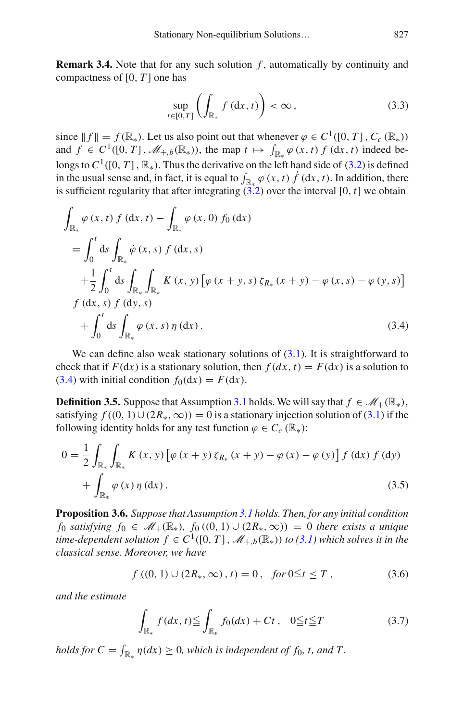**Remark 3.4.** Note that for any such solution *f*, automatically by continuity and compactness of [0, *T* ] one has

$$
\sup_{t\in[0,T]}\left(\int_{\mathbb{R}_*}f\left(\mathrm{d}x,t\right)\right)<\infty\,,\tag{3.3}
$$

since  $|| f || = f(\mathbb{R}_*)$ . Let us also point out that whenever  $\varphi \in C^1([0, T], C_c(\mathbb{R}_*))$ and  $f \in C^1([0, T], \mathcal{M}_{+,b}(\mathbb{R}_*))$ , the map  $t \mapsto \int_{\mathbb{R}_*} \varphi(x, t) f(dx, t)$  indeed belongs to  $C^1([0, T], \mathbb{R}_*)$ . Thus the derivative on the left hand side of [\(3.2\)](#page-17-1) is defined in the usual sense and, in fact, it is equal to  $\int_{\mathbb{R}_*} \varphi(x, t) f(\mathrm{d}x, t)$ . In addition, there is sufficient regularity that after integrating  $(3.2)$  over the interval [0, *t*] we obtain

<span id="page-18-1"></span>
$$
\int_{\mathbb{R}_{*}} \varphi(x, t) f(dx, t) - \int_{\mathbb{R}_{*}} \varphi(x, 0) f_{0}(dx)
$$
\n
$$
= \int_{0}^{t} ds \int_{\mathbb{R}_{*}} \dot{\varphi}(x, s) f(dx, s)
$$
\n
$$
+ \frac{1}{2} \int_{0}^{t} ds \int_{\mathbb{R}_{*}} \int_{\mathbb{R}_{*}} K(x, y) [\varphi(x + y, s) \zeta_{R_{*}}(x + y) - \varphi(x, s) - \varphi(y, s)]
$$
\n
$$
f(dx, s) f(dy, s)
$$
\n
$$
+ \int_{0}^{t} ds \int_{\mathbb{R}_{*}} \varphi(x, s) \eta(dx). \tag{3.4}
$$

We can define also weak stationary solutions of  $(3.1)$ . It is straightforward to check that if  $F(\text{d}x)$  is a stationary solution, then  $f(\text{d}x, t) = F(\text{d}x)$  is a solution to [\(3.4\)](#page-18-1) with initial condition  $f_0(dx) = F(dx)$ .

<span id="page-18-3"></span>**Definition 3.5.** Suppose that Assumption [3.1](#page-17-0) holds. We will say that  $f \in M_+(\mathbb{R}_*)$ , satisfying  $f((0, 1) \cup (2R_*, \infty)) = 0$  is a stationary injection solution of [\(3.1\)](#page-16-1) if the following identity holds for any test function  $\varphi \in C_c (\mathbb{R}_*)$ :

$$
0 = \frac{1}{2} \int_{\mathbb{R}_{*}} \int_{\mathbb{R}_{*}} K(x, y) \left[ \varphi(x + y) \zeta_{R_{*}}(x + y) - \varphi(x) - \varphi(y) \right] f(\mathrm{d}x) f(\mathrm{d}y) + \int_{\mathbb{R}_{*}} \varphi(x) \eta(\mathrm{d}x). \tag{3.5}
$$

<span id="page-18-0"></span>**Proposition 3.6.** *Suppose that Assumption [3.1](#page-17-0) holds. Then, for any initial condition f*<sub>0</sub> *satisfying*  $f_0 \text{ ∈ } \mathcal{M}_+(\mathbb{R}_*)$ ,  $f_0((0, 1) \cup (2R_*, \infty)) = 0$  *there exists a unique time-dependent solution*  $f \in C^1([0, T], \mathcal{M}_{+,b}(\mathbb{R}_*))$  *to* [\(3.1\)](#page-16-1) which solves it in the *classical sense. Moreover, we have*

$$
f((0, 1) \cup (2R_*, \infty), t) = 0, \quad \text{for } 0 \le t \le T,
$$
\n(3.6)

*and the estimate*

<span id="page-18-2"></span>
$$
\int_{\mathbb{R}_*} f(dx, t) \leqq \int_{\mathbb{R}_*} f_0(dx) + Ct \,, \quad 0 \leqq t \leqq T \tag{3.7}
$$

*holds for*  $C = \int_{\mathbb{R}_*} \eta(dx) \ge 0$ *, which is independent of f*<sub>0</sub>*, t, and T*.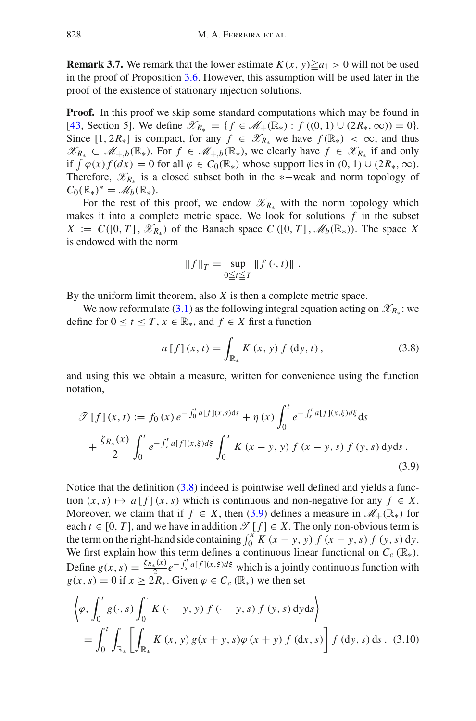**Remark 3.7.** We remark that the lower estimate  $K(x, y) \ge a_1 > 0$  will not be used in the proof of Proposition [3.6.](#page-18-0) However, this assumption will be used later in the proof of the existence of stationary injection solutions.

**Proof.** In this proof we skip some standard computations which may be found in [\[43,](#page-65-20) Section 5]. We define  $\mathscr{X}_{R_{\ast}} = \{f \in \mathscr{M}_{+}(\mathbb{R}_{*}) : f((0, 1) \cup (2R_{*}, \infty)) = 0\}.$ Since  $[1, 2R_*]$  is compact, for any  $f \in \mathscr{X}_{R_*}$  we have  $f(\mathbb{R}_*) < \infty$ , and thus *X*<sub>*R*<sup>∗</sup></sub> ⊂  $\mathcal{M}_{+,b}(\mathbb{R}_*)$ . For  $f \in \mathcal{M}_{+,b}(\mathbb{R}_*)$ , we clearly have  $f \in \mathcal{X}_{R_*}$  if and only if  $\int \varphi(x) f(dx) = 0$  for all  $\varphi \in C_0(\mathbb{R})$  whose support lies in  $(0, 1) \cup (2R_*, \infty)$ . Therefore, *XR*<sup>∗</sup> is a closed subset both in the ∗−weak and norm topology of  $C_0(\mathbb{R}_*)^* = \mathscr{M}_b(\mathbb{R}_*).$ 

For the rest of this proof, we endow  $\mathscr{X}_{R_{*}}$  with the norm topology which makes it into a complete metric space. We look for solutions *f* in the subset  $X := C([0, T], \mathcal{X}_{R_*})$  of the Banach space  $C([0, T], \mathcal{M}_b(\mathbb{R}_*))$ . The space X is endowed with the norm

<span id="page-19-0"></span>
$$
||f||_T = \sup_{0 \le t \le T} ||f(\cdot, t)||.
$$

By the uniform limit theorem, also *X* is then a complete metric space.

We now reformulate [\(3.1\)](#page-16-1) as the following integral equation acting on  $\mathscr{X}_{R_*}$ : we define for  $0 \le t \le T$ ,  $x \in \mathbb{R}_*$ , and  $f \in X$  first a function

<span id="page-19-1"></span>
$$
a[f](x,t) = \int_{\mathbb{R}_*} K(x,y) f(\mathrm{d}y,t), \qquad (3.8)
$$

and using this we obtain a measure, written for convenience using the function notation,

$$
\mathcal{F}[f](x,t) := f_0(x) e^{-\int_0^t a[f](x,s)ds} + \eta(x) \int_0^t e^{-\int_s^t a[f](x,\xi) d\xi} ds + \frac{\zeta R_*(x)}{2} \int_0^t e^{-\int_s^t a[f](x,\xi) d\xi} \int_0^x K(x-y,y) f(x-y,s) f(y,s) dyds.
$$
\n(3.9)

Notice that the definition [\(3.8\)](#page-19-0) indeed is pointwise well defined and yields a function  $(x, s) \mapsto a[f](x, s)$  which is continuous and non-negative for any  $f \in X$ . Moreover, we claim that if  $f \in X$ , then [\(3.9\)](#page-19-1) defines a measure in  $\mathcal{M}_{+}(\mathbb{R}_{*})$  for each  $t \in [0, T]$ , and we have in addition  $\mathcal{T}[f] \in X$ . The only non-obvious term is the term on the right-hand side containing  $\int_0^x K(x - y, y) f(x - y, s) f(y, s) dy$ . We first explain how this term defines a continuous linear functional on  $C_c(\mathbb{R}_*)$ . Define  $g(x, s) = \frac{\zeta R_*(x)}{2} e^{-\int_s^t a[f](x, \xi) d\xi}$  which is a jointly continuous function with  $g(x, s) = 0$  if  $x \geq 2R^*$ . Given  $\varphi \in C_c(\mathbb{R})$  we then set

<span id="page-19-2"></span>
$$
\left\langle \varphi, \int_{0}^{t} g(\cdot, s) \int_{0}^{s} K(\cdot - y, y) f(\cdot - y, s) f(y, s) dy ds \right\rangle
$$
  
= 
$$
\int_{0}^{t} \int_{\mathbb{R}_{*}} \left[ \int_{\mathbb{R}_{*}} K(x, y) g(x + y, s) \varphi(x + y) f(dx, s) \right] f(dy, s) ds
$$
. (3.10)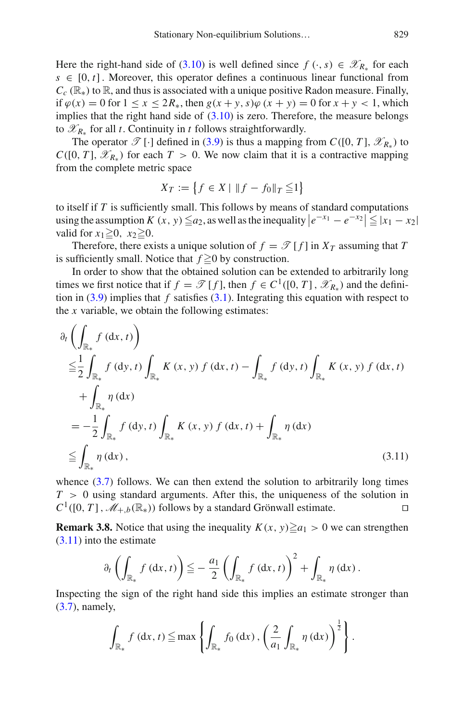Here the right-hand side of [\(3.10\)](#page-19-2) is well defined since  $f(\cdot, s) \in \mathcal{X}_{R_*}$  for each  $s \in [0, t]$ . Moreover, this operator defines a continuous linear functional from  $C_c$  ( $\mathbb{R}_*$ ) to  $\mathbb{R}$ , and thus is associated with a unique positive Radon measure. Finally, if  $\varphi$ (*x*) = 0 for 1 ≤ *x* ≤ 2*R*<sub>\*</sub>, then *g*(*x* + *y*, *s*) $\varphi$  (*x* + *y*) = 0 for *x* + *y* < 1, which implies that the right hand side of  $(3.10)$  is zero. Therefore, the measure belongs to  $\mathscr{X}_{R_{+}}$  for all *t*. Continuity in *t* follows straightforwardly.

The operator  $\mathscr{T}[\cdot]$  defined in [\(3.9\)](#page-19-1) is thus a mapping from  $C([0, T], \mathscr{X}_{R_*})$  to *C*([0, *T*],  $\mathscr{X}_{R_+}$ ) for each *T* > 0. We now claim that it is a contractive mapping from the complete metric space

$$
X_T := \{ f \in X \mid ||f - f_0||_T \leqq 1 \}
$$

to itself if *T* is sufficiently small. This follows by means of standard computations using the assumption  $K(x, y) \leq a_2$ , as well as the inequality  $|e^{-x_1} - e^{-x_2}| \leq |x_1 - x_2|$ valid for  $x_1 \geq 0$ ,  $x_2 \geq 0$ .

Therefore, there exists a unique solution of  $f = \mathcal{T}[f]$  in  $X_T$  assuming that T is sufficiently small. Notice that  $f \ge 0$  by construction.

In order to show that the obtained solution can be extended to arbitrarily long times we first notice that if  $f = \mathcal{T}[f]$ , then  $f \in C^1([0, T], \mathcal{X}_{R_*})$  and the definition in  $(3.9)$  implies that *f* satisfies  $(3.1)$ . Integrating this equation with respect to the *x* variable, we obtain the following estimates:

$$
\partial_{t} \left( \int_{\mathbb{R}_{*}} f (\mathrm{d}x, t) \right)
$$
\n
$$
\leq \frac{1}{2} \int_{\mathbb{R}_{*}} f (\mathrm{d}y, t) \int_{\mathbb{R}_{*}} K(x, y) f (\mathrm{d}x, t) - \int_{\mathbb{R}_{*}} f (\mathrm{d}y, t) \int_{\mathbb{R}_{*}} K(x, y) f (\mathrm{d}x, t)
$$
\n
$$
+ \int_{\mathbb{R}_{*}} \eta (\mathrm{d}x)
$$
\n
$$
= -\frac{1}{2} \int_{\mathbb{R}_{*}} f (\mathrm{d}y, t) \int_{\mathbb{R}_{*}} K(x, y) f (\mathrm{d}x, t) + \int_{\mathbb{R}_{*}} \eta (\mathrm{d}x)
$$
\n
$$
\leq \int_{\mathbb{R}_{*}} \eta (\mathrm{d}x), \qquad (3.11)
$$

whence  $(3.7)$  follows. We can then extend the solution to arbitrarily long times *T* > 0 using standard arguments. After this, the uniqueness of the solution in  $C^1([0, T], \mathcal{M}_{+b}(\mathbb{R}_*))$  follows by a standard Grönwall estimate.

<span id="page-20-1"></span>**Remark 3.8.** Notice that using the inequality  $K(x, y) \ge a_1 > 0$  we can strengthen [\(3.11\)](#page-20-0) into the estimate

<span id="page-20-0"></span>
$$
\partial_t \left( \int_{\mathbb{R}_*} f \left( dx, t \right) \right) \leq - \frac{a_1}{2} \left( \int_{\mathbb{R}_*} f \left( dx, t \right) \right)^2 + \int_{\mathbb{R}_*} \eta \left( dx \right).
$$

Inspecting the sign of the right hand side this implies an estimate stronger than [\(3.7\)](#page-18-2), namely,

$$
\int_{\mathbb{R}_{*}} f\left(\mathrm{d}x,t\right) \leq \max \left\{ \int_{\mathbb{R}_{*}} f_{0}\left(\mathrm{d}x\right), \left( \frac{2}{a_{1}} \int_{\mathbb{R}_{*}} \eta\left(\mathrm{d}x\right) \right)^{\frac{1}{2}} \right\}.
$$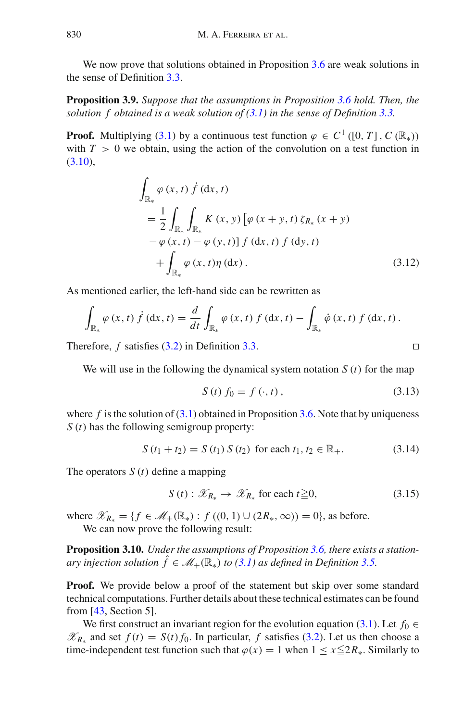<span id="page-21-2"></span>We now prove that solutions obtained in Proposition [3.6](#page-18-0) are weak solutions in the sense of Definition [3.3.](#page-17-2)

**Proposition 3.9.** *Suppose that the assumptions in Proposition [3.6](#page-18-0) hold. Then, the solution f obtained is a weak solution of [\(3.1\)](#page-16-1) in the sense of Definition [3.3.](#page-17-2)*

**Proof.** Multiplying [\(3.1\)](#page-16-1) by a continuous test function  $\varphi \in C^1$  ([0, *T*], *C* ( $\mathbb{R}_*$ )) with  $T > 0$  we obtain, using the action of the convolution on a test function in  $(3.10),$  $(3.10),$ 

$$
\int_{\mathbb{R}_{*}} \varphi(x, t) \dot{f} (dx, t) \n= \frac{1}{2} \int_{\mathbb{R}_{*}} \int_{\mathbb{R}_{*}} K(x, y) \left[ \varphi(x + y, t) \zeta_{R_{*}} (x + y) - \varphi(x, t) - \varphi(y, t) \right] f (dx, t) f (dy, t) \n+ \int_{\mathbb{R}_{*}} \varphi(x, t) \eta (dx).
$$
\n(3.12)

As mentioned earlier, the left-hand side can be rewritten as

$$
\int_{\mathbb{R}_{*}} \varphi(x, t) \dot{f} (dx, t) = \frac{d}{dt} \int_{\mathbb{R}_{*}} \varphi(x, t) f (dx, t) - \int_{\mathbb{R}_{*}} \dot{\varphi}(x, t) f (dx, t).
$$

Therefore, *f* satisfies [\(3.2\)](#page-17-1) in Definition [3.3.](#page-17-2)

We will use in the following the dynamical system notation *S* (*t*) for the map

$$
S(t) f_0 = f(\cdot, t), \tag{3.13}
$$

where  $f$  is the solution of  $(3.1)$  obtained in Proposition [3.6.](#page-18-0) Note that by uniqueness *S* (*t*) has the following semigroup property:

$$
S(t_1 + t_2) = S(t_1) S(t_2) \text{ for each } t_1, t_2 \in \mathbb{R}_+.
$$
 (3.14)

The operators *S* (*t*) define a mapping

<span id="page-21-0"></span>
$$
S(t): \mathscr{X}_{R_*} \to \mathscr{X}_{R_*} \text{ for each } t \geq 0,
$$
 (3.15)

where  $\mathscr{X}_{R_*} = \{ f \in \mathscr{M}_+(\mathbb{R}_*) : f((0, 1) \cup (2R_*, \infty)) = 0 \}$ , as before. We can now prove the following result:

**Proposition 3.10.** *Under the assumptions of Proposition [3.6,](#page-18-0) there exists a stationary injection solution*  $\hat{f} \in \mathcal{M}_+(\mathbb{R}_*)$  *to* [\(3.1\)](#page-16-1) *as defined in Definition* [3.5.](#page-18-3)

**Proof.** We provide below a proof of the statement but skip over some standard technical computations. Further details about these technical estimates can be found from [\[43,](#page-65-20) Section 5].

We first construct an invariant region for the evolution equation [\(3.1\)](#page-16-1). Let  $f_0 \in$  $\mathcal{X}_{R∗}$  and set *f* (*t*) = *S*(*t*) *f*<sub>0</sub>. In particular, *f* satisfies [\(3.2\)](#page-17-1). Let us then choose a time-independent test function such that  $\varphi(x) = 1$  when  $1 \le x \le 2R_*$ . Similarly to

<span id="page-21-1"></span>
$$
\Box
$$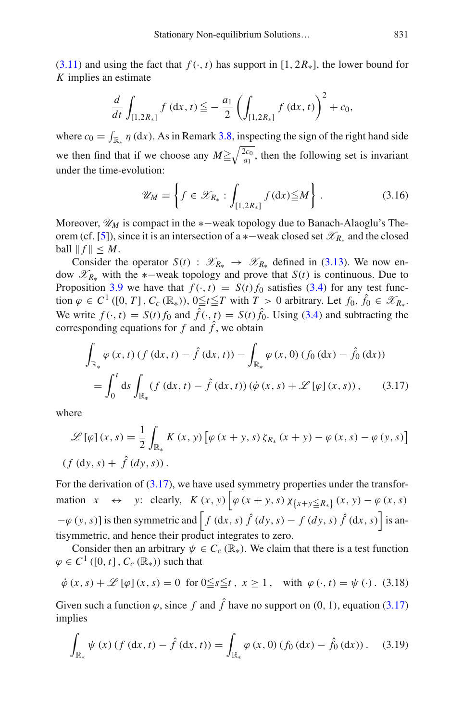$(3.11)$  and using the fact that  $f(\cdot, t)$  has support in [1, 2 $R_*$ ], the lower bound for *K* implies an estimate

$$
\frac{d}{dt} \int_{[1,2R_*]} f(\mathrm{d}x,t) \leqq -\frac{a_1}{2} \left( \int_{[1,2R_*]} f(\mathrm{d}x,t) \right)^2 + c_0,
$$

where  $c_0 = \int_{\mathbb{R}_*} \eta$  (dx). As in Remark [3.8,](#page-20-1) inspecting the sign of the right hand side we then find that if we choose any  $M \ge \sqrt{\frac{2c_0}{a_1}}$ , then the following set is invariant under the time-evolution:

$$
\mathscr{U}_M = \left\{ f \in \mathscr{X}_{R_*} : \int_{[1,2R_*]} f(\mathrm{d}x) \leq M \right\} . \tag{3.16}
$$

Moreover,  $\mathcal{U}_M$  is compact in the  $\ast$ -weak topology due to Banach-Alaoglu's The-orem (cf. [\[5\]](#page-64-14)), since it is an intersection of a ∗–weak closed set  $\mathscr{X}_{R_*}$  and the closed  $ball \parallel f \parallel \leq M$ .

Consider the operator  $S(t)$  :  $\mathscr{X}_{R_{*}} \to \mathscr{X}_{R_{*}}$  defined in [\(3.13\)](#page-21-1). We now endow  $\mathscr{X}_{R*}$  with the ∗−weak topology and prove that *S*(*t*) is continuous. Due to Proposition [3.9](#page-21-2) we have that  $f(\cdot, t) = S(t) f_0$  satisfies [\(3.4\)](#page-18-1) for any test function  $\varphi \in C^1$  ([0, *T*],  $C_c$  ( $\mathbb{R}_*$ )),  $0 \le t \le T$  with  $T > 0$  arbitrary. Let  $f_0, \hat{f}_0 \in \mathcal{X}_{R_*}$ . We write  $f(\cdot, t) = S(t) f_0$  and  $\hat{f}(\cdot, t) = S(t) \hat{f}_0$ . Using [\(3.4\)](#page-18-1) and subtracting the corresponding equations for  $f$  and  $\hat{f}$ , we obtain

<span id="page-22-0"></span>
$$
\int_{\mathbb{R}_{*}} \varphi(x, t) (f(dx, t) - \hat{f}(dx, t)) - \int_{\mathbb{R}_{*}} \varphi(x, 0) (f_0(dx) - \hat{f}_0(dx))
$$
\n
$$
= \int_{0}^{t} ds \int_{\mathbb{R}_{*}} (f(dx, t) - \hat{f}(dx, t)) (\dot{\varphi}(x, s) + \mathcal{L}[\varphi](x, s)), \qquad (3.17)
$$

where

$$
\mathcal{L}[\varphi](x,s) = \frac{1}{2} \int_{\mathbb{R}_*} K(x,y) \left[ \varphi(x+y,s) \zeta_{R_*}(x+y) - \varphi(x,s) - \varphi(y,s) \right]
$$
  
(f (dy, s) + \hat{f} (dy, s)).

For the derivation of  $(3.17)$ , we have used symmetry properties under the transformation  $x \leftrightarrow y$ : clearly,  $K(x, y) \left[ \varphi(x + y, s) \chi_{x+y \leq R_*} (x, y) - \varphi(x, s) \right]$  $-\varphi(y, s)$  is then symmetric and  $\left[ f \left( dx, s \right) \hat{f} \left( dy, s \right) - f \left( dy, s \right) \hat{f} \left( dx, s \right) \right]$  is antisymmetric, and hence their product integrates to zero.

Consider then an arbitrary  $\psi \in C_c(\mathbb{R}_*)$ . We claim that there is a test function  $\varphi \in C^1([0, t], C_c(\mathbb{R}_*))$  such that

<span id="page-22-1"></span>
$$
\dot{\varphi}(x, s) + \mathcal{L}[\varphi](x, s) = 0 \text{ for } 0 \le s \le t, \ x \ge 1, \quad \text{with } \varphi(\cdot, t) = \psi(\cdot). \tag{3.18}
$$

Given such a function  $\varphi$ , since  $f$  and  $\hat{f}$  have no support on (0, 1), equation [\(3.17\)](#page-22-0) implies

$$
\int_{\mathbb{R}_{*}} \psi(x) \left( f \left( dx, t \right) - \hat{f} \left( dx, t \right) \right) = \int_{\mathbb{R}_{*}} \varphi(x, 0) \left( f_{0} \left( dx \right) - \hat{f}_{0} \left( dx \right) \right). \tag{3.19}
$$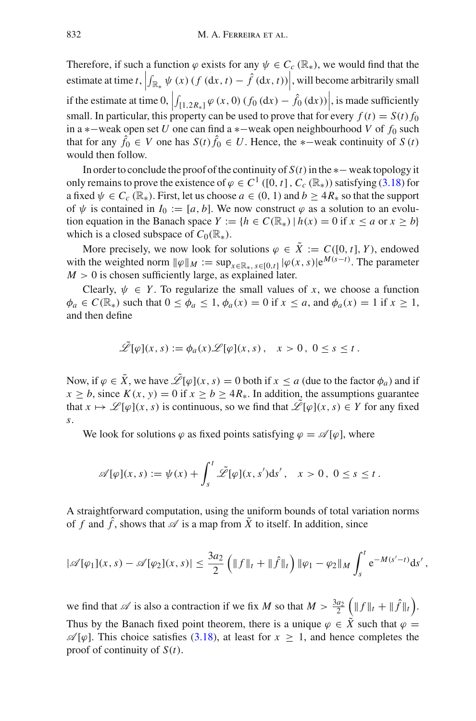Therefore, if such a function  $\varphi$  exists for any  $\psi \in C_c(\mathbb{R}_*)$ , we would find that the estimate at time *t*,  $\left| \int_{\mathbb{R}_*} \psi(x) (f (\mathrm{d}x, t) - \hat{f} (\mathrm{d}x, t)) \right|$ , will become arbitrarily small  $\frac{1}{2}$ if the estimate at time 0,  $\left| \int_{[1,2R_*]} \varphi(x,0) (f_0(dx) - \hat{f}_0(dx)) \right|$ , is made sufficiently<br>small. In particular, this proporty can be used to prove that for every  $f(x) = S(x) f_0$ . small. In particular, this property can be used to prove that for every  $f(t) = S(t) f_0$ in a ∗−weak open set *U* one can find a ∗−weak open neighbourhood *V* of *f*<sup>0</sup> such that for any  $\hat{f}_0$  ∈ *V* one has  $S(t) \hat{f}_0$  ∈ *U*. Hence, the ∗–weak continuity of *S* (*t*) would then follow.

In order to conclude the proof of the continuity of  $S(t)$  in the  $*$  −weak topology it only remains to prove the existence of  $\varphi \in C^1$  ([0, *t*],  $C_c$  ( $\mathbb{R}_*$ )) satisfying [\(3.18\)](#page-22-1) for a fixed  $\psi \in C_c(\mathbb{R}_*)$ . First, let us choose  $a \in (0, 1)$  and  $b \geq 4R_*$  so that the support of  $\psi$  is contained in  $I_0 := [a, b]$ . We now construct  $\varphi$  as a solution to an evolution equation in the Banach space  $Y := \{h \in C(\mathbb{R}_*) \mid h(x) = 0 \text{ if } x \le a \text{ or } x \ge b\}$ which is a closed subspace of  $C_0(\mathbb{R}_*)$ .

More precisely, we now look for solutions  $\varphi \in \tilde{X} := C([0, t], Y)$ , endowed with the weighted norm  $\|\varphi\|_M := \sup_{x \in \mathbb{R}_*} \sup_{s \in [0,t]} |\varphi(x,s)| e^{M(s-t)}$ . The parameter  $M > 0$  is chosen sufficiently large, as explained later.

Clearly,  $\psi \in Y$ . To regularize the small values of *x*, we choose a function  $\phi_a \in C(\mathbb{R}_*)$  such that  $0 \le \phi_a \le 1$ ,  $\phi_a(x) = 0$  if  $x \le a$ , and  $\phi_a(x) = 1$  if  $x \ge 1$ , and then define

$$
\mathscr{L}[\varphi](x,s) := \phi_a(x)\mathscr{L}[\varphi](x,s), \quad x > 0, \ 0 \le s \le t.
$$

Now, if  $\varphi \in \tilde{X}$ , we have  $\mathscr{\tilde{L}}[\varphi](x, s) = 0$  both if  $x \le a$  (due to the factor  $\phi_a$ ) and if  $x \geq b$ , since  $K(x, y) = 0$  if  $x \geq b \geq 4R_{*}$ . In addition, the assumptions guarantee that  $x \mapsto \mathcal{L}[\varphi](x, s)$  is continuous, so we find that  $\mathcal{L}[\varphi](x, s) \in Y$  for any fixed *s*.

We look for solutions  $\varphi$  as fixed points satisfying  $\varphi = \mathscr{A}[\varphi]$ , where

$$
\mathscr{A}[\varphi](x,s) := \psi(x) + \int_s^t \tilde{\mathscr{L}}[\varphi](x,s')ds', \quad x > 0, \ 0 \le s \le t.
$$

A straightforward computation, using the uniform bounds of total variation norms of f and  $\hat{f}$ , shows that  $\mathscr A$  is a map from  $\tilde{X}$  to itself. In addition, since

$$
|\mathscr{A}[\varphi_1](x,s) - \mathscr{A}[\varphi_2](x,s)| \leq \frac{3a_2}{2} \left( \|f\|_t + \|\hat{f}\|_t \right) \|\varphi_1 - \varphi_2\|_M \int_s^t e^{-M(s'-t)} ds',
$$

we find that  $\mathscr A$  is also a contraction if we fix *M* so that  $M > \frac{3a_2}{2} \left( \|f\|_t + \|\hat f\|_t \right)$ . Thus by the Banach fixed point theorem, there is a unique  $\varphi \in \tilde{X}$  such that  $\varphi =$  $\mathscr{A}[\varphi]$ . This choice satisfies [\(3.18\)](#page-22-1), at least for  $x > 1$ , and hence completes the proof of continuity of *S*(*t*).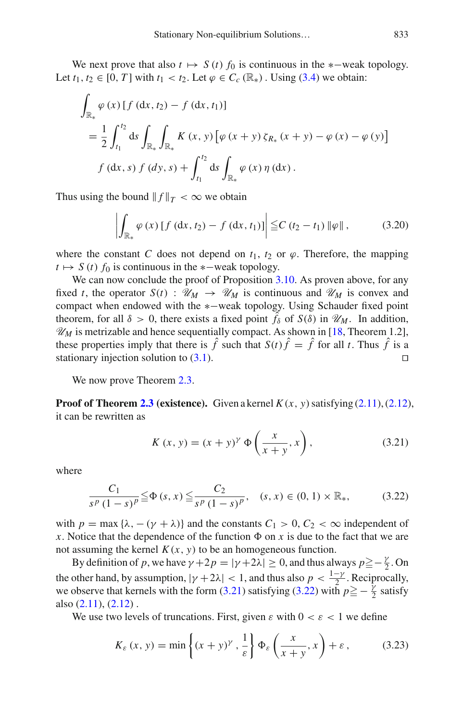We next prove that also  $t \mapsto S(t) f_0$  is continuous in the  $*$ -weak topology. Let  $t_1, t_2 \in [0, T]$  with  $t_1 < t_2$ . Let  $\varphi \in C_c(\mathbb{R}_*)$ . Using [\(3.4\)](#page-18-1) we obtain:

$$
\int_{\mathbb{R}_{*}} \varphi(x) \left[ f \left( dx, t_{2} \right) - f \left( dx, t_{1} \right) \right]
$$
\n
$$
= \frac{1}{2} \int_{t_{1}}^{t_{2}} ds \int_{\mathbb{R}_{*}} \int_{\mathbb{R}_{*}} K(x, y) \left[ \varphi(x + y) \zeta_{R_{*}}(x + y) - \varphi(x) - \varphi(y) \right]
$$
\n
$$
f \left( dx, s \right) f \left( dy, s \right) + \int_{t_{1}}^{t_{2}} ds \int_{\mathbb{R}_{*}} \varphi(x) \eta \left( dx \right).
$$

Thus using the bound  $|| f ||_T < \infty$  we obtain

$$
\left| \int_{\mathbb{R}_*} \varphi(x) \left[ f \left( dx, t_2 \right) - f \left( dx, t_1 \right) \right] \right| \leq C \left( t_2 - t_1 \right) \|\varphi\| \,, \tag{3.20}
$$

where the constant *C* does not depend on  $t_1$ ,  $t_2$  or  $\varphi$ . Therefore, the mapping  $t \mapsto S(t) f_0$  is continuous in the  $\ast$ -weak topology.

We can now conclude the proof of Proposition [3.10.](#page-21-0) As proven above, for any fixed *t*, the operator  $S(t)$  :  $\mathcal{U}_M \to \mathcal{U}_M$  is continuous and  $\mathcal{U}_M$  is convex and compact when endowed with the ∗−weak topology. Using Schauder fixed point theorem, for all  $\delta > 0$ , there exists a fixed point  $\hat{f}_\delta$  of  $S(\delta)$  in  $\mathcal{U}_M$ . In addition,  $\mathcal{U}_M$  is metrizable and hence sequentially compact. As shown in [\[18,](#page-64-4) Theorem 1.2], these properties imply that there is  $\hat{f}$  such that  $S(t)\hat{f} = \hat{f}$  for all *t*. Thus  $\hat{f}$  is a stationary injection solution to (3.1). stationary injection solution to  $(3.1)$ .

We now prove Theorem [2.3.](#page-12-1)

**Proof of Theorem [2.3](#page-12-1) (existence).** Given a kernel  $K(x, y)$  satisfying [\(2.11\)](#page-11-1), [\(2.12\)](#page-11-2), it can be rewritten as

<span id="page-24-0"></span>
$$
K(x, y) = (x + y)^{\gamma} \Phi\left(\frac{x}{x + y}, x\right),
$$
 (3.21)

where

<span id="page-24-1"></span>
$$
\frac{C_1}{s^p (1-s)^p} \leq \Phi(s, x) \leq \frac{C_2}{s^p (1-s)^p}, \quad (s, x) \in (0, 1) \times \mathbb{R}_*,
$$
 (3.22)

with  $p = \max{\{\lambda, -(\gamma + \lambda)\}}$  and the constants  $C_1 > 0, C_2 < \infty$  independent of *x*. Notice that the dependence of the function  $\Phi$  on *x* is due to the fact that we are not assuming the kernel  $K(x, y)$  to be an homogeneous function.

By definition of *p*, we have  $\gamma + 2p = |\gamma + 2\lambda| \ge 0$ , and thus always  $p \ge -\frac{\gamma}{2}$ . On the other hand, by assumption,  $|\gamma + 2\lambda| < 1$ , and thus also  $p < \frac{1-\gamma}{2}$ . Reciprocally, we observe that kernels with the form [\(3.21\)](#page-24-0) satisfying [\(3.22\)](#page-24-1) with  $p \ge -\frac{\gamma}{2}$  satisfy also  $(2.11)$ ,  $(2.12)$ .

We use two levels of truncations. First, given  $\varepsilon$  with  $0 < \varepsilon < 1$  we define

<span id="page-24-2"></span>
$$
K_{\varepsilon}(x, y) = \min\left\{(x + y)^{\gamma}, \frac{1}{\varepsilon}\right\} \Phi_{\varepsilon}\left(\frac{x}{x + y}, x\right) + \varepsilon, \tag{3.23}
$$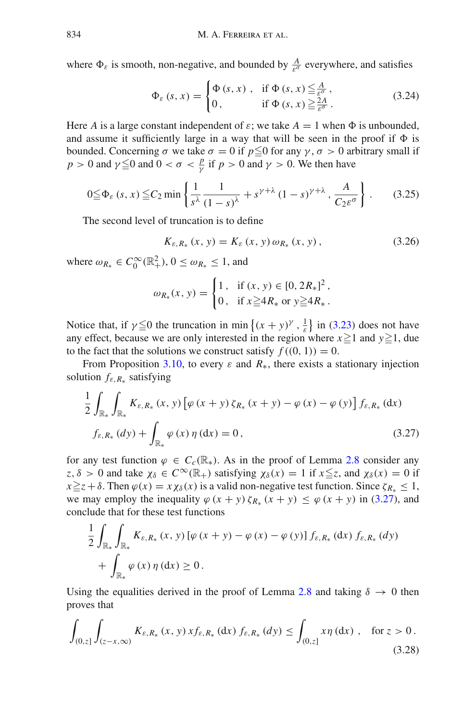where  $\Phi_{\varepsilon}$  is smooth, non-negative, and bounded by  $\frac{A}{\varepsilon^{\sigma}}$  everywhere, and satisfies

<span id="page-25-2"></span>
$$
\Phi_{\varepsilon}(s,x) = \begin{cases} \Phi(s,x) , & \text{if } \Phi(s,x) \leq \frac{A}{\varepsilon^{\sigma}} ,\\ 0 , & \text{if } \Phi(s,x) \geq \frac{2A}{\varepsilon^{\sigma}} . \end{cases}
$$
(3.24)

Here *A* is a large constant independent of  $\varepsilon$ ; we take  $A = 1$  when  $\Phi$  is unbounded, and assume it sufficiently large in a way that will be seen in the proof if  $\Phi$  is bounded. Concerning σ we take  $\sigma = 0$  if  $p \leq 0$  for any γ, σ > 0 arbitrary small if *p* > 0 and  $\gamma \le 0$  and  $0 < \sigma < \frac{p}{\gamma}$  if *p* > 0 and  $\gamma$  > 0. We then have

$$
0 \leq \Phi_{\varepsilon} \left( s, x \right) \leq C_2 \min \left\{ \frac{1}{s^{\lambda}} \frac{1}{\left( 1 - s \right)^{\lambda}} + s^{\gamma + \lambda} \left( 1 - s \right)^{\gamma + \lambda}, \frac{A}{C_2 \varepsilon^{\sigma}} \right\}.
$$
 (3.25)

The second level of truncation is to define

<span id="page-25-4"></span><span id="page-25-3"></span>
$$
K_{\varepsilon, R_*}(x, y) = K_{\varepsilon}(x, y) \, \omega_{R_*}(x, y) \,, \tag{3.26}
$$

where  $\omega_{R_*} \in C_0^{\infty}(\mathbb{R}^2_+), 0 \le \omega_{R_*} \le 1$ , and

<span id="page-25-0"></span>
$$
\omega_{R_*}(x, y) = \begin{cases} 1, & \text{if } (x, y) \in [0, 2R_*]^2, \\ 0, & \text{if } x \ge 4R_* \text{ or } y \ge 4R_*. \end{cases}
$$

Notice that, if  $\gamma \leq 0$  the truncation in min  $\{(x + y)^{\gamma}, \frac{1}{\varepsilon}\}\)$  in [\(3.23\)](#page-24-2) does not have any effect, because we are only interested in the region where  $x \ge 1$  and  $y \ge 1$ , due to the fact that the solutions we construct satisfy  $f((0, 1)) = 0$ .

From Proposition [3.10,](#page-21-0) to every  $\varepsilon$  and  $R_{*}$ , there exists a stationary injection solution *f*ε,*R*<sup>∗</sup> satisfying

$$
\frac{1}{2} \int_{\mathbb{R}_{*}} \int_{\mathbb{R}_{*}} K_{\varepsilon, R_{*}}(x, y) \left[ \varphi(x + y) \zeta_{R_{*}}(x + y) - \varphi(x) - \varphi(y) \right] f_{\varepsilon, R_{*}}(\mathrm{d}x) \nf_{\varepsilon, R_{*}}(\mathrm{d}y) + \int_{\mathbb{R}_{*}} \varphi(x) \eta(\mathrm{d}x) = 0,
$$
\n(3.27)

for any test function  $\varphi \in C_c(\mathbb{R}_*)$ . As in the proof of Lemma [2.8](#page-13-0) consider any  $z, \delta > 0$  and take  $\chi_{\delta} \in C^{\infty}(\mathbb{R}_+)$  satisfying  $\chi_{\delta}(x) = 1$  if  $x \leq z$ , and  $\chi_{\delta}(x) = 0$  if  $x \ge z + \delta$ . Then  $\varphi(x) = x \chi_{\delta}(x)$  is a valid non-negative test function. Since  $\zeta_{R_{*}} \le 1$ , we may employ the inequality  $\varphi$  (*x* + *y*)  $\zeta_{R_{*}}$  (*x* + *y*)  $\leq \varphi$  (*x* + *y*) in [\(3.27\)](#page-25-0), and conclude that for these test functions

$$
\frac{1}{2} \int_{\mathbb{R}_{*}} \int_{\mathbb{R}_{*}} K_{\varepsilon, R_{*}} (x, y) \left[ \varphi (x + y) - \varphi (x) - \varphi (y) \right] f_{\varepsilon, R_{*}} (dx) f_{\varepsilon, R_{*}} (dy) \n+ \int_{\mathbb{R}_{*}} \varphi (x) \eta (dx) \ge 0.
$$

Using the equalities derived in the proof of Lemma [2.8](#page-13-0) and taking  $\delta \rightarrow 0$  then proves that

<span id="page-25-1"></span>
$$
\int_{(0,z]} \int_{(z-x,\infty)} K_{\varepsilon,R_*}(x,y) x f_{\varepsilon,R_*}(dx) f_{\varepsilon,R_*}(dy) \le \int_{(0,z]} x \eta \, dx \, , \quad \text{for } z > 0 \, .
$$
\n(3.28)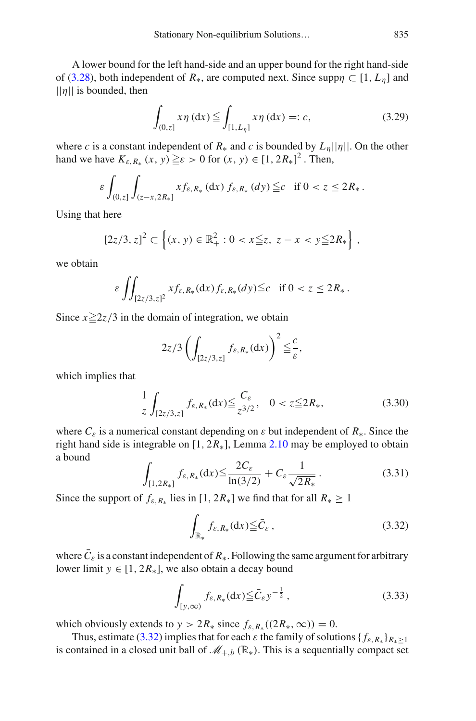A lower bound for the left hand-side and an upper bound for the right hand-side of [\(3.28\)](#page-25-1), both independent of  $R_{*}$ , are computed next. Since supp $\eta \subset [1, L_n]$  and  $||\eta||$  is bounded, then

<span id="page-26-2"></span>
$$
\int_{(0,z]} x \eta \,(\mathrm{d}x) \leqq \int_{[1,L_{\eta}]} x \eta \,(\mathrm{d}x) =: c,\tag{3.29}
$$

where *c* is a constant independent of  $R_*$  and *c* is bounded by  $L_n||\eta||$ . On the other hand we have  $K_{\varepsilon, R_*}(x, y) \geq \varepsilon > 0$  for  $(x, y) \in [1, 2R_*]^2$ . Then,

$$
\varepsilon \int_{(0,z]} \int_{(z-x,2R_*)} x f_{\varepsilon,R_*} \,(\mathrm{d}x) \, f_{\varepsilon,R_*} \,(\mathrm{d}y) \leq c \quad \text{if } 0 < z \leq 2R_* \,.
$$

Using that here

$$
[2z/3, z]^2 \subset \left\{ (x, y) \in \mathbb{R}_+^2 : 0 < x \leq z, \ z - x < y \leq 2R_* \right\},
$$

we obtain

$$
\varepsilon \iint_{[2z/3,z]^2} x f_{\varepsilon,R_*}(\mathrm{d} x) f_{\varepsilon,R_*}(d y) \leq c \quad \text{if } 0 < z \leq 2R_*.
$$

Since  $x \ge 2z/3$  in the domain of integration, we obtain

$$
2z/3\left(\int_{[2z/3,z]}f_{\varepsilon,R_*}(\mathrm{d}x)\right)^2\leq\frac{c}{\varepsilon},
$$

which implies that

$$
\frac{1}{z} \int_{[2z/3,z]} f_{\varepsilon,R_*}(\mathrm{d}x) \le \frac{C_{\varepsilon}}{z^{3/2}}, \quad 0 < z \le 2R_*, \tag{3.30}
$$

where  $C_{\varepsilon}$  is a numerical constant depending on  $\varepsilon$  but independent of  $R_{*}$ . Since the right hand side is integrable on  $[1, 2R<sub>*</sub>]$ , Lemma [2.10](#page-14-3) may be employed to obtain a bound

$$
\int_{[1,2R_*]} f_{\varepsilon,R_*}(\mathrm{d}x) \le \frac{2C_{\varepsilon}}{\ln(3/2)} + C_{\varepsilon} \frac{1}{\sqrt{2R_*}}.
$$
\n(3.31)

Since the support of  $f_{\varepsilon, R_*}$  lies in [1, 2 $R_*$ ] we find that for all  $R_* \ge 1$ 

<span id="page-26-1"></span><span id="page-26-0"></span>
$$
\int_{\mathbb{R}_*} f_{\varepsilon, R_*}(\mathrm{d}x) \leq \bar{C}_{\varepsilon} \,, \tag{3.32}
$$

where  $C_{\varepsilon}$  is a constant independent of  $R_{*}$ . Following the same argument for arbitrary lower limit  $y \in [1, 2R_*]$ , we also obtain a decay bound

$$
\int_{[y,\infty)} f_{\varepsilon,R_*}(\mathrm{d}x) \leqq \bar{C}_{\varepsilon} y^{-\frac{1}{2}},\tag{3.33}
$$

which obviously extends to  $y > 2R_*$  since  $f_{\varepsilon, R_*}((2R_*, \infty)) = 0$ .

Thus, estimate [\(3.32\)](#page-26-0) implies that for each  $\varepsilon$  the family of solutions { $f_{\varepsilon,R_*}$ } $R_* > 1$ is contained in a closed unit ball of  $\mathcal{M}_{+,b}(\mathbb{R}_{})$ . This is a sequentially compact set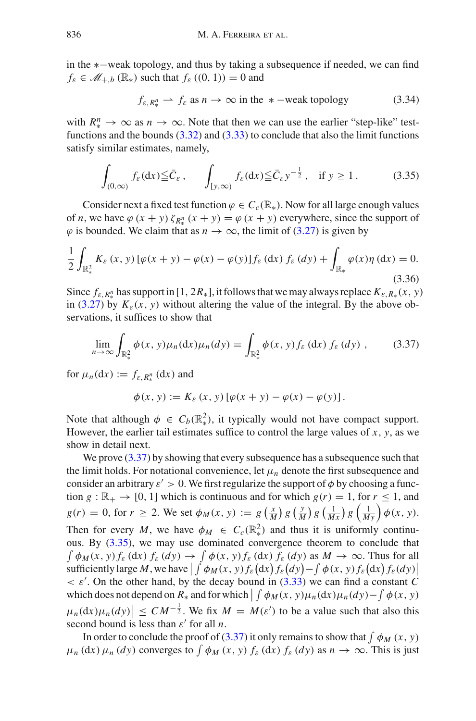in the ∗−weak topology, and thus by taking a subsequence if needed, we can find  $f_{\varepsilon} \in \mathcal{M}_{+,b}(\mathbb{R}_{*})$  such that  $f_{\varepsilon}((0, 1)) = 0$  and

<span id="page-27-2"></span><span id="page-27-1"></span>
$$
f_{\varepsilon, R^n_*} \rightharpoonup f_{\varepsilon}
$$
 as  $n \to \infty$  in the \* –weak topology (3.34)

with  $R^n_* \to \infty$  as  $n \to \infty$ . Note that then we can use the earlier "step-like" testfunctions and the bounds [\(3.32\)](#page-26-0) and [\(3.33\)](#page-26-1) to conclude that also the limit functions satisfy similar estimates, namely,

$$
\int_{(0,\infty)} f_{\varepsilon}(\mathrm{d}x) \leq \bar{C}_{\varepsilon}, \qquad \int_{[y,\infty)} f_{\varepsilon}(\mathrm{d}x) \leq \bar{C}_{\varepsilon} y^{-\frac{1}{2}}, \quad \text{if } y \geq 1. \tag{3.35}
$$

Consider next a fixed test function  $\varphi \in C_c(\mathbb{R})$ . Now for all large enough values of *n*, we have  $\varphi$  (*x* + *y*)  $\zeta_{R_*^n}$  (*x* + *y*) =  $\varphi$  (*x* + *y*) everywhere, since the support of  $\varphi$  is bounded. We claim that as  $n \to \infty$ , the limit of [\(3.27\)](#page-25-0) is given by

$$
\frac{1}{2} \int_{\mathbb{R}^2_*} K_{\varepsilon}(x, y) \left[ \varphi(x + y) - \varphi(x) - \varphi(y) \right] f_{\varepsilon}(dx) f_{\varepsilon}(dy) + \int_{\mathbb{R}_*} \varphi(x) \eta(dx) = 0. \tag{3.36}
$$

Since  $f_{\varepsilon, R_*^n}$  has support in [1, 2 $R_*$ ], it follows that we may always replace  $K_{\varepsilon, R_*}(x, y)$ in [\(3.27\)](#page-25-0) by  $K_{\varepsilon}(x, y)$  without altering the value of the integral. By the above observations, it suffices to show that

$$
\lim_{n \to \infty} \int_{\mathbb{R}^2_*} \phi(x, y) \mu_n(\mathrm{d}x) \mu_n(\mathrm{d}y) = \int_{\mathbb{R}^2_*} \phi(x, y) f_{\varepsilon}(\mathrm{d}x) f_{\varepsilon}(\mathrm{d}y) , \qquad (3.37)
$$

for  $\mu_n(\mathrm{d}x) := f_{\varepsilon,R^n_*}(\mathrm{d}x)$  and

<span id="page-27-0"></span>
$$
\phi(x, y) := K_{\varepsilon}(x, y) [\varphi(x + y) - \varphi(x) - \varphi(y)].
$$

Note that although  $\phi \in C_b(\mathbb{R}^2)$ , it typically would not have compact support. However, the earlier tail estimates suffice to control the large values of  $x$ ,  $y$ , as we show in detail next.

We prove  $(3.37)$  by showing that every subsequence has a subsequence such that the limit holds. For notational convenience, let  $\mu_n$  denote the first subsequence and consider an arbitrary  $\varepsilon > 0$ . We first regularize the support of  $\phi$  by choosing a function  $g : \mathbb{R}_+ \to [0, 1]$  which is continuous and for which  $g(r) = 1$ , for  $r \le 1$ , and  $g(r) = 0$ , for  $r \ge 2$ . We set  $\phi_M(x, y) := g\left(\frac{x}{M}\right) g\left(\frac{y}{M}\right) g\left(\frac{1}{Mx}\right) g\left(\frac{1}{My}\right) \phi(x, y)$ . Then for every *M*, we have  $\phi_M \in C_c(\mathbb{R}^2)$  and thus it is uniformly continuous. By [\(3.35\)](#page-27-1), we may use dominated convergence theorem to conclude that  $\int \phi_M(x, y) f_{\varepsilon} (dx) f_{\varepsilon} (dy) \to \int \phi(x, y) f_{\varepsilon} (dx) f_{\varepsilon} (dy)$  as  $M \to \infty$ . Thus for all  $\sup_{\epsilon \in \mathcal{A}} \sup_{\epsilon \in \mathcal{A}} M$ , we have  $\left| \int \phi_M(x, y) f_{\epsilon}(\mathrm{d}x) f_{\epsilon}(\mathrm{d}y) - \int \phi(x, y) f_{\epsilon}(\mathrm{d}x) f_{\epsilon}(\mathrm{d}y) \right|$ sufficiently large *m*, we have  $\int \int \psi_M(x, y) f_{\varepsilon}(ux) f_{\varepsilon}(uy) = \int \psi(x, y) f_{\varepsilon}(ux) f_{\varepsilon}(ux) f_{\varepsilon}(ux)$ <br><  $\varepsilon'$ . On the other hand, by the decay bound in [\(3.33\)](#page-26-1) we can find a constant *C* which does not depend on  $R_*$  and for which  $\left| \int \phi_M(x, y) \mu_n(\mathrm{d}x) \mu_n(\mathrm{d}y) - \int \phi(x, y) \mu_n(\mathrm{d}y) \right|$  $\mu_n(\mathrm{d}x)\mu_n(\mathrm{d}y) \leq CM^{-\frac{1}{2}}$ . We fix  $M = M(\varepsilon')$  to be a value such that also this second bound is less than  $\varepsilon'$  for all *n*.

In order to conclude the proof of [\(3.37\)](#page-27-0) it only remains to show that  $\int \phi_M(x, y)$  $\mu_n$  (dx)  $\mu_n$  (dy) converges to  $\int \phi_M(x, y) f_{\varepsilon}$  (dx)  $f_{\varepsilon}$  (dy) as  $n \to \infty$ . This is just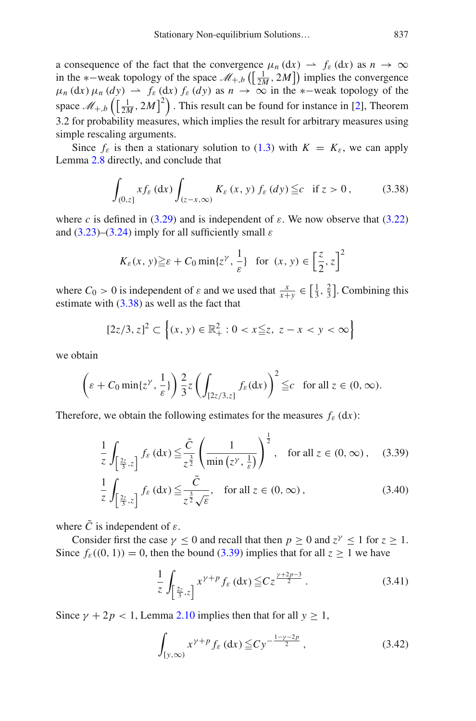a consequence of the fact that the convergence  $\mu_n$  (dx)  $\rightarrow$   $f_{\varepsilon}$  (dx) as  $n \rightarrow \infty$ in the ∗–weak topology of the space  $\mathcal{M}_{+,b}$  ( $\left[\frac{1}{2M}, 2M\right]$ ) implies the convergence  $\mu_n$  (dx)  $\mu_n$  (dy)  $\rightarrow$   $f_\varepsilon$  (dx)  $f_\varepsilon$  (dy) as  $n \rightarrow \infty$  in the ∗-weak topology of the space  $\mathscr{M}_{+,b}\left(\left[\frac{1}{2M},2M\right]^2\right)$ . This result can be found for instance in [\[2\]](#page-64-15), Theorem 3.2 for probability measures, which implies the result for arbitrary measures using simple rescaling arguments.

Since  $f_{\varepsilon}$  is then a stationary solution to [\(1.3\)](#page-3-0) with  $K = K_{\varepsilon}$ , we can apply Lemma [2.8](#page-13-0) directly, and conclude that

<span id="page-28-0"></span>
$$
\int_{(0,z]} x f_{\varepsilon} \, dx) \int_{(z-x,\infty)} K_{\varepsilon} \, (x,\, y) \, f_{\varepsilon} \, (dy) \leqq c \quad \text{if } z > 0 \,, \tag{3.38}
$$

where *c* is defined in [\(3.29\)](#page-26-2) and is independent of  $\varepsilon$ . We now observe that [\(3.22\)](#page-24-1) and  $(3.23)$ – $(3.24)$  imply for all sufficiently small  $\varepsilon$ 

$$
K_{\varepsilon}(x, y) \ge \varepsilon + C_0 \min\{z^{\gamma}, \frac{1}{\varepsilon}\} \text{ for } (x, y) \in \left[\frac{z}{2}, z\right]^2
$$

where  $C_0 > 0$  is independent of  $\varepsilon$  and we used that  $\frac{x}{x+y} \in \left[\frac{1}{3}, \frac{2}{3}\right]$ . Combining this estimate with [\(3.38\)](#page-28-0) as well as the fact that

$$
[2z/3, z]^2 \subset \left\{ (x, y) \in \mathbb{R}_+^2 : 0 < x \leq z, \ z - x < y < \infty \right\}
$$

we obtain

$$
\left(\varepsilon + C_0 \min\{z^\gamma, \frac{1}{\varepsilon}\}\right) \frac{2}{3} z \left(\int_{[2z/3, z]} f_\varepsilon(\mathrm{d} x)\right)^2 \leqq c \quad \text{for all } z \in (0, \infty).
$$

Therefore, we obtain the following estimates for the measures  $f_{\varepsilon}$  (dx):

<span id="page-28-1"></span>
$$
\frac{1}{z} \int_{\left[\frac{2z}{3},z\right]} f_{\varepsilon} \left(\mathrm{d}x\right) \leq \frac{\tilde{C}}{z^{\frac{3}{2}}} \left(\frac{1}{\min\left(z^{\gamma}, \frac{1}{\varepsilon}\right)}\right)^{\frac{1}{2}}, \quad \text{for all } z \in (0, \infty), \quad (3.39)
$$

$$
\frac{1}{z} \int_{\left[\frac{2z}{3},z\right]} f_{\varepsilon} \left(\mathrm{d}x\right) \leq \frac{\tilde{C}}{z^{\frac{3}{2}} \sqrt{\varepsilon}}, \quad \text{for all } z \in (0,\infty), \tag{3.40}
$$

where  $\tilde{C}$  is independent of  $\varepsilon$ .

Consider first the case  $\gamma$  < 0 and recall that then  $p > 0$  and  $z^{\gamma}$  < 1 for  $z > 1$ . Since  $f_{\varepsilon}((0, 1)) = 0$ , then the bound [\(3.39\)](#page-28-1) implies that for all  $z \ge 1$  we have

$$
\frac{1}{z} \int_{\left[\frac{2z}{3},z\right]} x^{\gamma+p} f_{\varepsilon} \left(\mathrm{d}x\right) \leqq C z^{\frac{\gamma+2p-3}{2}} \,. \tag{3.41}
$$

Since  $\gamma + 2p < 1$ , Lemma [2.10](#page-14-3) implies then that for all  $y \ge 1$ ,

$$
\int_{[y,\infty)} x^{\gamma+p} f_{\varepsilon} \,(\mathrm{d}x) \leq C y^{-\frac{1-\gamma-2p}{2}} \,, \tag{3.42}
$$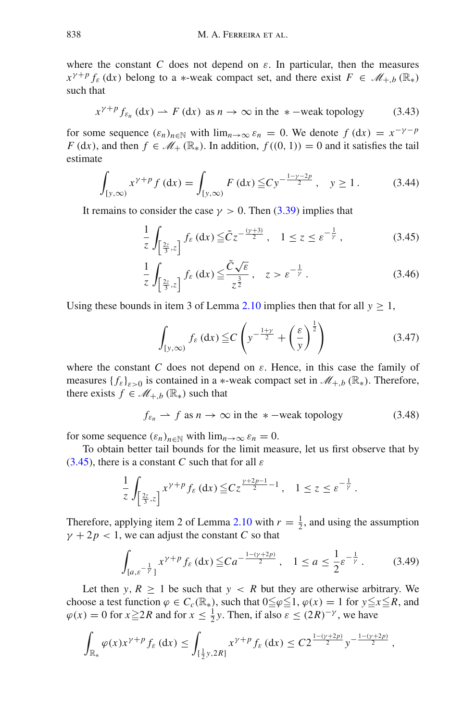where the constant *C* does not depend on  $\varepsilon$ . In particular, then the measures  $x^{\gamma+p} f_{\varepsilon}$  (dx) belong to a  $*$ -weak compact set, and there exist  $F \in \mathcal{M}_{+,b}(\mathbb{R}_*)$ such that

<span id="page-29-2"></span>
$$
x^{\gamma+p} f_{\varepsilon_n} \,(\mathrm{d}x) \rightharpoonup F \,(\mathrm{d}x) \text{ as } n \to \infty \text{ in the } *-\text{weak topology} \tag{3.43}
$$

for some sequence  $(\varepsilon_n)_{n \in \mathbb{N}}$  with  $\lim_{n \to \infty} \varepsilon_n = 0$ . We denote  $f(\mathrm{d}x) = x^{-\gamma - p}$ *F* (d*x*), and then  $f \in \mathcal{M}_+(\mathbb{R}_*)$ . In addition,  $f((0, 1)) = 0$  and it satisfies the tail estimate

<span id="page-29-5"></span>
$$
\int_{[y,\infty)} x^{\gamma+p} f(\mathrm{d}x) = \int_{[y,\infty)} F(\mathrm{d}x) \leq C y^{-\frac{1-\gamma-2p}{2}}, \quad y \geq 1. \tag{3.44}
$$

It remains to consider the case  $\gamma > 0$ . Then [\(3.39\)](#page-28-1) implies that

$$
\frac{1}{z} \int_{\left[\frac{2z}{3},z\right]} f_{\varepsilon} \left(\mathrm{d}x\right) \leq \tilde{C} z^{-\frac{(y+3)}{2}}, \quad 1 \leq z \leq \varepsilon^{-\frac{1}{\gamma}},\tag{3.45}
$$

<span id="page-29-0"></span>
$$
\frac{1}{z} \int_{\left[\frac{2z}{3},z\right]} f_{\varepsilon} \left(\mathrm{d}x\right) \leq \frac{\tilde{C}\sqrt{\varepsilon}}{z^{\frac{3}{2}}}, \quad z > \varepsilon^{-\frac{1}{\gamma}}.
$$
\n(3.46)

Using these bounds in item 3 of Lemma [2.10](#page-14-3) implies then that for all  $y \ge 1$ ,

<span id="page-29-4"></span>
$$
\int_{[y,\infty)} f_{\varepsilon} \left( dx \right) \leq C \left( y^{-\frac{1+y}{2}} + \left( \frac{\varepsilon}{y} \right)^{\frac{1}{2}} \right) \tag{3.47}
$$

where the constant *C* does not depend on  $\varepsilon$ . Hence, in this case the family of measures  ${f_{\varepsilon}}_{\varepsilon>0}$  is contained in a  $*$ -weak compact set in  $\mathcal{M}_{+,b}(\mathbb{R}_{*})$ . Therefore, there exists  $f \in \mathcal{M}_{+,b}(\mathbb{R}_{*})$  such that

<span id="page-29-3"></span>
$$
f_{\varepsilon_n} \rightharpoonup f \text{ as } n \to \infty \text{ in the } *-\text{weak topology} \tag{3.48}
$$

for some sequence  $(\varepsilon_n)_{n \in \mathbb{N}}$  with  $\lim_{n \to \infty} \varepsilon_n = 0$ .

To obtain better tail bounds for the limit measure, let us first observe that by [\(3.45\)](#page-29-0), there is a constant *C* such that for all  $\varepsilon$ 

$$
\frac{1}{z}\int_{\left[\frac{2z}{3},z\right]} x^{\gamma+p} f_{\varepsilon} \left(\mathrm{d}x\right) \leq C z^{\frac{\gamma+2p-1}{2}-1}, \quad 1 \leq z \leq \varepsilon^{-\frac{1}{\gamma}}.
$$

Therefore, applying item 2 of Lemma [2.10](#page-14-3) with  $r = \frac{1}{2}$ , and using the assumption  $\gamma + 2p < 1$ , we can adjust the constant *C* so that

<span id="page-29-1"></span>
$$
\int_{[a,\varepsilon^{-\frac{1}{\gamma}}]} x^{\gamma+p} f_{\varepsilon} \,(\mathrm{d}x) \leq C a^{-\frac{1-(\gamma+2p)}{2}}, \quad 1 \leq a \leq \frac{1}{2} \varepsilon^{-\frac{1}{\gamma}}. \tag{3.49}
$$

Let then *y*,  $R \ge 1$  be such that  $y < R$  but they are otherwise arbitrary. We choose a test function  $\varphi \in C_c(\mathbb{R}_*)$ , such that  $0 \leq \varphi \leq 1$ ,  $\varphi(x) = 1$  for  $y \leq x \leq R$ , and  $\varphi(x) = 0$  for  $x \ge 2R$  and for  $x \le \frac{1}{2}y$ . Then, if also  $\varepsilon \le (2R)^{-\gamma}$ , we have

$$
\int_{\mathbb{R}_*} \varphi(x) x^{\gamma+p} f_{\varepsilon} \,(\mathrm{d} x) \le \int_{[\frac{1}{2}y, 2R]} x^{\gamma+p} f_{\varepsilon} \,(\mathrm{d} x) \le C 2^{\frac{1-(\gamma+2p)}{2}} y^{-\frac{1-(\gamma+2p)}{2}},
$$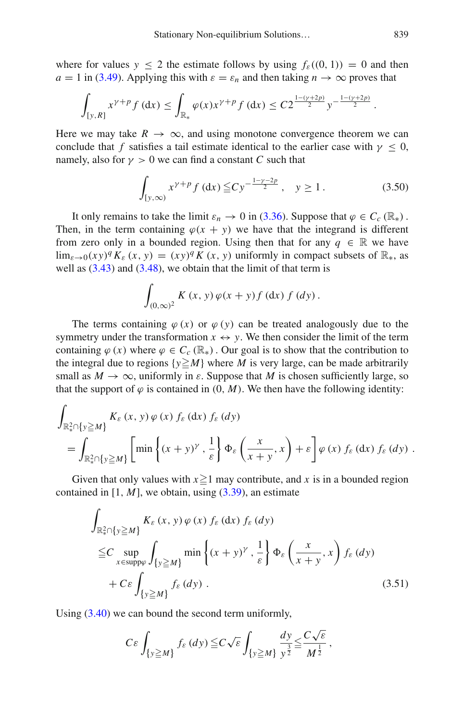where for values  $y \le 2$  the estimate follows by using  $f_{\varepsilon}((0, 1)) = 0$  and then  $a = 1$  in [\(3.49\)](#page-29-1). Applying this with  $\varepsilon = \varepsilon_n$  and then taking  $n \to \infty$  proves that

$$
\int_{[y,R]} x^{\gamma+p} f(\mathrm{d} x) \leq \int_{\mathbb{R}_*} \varphi(x) x^{\gamma+p} f(\mathrm{d} x) \leq C 2^{\frac{1-(\gamma+2p)}{2}} y^{-\frac{1-(\gamma+2p)}{2}}.
$$

Here we may take  $R \to \infty$ , and using monotone convergence theorem we can conclude that *f* satisfies a tail estimate identical to the earlier case with  $\gamma < 0$ , namely, also for  $\gamma > 0$  we can find a constant *C* such that

<span id="page-30-1"></span>
$$
\int_{[y,\infty)} x^{\gamma+p} f(\mathrm{d}x) \leq C y^{-\frac{1-\gamma-2p}{2}}, \quad y \geq 1. \tag{3.50}
$$

It only remains to take the limit  $\varepsilon_n \to 0$  in [\(3.36\)](#page-27-2). Suppose that  $\varphi \in C_c(\mathbb{R}_*)$ . Then, in the term containing  $\varphi(x + y)$  we have that the integrand is different from zero only in a bounded region. Using then that for any  $q \in \mathbb{R}$  we have  $\lim_{\varepsilon \to 0} (xy)^q K_{\varepsilon} (x, y) = (xy)^q K (x, y)$  uniformly in compact subsets of  $\mathbb{R}_*$ , as well as  $(3.43)$  and  $(3.48)$ , we obtain that the limit of that term is

$$
\int_{(0,\infty)^2} K(x,y) \varphi(x+y) f(\mathrm{d}x) f(\mathrm{d}y).
$$

The terms containing  $\varphi(x)$  or  $\varphi(y)$  can be treated analogously due to the symmetry under the transformation  $x \leftrightarrow y$ . We then consider the limit of the term containing  $\varphi(x)$  where  $\varphi \in C_c(\mathbb{R})$ . Our goal is to show that the contribution to the integral due to regions  $\{y \ge M\}$  where *M* is very large, can be made arbitrarily small as  $M \to \infty$ , uniformly in  $\varepsilon$ . Suppose that M is chosen sufficiently large, so that the support of  $\varphi$  is contained in  $(0, M)$ . We then have the following identity:

$$
\int_{\mathbb{R}^2_x \cap \{y \ge M\}} K_{\varepsilon}(x, y) \varphi(x) f_{\varepsilon}(dx) f_{\varepsilon}(dy) \n= \int_{\mathbb{R}^2_x \cap \{y \ge M\}} \left[ \min \left\{ (x + y)^\gamma, \frac{1}{\varepsilon} \right\} \Phi_{\varepsilon} \left( \frac{x}{x + y}, x \right) + \varepsilon \right] \varphi(x) f_{\varepsilon}(dx) f_{\varepsilon}(dy).
$$

Given that only values with  $x \ge 1$  may contribute, and x is in a bounded region contained in  $[1, M]$ , we obtain, using  $(3.39)$ , an estimate

$$
\int_{\mathbb{R}^2_x \cap \{y \ge M\}} K_{\varepsilon}(x, y) \varphi(x) f_{\varepsilon}(dx) f_{\varepsilon}(dy) \n\le C \sup_{x \in \text{supp}\varphi} \int_{\{y \ge M\}} \min \left\{ (x + y)^{\gamma}, \frac{1}{\varepsilon} \right\} \Phi_{\varepsilon} \left( \frac{x}{x + y}, x \right) f_{\varepsilon}(dy) \n+ C \varepsilon \int_{\{y \ge M\}} f_{\varepsilon}(dy).
$$
\n(3.51)

Using [\(3.40\)](#page-28-1) we can bound the second term uniformly,

<span id="page-30-0"></span>
$$
C\varepsilon \int_{\{y\geq M\}} f_{\varepsilon}(dy) \leq C\sqrt{\varepsilon} \int_{\{y\geq M\}} \frac{dy}{y^{\frac{3}{2}}} \leq \frac{C\sqrt{\varepsilon}}{M^{\frac{1}{2}}},
$$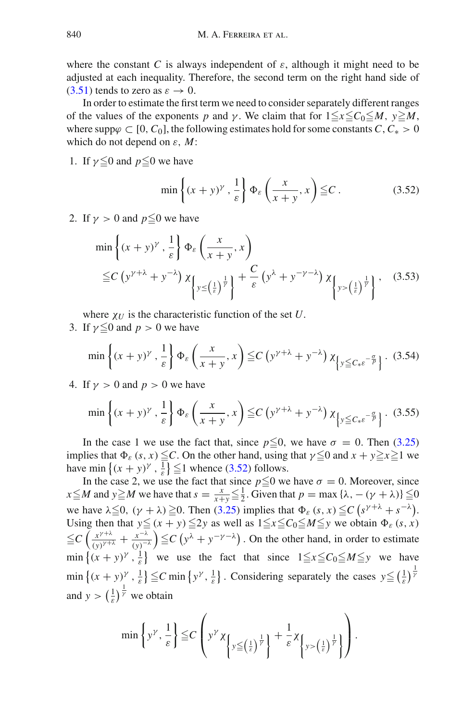where the constant *C* is always independent of  $\varepsilon$ , although it might need to be adjusted at each inequality. Therefore, the second term on the right hand side of [\(3.51\)](#page-30-0) tends to zero as  $\varepsilon \to 0$ .

In order to estimate the first term we need to consider separately different ranges of the values of the exponents *p* and *γ*. We claim that for  $1 \le x \le C_0 \le M$ ,  $y \ge M$ , where supp $\varphi \subset [0, C_0]$ , the following estimates hold for some constants *C*,  $C_* > 0$ which do not depend on ε, *M*:

1. If  $\gamma \leq 0$  and  $p \leq 0$  we have

<span id="page-31-1"></span><span id="page-31-0"></span>
$$
\min\left\{(x+y)^{\gamma}, \frac{1}{\varepsilon}\right\} \Phi_{\varepsilon}\left(\frac{x}{x+y}, x\right) \leqq C. \tag{3.52}
$$

2. If  $\gamma > 0$  and  $p \leq 0$  we have

$$
\min\left\{ (x+y)^{\gamma}, \frac{1}{\varepsilon} \right\} \Phi_{\varepsilon} \left( \frac{x}{x+y}, x \right)
$$
  
\n
$$
\leq C \left( y^{\gamma+\lambda} + y^{-\lambda} \right) \chi_{\left\{ y \leq \left( \frac{1}{\varepsilon} \right)^{\frac{1}{\gamma}} \right\}} + \frac{C}{\varepsilon} \left( y^{\lambda} + y^{-\gamma-\lambda} \right) \chi_{\left\{ y > \left( \frac{1}{\varepsilon} \right)^{\frac{1}{\gamma}} \right\}}, \quad (3.53)
$$

where  $\chi_U$  is the characteristic function of the set  $U$ .

3. If  $\gamma \leq 0$  and  $p > 0$  we have

<span id="page-31-2"></span>
$$
\min\left\{(x+y)^\gamma,\frac{1}{\varepsilon}\right\}\Phi_\varepsilon\left(\frac{x}{x+y},x\right)\leq C\left(y^{\gamma+\lambda}+y^{-\lambda}\right)\chi_{\left\{y\leq C_\ast\varepsilon^{-\frac{\sigma}{p}}\right\}}.\tag{3.54}
$$

4. If  $y > 0$  and  $p > 0$  we have

<span id="page-31-3"></span>
$$
\min\left\{(x+y)^\gamma,\frac{1}{\varepsilon}\right\}\Phi_\varepsilon\left(\frac{x}{x+y},x\right)\leq C\left(y^{\gamma+\lambda}+y^{-\lambda}\right)\chi_{\left[y\leq C_*\varepsilon^{-\frac{\sigma}{p}}\right]}.\tag{3.55}
$$

In the case 1 we use the fact that, since  $p \le 0$ , we have  $\sigma = 0$ . Then [\(3.25\)](#page-25-3) implies that  $\Phi_{\varepsilon}$  (*s*, *x*)  $\leq$ C. On the other hand, using that  $\gamma \leq 0$  and  $x + y \geq x \geq 1$  we have min  $\{(x + y)^{\gamma}, \frac{1}{\varepsilon}\}\leq 1$  whence [\(3.52\)](#page-31-0) follows.

In the case 2, we use the fact that since  $p \le 0$  we have  $\sigma = 0$ . Moreover, since  $x \le M$  and  $y \ge M$  we have that  $s = \frac{x}{x+y} \le \frac{1}{2}$ . Given that  $p = \max{\{\lambda, -(\gamma + \lambda)\}} \le 0$ we have  $\lambda \leq 0$ ,  $(\gamma + \lambda) \geq 0$ . Then [\(3.25\)](#page-25-3) implies that  $\Phi_{\varepsilon} (s, x) \leq C (s^{\gamma + \lambda} + s^{-\lambda})$ . Using then that  $y \le (x + y) \le 2y$  as well as  $1 \le x \le C_0 \le M \le y$  we obtain  $\Phi_{\varepsilon}(s, x)$  $\leq C\left(\frac{x^{\gamma+\lambda}}{(y)^{\gamma+\lambda}}+\frac{x^{-\lambda}}{(y)^{-\lambda}}\right)\leq C\left(y^\lambda+y^{-\gamma-\lambda}\right)$ . On the other hand, in order to estimate  $\min \left\{ (x + y)^{\gamma}, \frac{1}{\varepsilon} \right\}$  we use the fact that since  $1 \le x \le C_0 \le M \le y$  we have  $\min\left\{(x+y)^{\gamma}, \frac{1}{\varepsilon}\right\} \leq C \min\left\{y^{\gamma}, \frac{1}{\varepsilon}\right\}$ . Considering separately the cases  $y \leq \left(\frac{1}{\varepsilon}\right)^{\frac{1}{\gamma}}$ and  $y > \left(\frac{1}{\varepsilon}\right)^{\frac{1}{\gamma}}$  we obtain

$$
\min\left\{\mathbf{y}^{\gamma},\frac{1}{\varepsilon}\right\} \leqq C \left(\mathbf{y}^{\gamma} \chi_{\left\{\mathbf{y} \leq \left(\frac{1}{\varepsilon}\right)^{\frac{1}{\gamma}}\right\}} + \frac{1}{\varepsilon} \chi_{\left\{\mathbf{y} > \left(\frac{1}{\varepsilon}\right)^{\frac{1}{\gamma}}\right\}}\right).
$$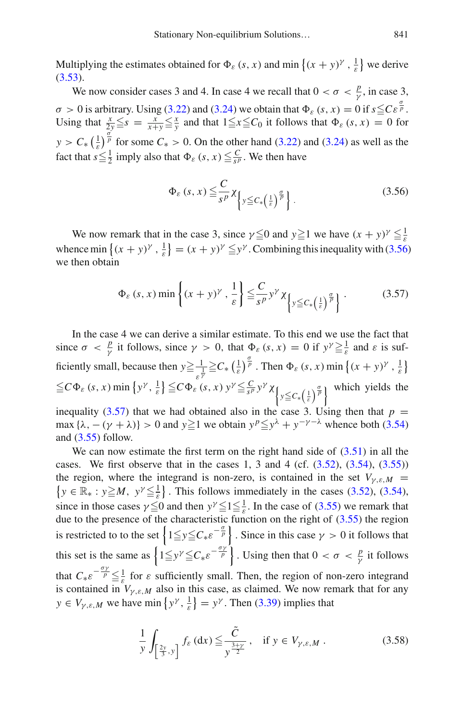Multiplying the estimates obtained for  $\Phi_{\varepsilon}$  (*s*, *x*) and min  $\{(x + y)^{\gamma}, \frac{1}{\varepsilon}\}$  we derive  $(3.53).$  $(3.53).$ 

We now consider cases 3 and 4. In case 4 we recall that  $0 < \sigma < \frac{p}{\gamma}$ , in case 3,  $\sigma > 0$  is arbitrary. Using [\(3.22\)](#page-24-1) and [\(3.24\)](#page-25-2) we obtain that  $\Phi_{\varepsilon}(s, x) = 0$  if  $s \leq C \varepsilon^{\frac{\sigma}{p}}$ . Using that  $\frac{x}{2} \leq s = \frac{x}{x+y} \leq \frac{x}{y}$  and that  $1 \leq x \leq C_0$  it follows that  $\Phi_{\varepsilon}(s, x) = 0$  for  $y > C_* \left(\frac{1}{\varepsilon}\right)^{\frac{\sigma}{p}}$  for some  $C_* > 0$ . On the other hand [\(3.22\)](#page-24-1) and [\(3.24\)](#page-25-2) as well as the fact that  $s \leq \frac{1}{2}$  imply also that  $\Phi_{\varepsilon}(s, x) \leq \frac{C}{s^p}$ . We then have

<span id="page-32-0"></span>
$$
\Phi_{\varepsilon}(s,x) \leq \frac{C}{s^p} \chi_{\left\{y \leq C_* \left(\frac{1}{\varepsilon}\right)^{\frac{\sigma}{p}}\right\}}.
$$
\n(3.56)

We now remark that in the case 3, since  $\gamma \leq 0$  and  $y \geq 1$  we have  $(x + y)^{\gamma} \leq \frac{1}{\varepsilon}$ whence min  $\{(x + y)^{\gamma}, \frac{1}{\varepsilon}\} = (x + y)^{\gamma} \leq y^{\gamma}$ . Combining this inequality with [\(3.56\)](#page-32-0) we then obtain

<span id="page-32-1"></span>
$$
\Phi_{\varepsilon}(s, x) \min\left\{(x+y)^{\gamma}, \frac{1}{\varepsilon}\right\} \leq \frac{C}{s^p} y^{\gamma} \chi_{\left\{y \leq C_*\left(\frac{1}{\varepsilon}\right)^{\frac{\sigma}{p}}\right\}}.
$$
\n(3.57)

In the case 4 we can derive a similar estimate. To this end we use the fact that since  $\sigma < \frac{p}{\gamma}$  it follows, since  $\gamma > 0$ , that  $\Phi_{\varepsilon}(s, x) = 0$  if  $y^{\gamma} \geq \frac{1}{\varepsilon}$  and  $\varepsilon$  is sufficiently small, because then  $y \ge \frac{1}{\varepsilon^{\frac{1}{\gamma}}} \ge C_* \left(\frac{1}{\varepsilon}\right)^{\frac{\sigma}{p}}$ . Then  $\Phi_{\varepsilon} (s, x)$  min  $\left\{ (x + y)^\gamma, \frac{1}{\varepsilon} \right\}$  $\leq C \Phi_{\varepsilon} (s, x) \min \{ y^{\gamma}, \frac{1}{\varepsilon} \} \leq C \Phi_{\varepsilon} (\varepsilon, x) y^{\gamma} \leq \frac{C}{s^p} y^{\gamma} \chi_{\left\{ y \leq C_{\ast} \left(\frac{1}{\varepsilon}\right)^{\frac{\sigma}{p}} \right\}}$  which yields the inequality [\(3.57\)](#page-32-1) that we had obtained also in the case 3. Using then that  $p =$ 

max  $\{\lambda, -(\gamma + \lambda)\} > 0$  and  $y \ge 1$  we obtain  $y^p \le y^{\lambda} + y^{-\gamma - \lambda}$  whence both [\(3.54\)](#page-31-2) and  $(3.55)$  follow.

We can now estimate the first term on the right hand side of  $(3.51)$  in all the cases. We first observe that in the cases 1, 3 and 4 (cf.  $(3.52)$ ,  $(3.54)$ ,  $(3.55)$ ) the region, where the integrand is non-zero, is contained in the set  $V_{\gamma,\varepsilon,M}$  =  $\{y \in \mathbb{R}_* : y \ge M, y^{\gamma} \le \frac{1}{\varepsilon} \}$ . This follows immediately in the cases [\(3.52\)](#page-31-0), [\(3.54\)](#page-31-2), since in those cases  $\gamma \leq 0$  and then  $y^{\gamma} \leq 1 \leq \frac{1}{\varepsilon}$ . In the case of [\(3.55\)](#page-31-3) we remark that due to the presence of the characteristic function on the right of  $(3.55)$  the region is restricted to to the set  $\left\{1 \leq y \leq C_* \varepsilon^{-\frac{\sigma}{p}}\right\}$ . Since in this case  $\gamma > 0$  it follows that this set is the same as  $\left\{1 \leq y^{\gamma} \leq C_* \varepsilon^{-\frac{\sigma \gamma}{p}}\right\}$ . Using then that  $0 < \sigma < \frac{p}{\gamma}$  it follows that  $C_* \varepsilon^{-\frac{\sigma \gamma}{p}} \leq \frac{1}{\varepsilon}$  for  $\varepsilon$  sufficiently small. Then, the region of non-zero integrand is contained in  $V_{\gamma,\varepsilon,M}$  also in this case, as claimed. We now remark that for any  $y \in V_{\gamma,\varepsilon,M}$  we have min  $\{y^\gamma, \frac{1}{\varepsilon}\} = y^\gamma$ . Then [\(3.39\)](#page-28-1) implies that

<span id="page-32-2"></span>
$$
\frac{1}{y} \int_{\left[\frac{2y}{3}, y\right]} f_{\varepsilon} \left(\mathrm{d}x\right) \leq \frac{\tilde{C}}{y^{\frac{3+y}{2}}}, \quad \text{if } y \in V_{\gamma, \varepsilon, M} \,.
$$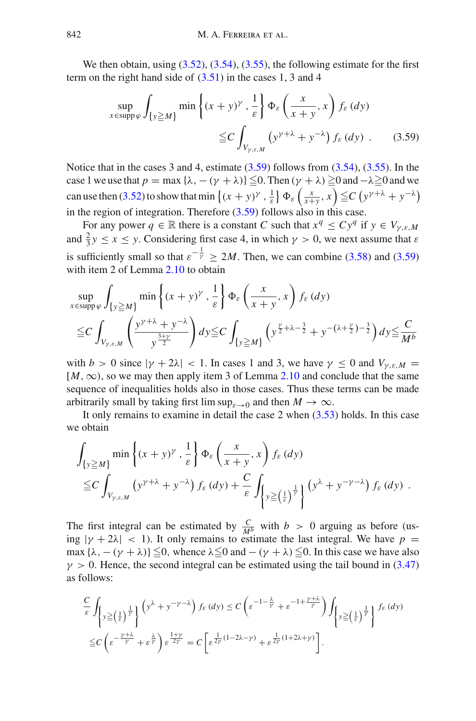We then obtain, using  $(3.52)$ ,  $(3.54)$ ,  $(3.55)$ , the following estimate for the first term on the right hand side of  $(3.51)$  in the cases 1, 3 and 4

<span id="page-33-0"></span>
$$
\sup_{x \in \text{supp}\,\varphi} \int_{\{y \ge M\}} \min\left\{ (x+y)^\gamma \cdot \frac{1}{\varepsilon} \right\} \Phi_\varepsilon \left( \frac{x}{x+y}, x \right) f_\varepsilon \left( dy \right)
$$
  
 
$$
\le C \int_{V_{\gamma,\varepsilon,M}} \left( y^{\gamma+\lambda} + y^{-\lambda} \right) f_\varepsilon \left( dy \right) . \tag{3.59}
$$

Notice that in the cases 3 and 4, estimate  $(3.59)$  follows from  $(3.54)$ ,  $(3.55)$ . In the case 1 we use that  $p = \max{\{\lambda, -(\gamma + \lambda)\}} \leq 0$ . Then  $(\gamma + \lambda) \geq 0$  and  $-\lambda \geq 0$  and we can use then [\(3.52\)](#page-31-0) to show that min  $\{(x + y)^\gamma, \frac{1}{\varepsilon}\}\Phi_\varepsilon\left(\frac{x}{x+y}, x\right) \leq C \left(y^{\gamma+\lambda} + y^{-\lambda}\right)$ in the region of integration. Therefore [\(3.59\)](#page-33-0) follows also in this case.

For any power  $q \in \mathbb{R}$  there is a constant *C* such that  $x^q \leq Cy^q$  if  $y \in V_{\gamma,\varepsilon,M}$ and  $\frac{2}{3}y \le x \le y$ . Considering first case 4, in which  $\gamma > 0$ , we next assume that  $\varepsilon$ is sufficiently small so that  $\varepsilon^{-\frac{1}{\gamma}} \ge 2M$ . Then, we can combine [\(3.58\)](#page-32-2) and [\(3.59\)](#page-33-0) with item 2 of Lemma [2.10](#page-14-3) to obtain

$$
\sup_{x \in \text{supp }\varphi} \int_{\{y \ge M\}} \min\left\{ (x+y)^{\gamma}, \frac{1}{\varepsilon} \right\} \Phi_{\varepsilon} \left( \frac{x}{x+y}, x \right) f_{\varepsilon} \left( dy \right)
$$
  

$$
\le C \int_{V_{\gamma,\varepsilon,M}} \left( \frac{y^{\gamma+\lambda} + y^{-\lambda}}{y^{\frac{3+\gamma}{2}}} \right) dy \le C \int_{\{y \ge M\}} \left( y^{\frac{\gamma}{2}+\lambda-\frac{3}{2}} + y^{-(\lambda+\frac{\gamma}{2})-\frac{3}{2}} \right) dy \le \frac{C}{M^b}
$$

with  $b > 0$  since  $|\gamma + 2\lambda| < 1$ . In cases 1 and 3, we have  $\gamma \le 0$  and  $V_{\nu,\varepsilon,M} =$ [*M*,∞), so we may then apply item 3 of Lemma [2.10](#page-14-3) and conclude that the same sequence of inequalities holds also in those cases. Thus these terms can be made arbitrarily small by taking first lim sup<sub> $s\rightarrow 0$ </sub> and then  $M \rightarrow \infty$ .

It only remains to examine in detail the case 2 when [\(3.53\)](#page-31-1) holds. In this case we obtain

$$
\int_{\{y \ge M\}} \min\left\{ (x+y)^\gamma \cdot \frac{1}{\varepsilon} \right\} \Phi_\varepsilon \left( \frac{x}{x+y}, x \right) f_\varepsilon(dy) \n\le C \int_{V_{\gamma,\varepsilon,M}} \left( y^{\gamma+\lambda} + y^{-\lambda} \right) f_\varepsilon(dy) + \frac{C}{\varepsilon} \int_{\left\{ y \ge \left( \frac{1}{\varepsilon} \right)^{\frac{1}{\gamma}} \right\}} \left( y^\lambda + y^{-\gamma-\lambda} \right) f_\varepsilon(dy) .
$$

The first integral can be estimated by  $\frac{C}{M^b}$  with *b* > 0 arguing as before (using  $|\gamma + 2\lambda|$  < 1). It only remains to estimate the last integral. We have  $p =$ max  $\{\lambda, -(\gamma + \lambda)\}\leq 0$ , whence  $\lambda \leq 0$  and  $-(\gamma + \lambda) \leq 0$ . In this case we have also  $\gamma > 0$ . Hence, the second integral can be estimated using the tail bound in [\(3.47\)](#page-29-4) as follows:

$$
\frac{C}{\varepsilon} \int_{\left\{y \geq \left(\frac{1}{\varepsilon}\right)^{\frac{1}{\gamma}}\right\}} \left(y^{\lambda} + y^{-\gamma - \lambda}\right) f_{\varepsilon}(dy) \leq C \left(\varepsilon^{-1 - \frac{\lambda}{\gamma}} + \varepsilon^{-1 + \frac{\gamma + \lambda}{\gamma}}\right) \int_{\left\{y \geq \left(\frac{1}{\varepsilon}\right)^{\frac{1}{\gamma}}\right\}} f_{\varepsilon}(dy)
$$
\n
$$
\leq C \left(\varepsilon^{-\frac{\gamma + \lambda}{\gamma}} + \varepsilon^{\frac{\lambda}{\gamma}}\right) \varepsilon^{\frac{1 + \gamma}{2\gamma}} = C \left[\varepsilon^{\frac{1}{2\gamma}(1 - 2\lambda - \gamma)} + \varepsilon^{\frac{1}{2\gamma}(1 + 2\lambda + \gamma)}\right].
$$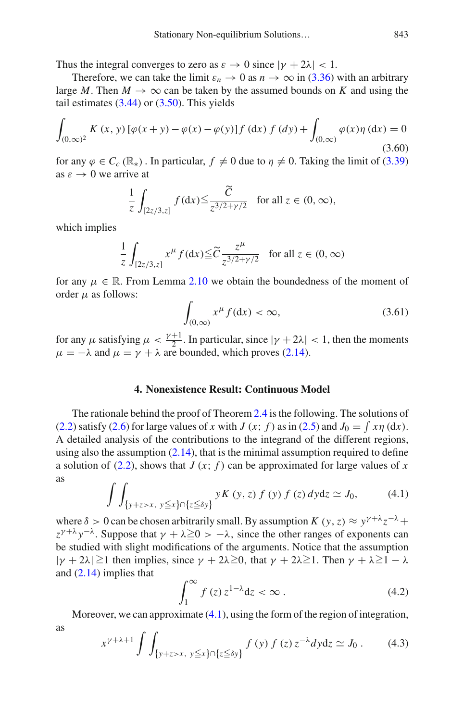Thus the integral converges to zero as  $\varepsilon \to 0$  since  $|\gamma + 2\lambda| < 1$ .

Therefore, we can take the limit  $\varepsilon_n \to 0$  as  $n \to \infty$  in [\(3.36\)](#page-27-2) with an arbitrary large *M*. Then  $M \to \infty$  can be taken by the assumed bounds on *K* and using the tail estimates  $(3.44)$  or  $(3.50)$ . This yields

$$
\int_{(0,\infty)^2} K(x,y) \left[ \varphi(x+y) - \varphi(x) - \varphi(y) \right] f(\mathrm{d}x) f(\mathrm{d}y) + \int_{(0,\infty)} \varphi(x) \eta(\mathrm{d}x) = 0
$$
\n(3.60)

for any  $\varphi \in C_c(\mathbb{R}_*)$ . In particular,  $f \neq 0$  due to  $\eta \neq 0$ . Taking the limit of [\(3.39\)](#page-28-1) as  $\varepsilon \to 0$  we arrive at

$$
\frac{1}{z} \int_{[2z/3,z]} f(\mathrm{d}x) \le \frac{\widetilde{C}}{z^{3/2+\gamma/2}} \quad \text{for all } z \in (0,\infty),
$$

which implies

$$
\frac{1}{z} \int_{[2z/3,z]} x^{\mu} f(\mathrm{d}x) \leq \widetilde{C} \frac{z^{\mu}}{z^{3/2 + \gamma/2}} \quad \text{for all } z \in (0,\infty)
$$

for any  $\mu \in \mathbb{R}$ . From Lemma [2.10](#page-14-3) we obtain the boundedness of the moment of order  $\mu$  as follows:

<span id="page-34-4"></span>
$$
\int_{(0,\infty)} x^{\mu} f(\mathrm{d}x) < \infty,\tag{3.61}
$$

for any  $\mu$  satisfying  $\mu < \frac{\gamma+1}{2}$ . In particular, since  $|\gamma + 2\lambda| < 1$ , then the moments  $\mu = -\lambda$  and  $\mu = \gamma + \lambda$  are bounded, which proves [\(2.14\)](#page-11-5).

# **4. Nonexistence Result: Continuous Model**

<span id="page-34-0"></span>The rationale behind the proof of Theorem [2.4](#page-12-0) is the following. The solutions of [\(2.2\)](#page-8-3) satisfy [\(2.6\)](#page-9-0) for large values of *x* with *J* (*x*; *f*) as in [\(2.5\)](#page-8-4) and  $J_0 = \int x\eta \, dx$ ). A detailed analysis of the contributions to the integrand of the different regions, using also the assumption  $(2.14)$ , that is the minimal assumption required to define a solution of  $(2.2)$ , shows that *J*  $(x; f)$  can be approximated for large values of *x* as

<span id="page-34-1"></span>
$$
\int \int_{\{y+z>x, y\leq x\} \cap \{z\leq \delta y\}} yK(y, z) f(y) f(z) dy dz \simeq J_0,
$$
 (4.1)

where  $\delta > 0$  can be chosen arbitrarily small. By assumption *K* (*y*, *z*) ≈  $y^{\gamma+\lambda}z^{-\lambda}$  +  $z^{\gamma+\lambda}y^{-\lambda}$ . Suppose that  $\gamma+\lambda \ge 0 > -\lambda$ , since the other ranges of exponents can be studied with slight modifications of the arguments. Notice that the assumption  $|\gamma + 2\lambda| \ge 1$  then implies, since  $\gamma + 2\lambda \ge 0$ , that  $\gamma + 2\lambda \ge 1$ . Then  $\gamma + \lambda \ge 1 - \lambda$ and [\(2.14\)](#page-11-5) implies that

<span id="page-34-3"></span>
$$
\int_{1}^{\infty} f(z) z^{1-\lambda} dz < \infty.
$$
 (4.2)

Moreover, we can approximate [\(4.1\)](#page-34-1), using the form of the region of integration,

$$
x^{\gamma+\lambda+1} \int \int_{\{y+z>x, y\leq x\} \cap \{z\leq \delta y\}} f(y) f(z) z^{-\lambda} dy dz \simeq J_0.
$$
 (4.3)

<span id="page-34-2"></span>as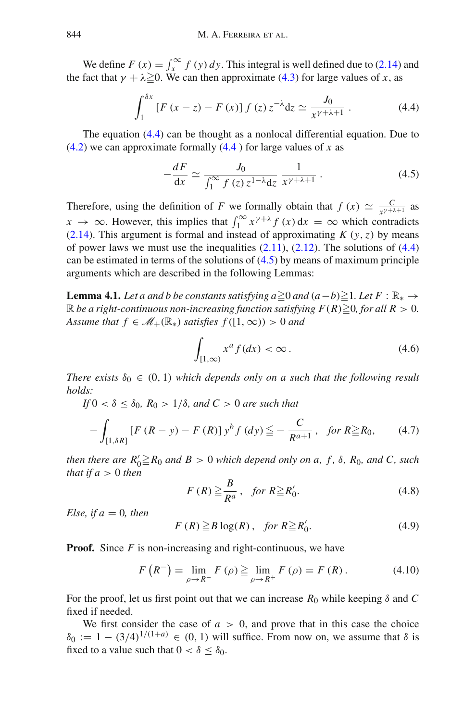We define  $F(x) = \int_x^{\infty} f(y) dy$ . This integral is well defined due to [\(2.14\)](#page-11-5) and the fact that  $\gamma + \lambda \ge 0$ . We can then approximate [\(4.3\)](#page-34-2) for large values of *x*, as

$$
\int_{1}^{\delta x} \left[ F(x - z) - F(x) \right] f(z) z^{-\lambda} dz \simeq \frac{J_0}{x^{\gamma + \lambda + 1}} \,. \tag{4.4}
$$

The equation [\(4.4\)](#page-35-0) can be thought as a nonlocal differential equation. Due to [\(4.2\)](#page-34-3) we can approximate formally [\(4.4](#page-35-0) ) for large values of *x* as

<span id="page-35-1"></span><span id="page-35-0"></span>
$$
-\frac{dF}{dx} \simeq \frac{J_0}{\int_1^\infty f(z) z^{1-\lambda} dz} \frac{1}{x^{\gamma+\lambda+1}} \,. \tag{4.5}
$$

Therefore, using the definition of *F* we formally obtain that  $f(x) \simeq \frac{C}{x^{\gamma+\lambda+1}}$  as  $x \to \infty$ . However, this implies that  $\int_1^\infty x^{\gamma+\lambda} f(x) dx = \infty$  which contradicts [\(2.14\)](#page-11-5). This argument is formal and instead of approximating  $K(y, z)$  by means of power laws we must use the inequalities  $(2.11)$ ,  $(2.12)$ . The solutions of  $(4.4)$ can be estimated in terms of the solutions of  $(4.5)$  by means of maximum principle arguments which are described in the following Lemmas:

<span id="page-35-7"></span>**Lemma 4.1.** *Let a and b be constants satisfying a* $\geq$ 0 *and* (*a*−*b*) $\geq$ 1. *Let*  $F : \mathbb{R}_*$  →  $\mathbb R$  *be a right-continuous non-increasing function satisfying F(R)* $\geq$ *0, for all R > 0. Assume that*  $f \in M_+(\mathbb{R}_*)$  *satisfies*  $f([1,\infty)) > 0$  *and* 

<span id="page-35-4"></span><span id="page-35-2"></span>
$$
\int_{[1,\infty)} x^a f(dx) < \infty. \tag{4.6}
$$

*There exists*  $\delta_0 \in (0, 1)$  *which depends only on a such that the following result holds:*

*If*  $0 < \delta \leq \delta_0$ ,  $R_0 > 1/\delta$ , and  $C > 0$  are such that

$$
-\int_{[1,\delta R]} \left[ F\left( R - y \right) - F\left( R \right) \right] y^b f\left( dy \right) \leq -\frac{C}{R^{a+1}}, \quad \text{for } R \geq R_0,\tag{4.7}
$$

*then there are*  $R'_0 \ge R_0$  *and*  $B > 0$  *which depend only on a, f,*  $\delta$ *,*  $R_0$ *, and C, such that if*  $a > 0$  *then* 

<span id="page-35-5"></span><span id="page-35-3"></span>
$$
F(R) \ge \frac{B}{R^a}, \quad \text{for } R \ge R'_0. \tag{4.8}
$$

*Else, if*  $a = 0$ *, then* 

<span id="page-35-6"></span>
$$
F(R) \geq B \log(R), \quad \text{for } R \geq R_0'. \tag{4.9}
$$

**Proof.** Since *F* is non-increasing and right-continuous, we have

$$
F(R^{-}) = \lim_{\rho \to R^{-}} F(\rho) \ge \lim_{\rho \to R^{+}} F(\rho) = F(R).
$$
 (4.10)

For the proof, let us first point out that we can increase  $R_0$  while keeping  $\delta$  and  $C$ fixed if needed.

We first consider the case of  $a > 0$ , and prove that in this case the choice  $\delta_0 := 1 - (3/4)^{1/(1+a)} \in (0, 1)$  will suffice. From now on, we assume that  $\delta$  is fixed to a value such that  $0 < \delta \leq \delta_0$ .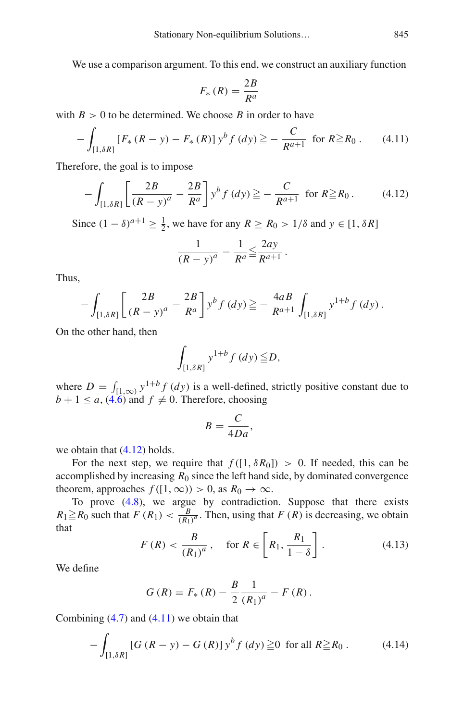We use a comparison argument. To this end, we construct an auxiliary function

<span id="page-36-1"></span><span id="page-36-0"></span>
$$
F_*(R) = \frac{2B}{R^a}
$$

with  $B > 0$  to be determined. We choose *B* in order to have

$$
-\int_{[1,\delta R]} \left[ F_* \left( R - y \right) - F_* \left( R \right) \right] y^b f \left( dy \right) \geqq -\frac{C}{R^{a+1}} \text{ for } R \geqq R_0. \tag{4.11}
$$

Therefore, the goal is to impose

$$
-\int_{[1,\delta R]} \left[ \frac{2B}{(R-y)^a} - \frac{2B}{R^a} \right] y^b f(dy) \geqq -\frac{C}{R^{a+1}} \text{ for } R \geqq R_0. \tag{4.12}
$$

Since  $(1 - \delta)^{a+1} \ge \frac{1}{2}$ , we have for any  $R \ge R_0 > 1/\delta$  and  $y \in [1, \delta R]$ 

$$
\frac{1}{(R-y)^a} - \frac{1}{R^a} \leq \frac{2ay}{R^{a+1}}.
$$

Thus,

$$
- \int_{[1,\delta R]} \left[ \frac{2B}{(R-y)^a} - \frac{2B}{R^a} \right] y^b f(dy) \geq - \frac{4aB}{R^{a+1}} \int_{[1,\delta R]} y^{1+b} f(dy).
$$

On the other hand, then

$$
\int_{[1,\delta R]} y^{1+b} f(dy) \leq D,
$$

where  $D = \int_{[1,\infty)} y^{1+b} f(dy)$  is a well-defined, strictly positive constant due to  $b + 1 \le a$ , [\(4.6\)](#page-35-2) and  $f \ne 0$ . Therefore, choosing

$$
B=\frac{C}{4Da},
$$

we obtain that [\(4.12\)](#page-36-0) holds.

For the next step, we require that  $f([1, \delta R_0]) > 0$ . If needed, this can be accomplished by increasing  $R_0$  since the left hand side, by dominated convergence theorem, approaches  $f([1, \infty)) > 0$ , as  $R_0 \to \infty$ .

<span id="page-36-2"></span>To prove [\(4.8\)](#page-35-3), we argue by contradiction. Suppose that there exists  $R_1 \ge R_0$  such that  $F(R_1) < \frac{B}{(R_1)^a}$ . Then, using that  $F(R)$  is decreasing, we obtain that

$$
F(R) < \frac{B}{(R_1)^a}, \quad \text{for } R \in \left[ R_1, \frac{R_1}{1 - \delta} \right]. \tag{4.13}
$$

We define

<span id="page-36-3"></span>
$$
G(R) = F_* (R) - \frac{B}{2} \frac{1}{(R_1)^a} - F (R) .
$$

Combining  $(4.7)$  and  $(4.11)$  we obtain that

$$
-\int_{[1,\delta R]} [G (R - y) - G (R)] y^{b} f (dy) \geqq 0 \text{ for all } R \geqq R_0.
$$
 (4.14)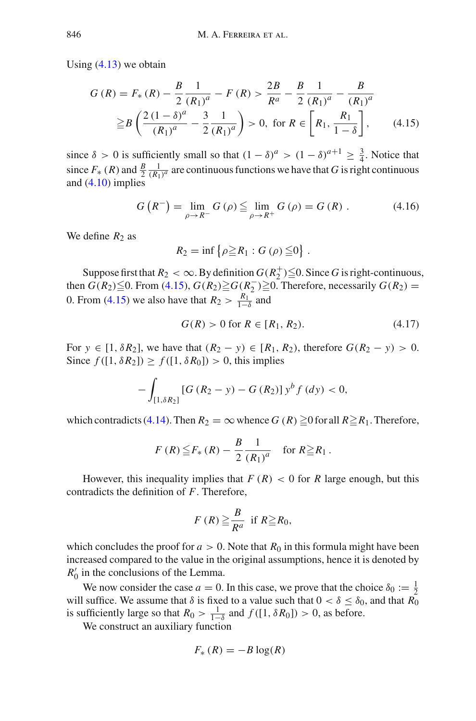Using [\(4.13\)](#page-36-2) we obtain

$$
G(R) = F_*(R) - \frac{B}{2} \frac{1}{(R_1)^a} - F(R) > \frac{2B}{R^a} - \frac{B}{2} \frac{1}{(R_1)^a} - \frac{B}{(R_1)^a}
$$
  
 
$$
\geq B\left(\frac{2(1-\delta)^a}{(R_1)^a} - \frac{3}{2} \frac{1}{(R_1)^a}\right) > 0, \text{ for } R \in \left[R_1, \frac{R_1}{1-\delta}\right], \qquad (4.15)
$$

since  $\delta > 0$  is sufficiently small so that  $(1 - \delta)^a > (1 - \delta)^{a+1} \ge \frac{3}{4}$ . Notice that since  $F_*(R)$  and  $\frac{B}{2} \frac{1}{(R_1)^a}$  are continuous functions we have that *G* is right continuous and  $(4.10)$  implies

$$
G(R^{-}) = \lim_{\rho \to R^{-}} G(\rho) \le \lim_{\rho \to R^{+}} G(\rho) = G(R) . \tag{4.16}
$$

We define  $R_2$  as

<span id="page-37-0"></span>
$$
R_2 = \inf \left\{ \rho \geq R_1 : G \left( \rho \right) \leq 0 \right\} .
$$

Suppose first that  $R_2 < \infty$ . By definition  $G(R_2^+) \leq 0$ . Since *G* is right-continuous, then  $G(R_2) \leq 0$ . From [\(4.15\)](#page-37-0),  $G(R_2) \geq G(R_2^-) \geq 0$ . Therefore, necessarily  $G(R_2)$  = 0. From [\(4.15\)](#page-37-0) we also have that  $R_2 > \frac{R_1}{1-\delta}$  and

$$
G(R) > 0 \text{ for } R \in [R_1, R_2). \tag{4.17}
$$

For *y* ∈ [1, δ $R_2$ ], we have that  $(R_2 - y)$  ∈ [ $R_1, R_2$ ), therefore  $G(R_2 - y) > 0$ . Since  $f([1, \delta R_2]) \ge f([1, \delta R_0]) > 0$ , this implies

$$
-\int_{[1,\delta R_2]} [G (R_2 - y) - G (R_2)] y^b f (dy) < 0,
$$

which contradicts [\(4.14\)](#page-36-3). Then  $R_2 = \infty$  whence  $G(R) \ge 0$  for all  $R \ge R_1$ . Therefore,

$$
F(R) \leq F_*(R) - \frac{B}{2} \frac{1}{(R_1)^a}
$$
 for  $R \geq R_1$ .

However, this inequality implies that  $F(R) < 0$  for  $R$  large enough, but this contradicts the definition of *F*. Therefore,

$$
F(R) \geq \frac{B}{R^a} \text{ if } R \geq R_0,
$$

which concludes the proof for  $a > 0$ . Note that  $R_0$  in this formula might have been increased compared to the value in the original assumptions, hence it is denoted by  $R'_0$  in the conclusions of the Lemma.

We now consider the case  $a = 0$ . In this case, we prove that the choice  $\delta_0 := \frac{1}{2}$ will suffice. We assume that  $\delta$  is fixed to a value such that  $0 < \delta \leq \delta_0$ , and that  $\overline{R_0}$ is sufficiently large so that  $R_0 > \frac{1}{1-\delta}$  and  $f([1, \delta R_0]) > 0$ , as before.

We construct an auxiliary function

$$
F_* (R) = -B \log(R)
$$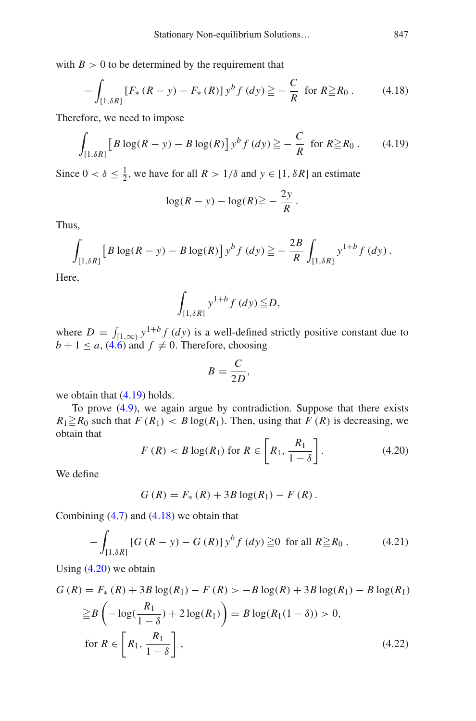with  $B > 0$  to be determined by the requirement that

$$
-\int_{[1,\delta R]} \left[ F_* \left( R - y \right) - F_* \left( R \right) \right] y^b f \left( dy \right) \geqq -\frac{C}{R} \text{ for } R \geqq R_0. \tag{4.18}
$$

Therefore, we need to impose

$$
\int_{[1,\delta R]} \left[ B \log(R - y) - B \log(R) \right] y^b f(dy) \geq -\frac{C}{R} \text{ for } R \geq R_0. \tag{4.19}
$$

Since  $0 < \delta \le \frac{1}{2}$ , we have for all  $R > 1/\delta$  and  $y \in [1, \delta R]$  an estimate

<span id="page-38-1"></span><span id="page-38-0"></span>
$$
\log(R - y) - \log(R) \geq -\frac{2y}{R}.
$$

Thus,

$$
\int_{[1,\delta R]} \left[ B \log(R - y) - B \log(R) \right] y^b f(dy) \geq -\frac{2B}{R} \int_{[1,\delta R]} y^{1+b} f(dy).
$$

Here,

$$
\int_{[1,\delta R]} y^{1+b} f(dy) \leq D,
$$

where  $D = \int_{[1,\infty)} y^{1+b} f(dy)$  is a well-defined strictly positive constant due to  $b + 1 \le a$ , [\(4.6\)](#page-35-2) and  $f \ne 0$ . Therefore, choosing

$$
B=\frac{C}{2D},
$$

we obtain that [\(4.19\)](#page-38-0) holds.

To prove [\(4.9\)](#page-35-6), we again argue by contradiction. Suppose that there exists  $R_1 \ge R_0$  such that  $F(R_1) < B \log(R_1)$ . Then, using that  $F(R)$  is decreasing, we obtain that

<span id="page-38-2"></span>
$$
F(R) < B \log(R_1) \text{ for } R \in \left[ R_1, \frac{R_1}{1 - \delta} \right]. \tag{4.20}
$$

We define

 $G(R) = F_*(R) + 3B \log(R_1) - F(R)$ .

Combining  $(4.7)$  and  $(4.18)$  we obtain that

$$
-\int_{[1,\delta R]} [G (R - y) - G (R)] y^{b} f (dy) \geqq 0 \text{ for all } R \geqq R_0.
$$
 (4.21)

Using  $(4.20)$  we obtain

$$
G(R) = F_{*}(R) + 3B \log(R_{1}) - F(R) > -B \log(R) + 3B \log(R_{1}) - B \log(R_{1})
$$
  
\n
$$
\geq B \left( -\log(\frac{R_{1}}{1-\delta}) + 2\log(R_{1}) \right) = B \log(R_{1}(1-\delta)) > 0,
$$
  
\nfor  $R \in \left[ R_{1}, \frac{R_{1}}{1-\delta} \right],$  (4.22)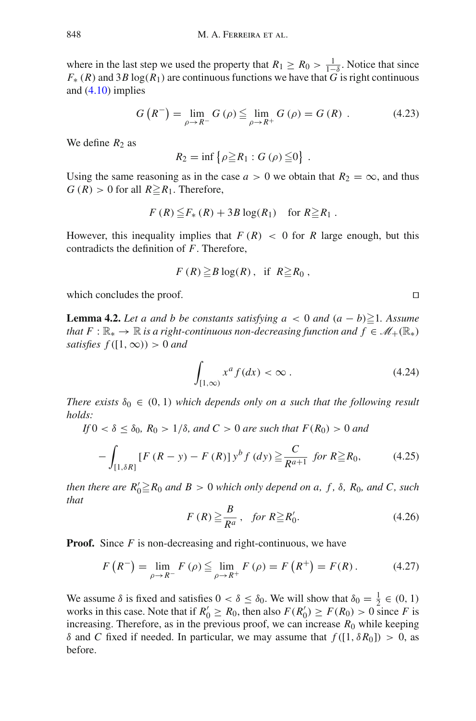where in the last step we used the property that  $R_1 \ge R_0 > \frac{1}{1-\delta}$ . Notice that since  $F_n(P)$  and  $2R \log(P)$  are continuous functions we have that  $G$  is right continuous  $F_*(R)$  and 3*B* log( $R_1$ ) are continuous functions we have that *G* is right continuous and  $(4.10)$  implies

$$
G(R^{-}) = \lim_{\rho \to R^{-}} G(\rho) \le \lim_{\rho \to R^{+}} G(\rho) = G(R) . \tag{4.23}
$$

We define  $R_2$  as

 $R_2 = \inf \{ \rho \ge R_1 : G(\rho) \le 0 \}$ .

Using the same reasoning as in the case  $a > 0$  we obtain that  $R_2 = \infty$ , and thus  $G(R) > 0$  for all  $R \ge R_1$ . Therefore,

$$
F(R) \leq F_*(R) + 3B \log(R_1) \quad \text{for } R \geq R_1.
$$

However, this inequality implies that  $F(R) < 0$  for  $R$  large enough, but this contradicts the definition of *F*. Therefore,

$$
F(R) \geq B \log(R), \text{ if } R \geq R_0,
$$

<span id="page-39-4"></span>which concludes the proof.

**Lemma 4.2.** *Let a and b be constants satisfying*  $a < 0$  *and*  $(a - b) \ge 1$ *. Assume that*  $F: \mathbb{R}_* \to \mathbb{R}$  *is a right-continuous non-decreasing function and*  $f \in \mathcal{M}_+(\mathbb{R}_*)$ *satisfies*  $f([1, \infty)) > 0$  *and* 

<span id="page-39-0"></span>
$$
\int_{[1,\infty)} x^a f(dx) < \infty \,. \tag{4.24}
$$

*There exists*  $\delta_0 \in (0, 1)$  *which depends only on a such that the following result holds:*

*If*  $0 < \delta \le \delta_0$ ,  $R_0 > 1/\delta$ , and  $C > 0$  are such that  $F(R_0) > 0$  and

$$
-\int_{[1,\delta R]} [F(R-y) - F(R)] y^b f(dy) \geq \frac{C}{R^{a+1}} \text{ for } R \geq R_0,
$$
 (4.25)

<span id="page-39-1"></span>*then there are*  $R'_0 \geq R_0$  *and*  $B > 0$  *which only depend on a, f,*  $\delta$ *, R*<sub>0</sub>*, and C, such that*

<span id="page-39-3"></span>
$$
F(R) \ge \frac{B}{R^a}, \quad \text{for } R \ge R'_0. \tag{4.26}
$$

**Proof.** Since *F* is non-decreasing and right-continuous, we have

$$
F(R^{-}) = \lim_{\rho \to R^{-}} F(\rho) \le \lim_{\rho \to R^{+}} F(\rho) = F(R^{+}) = F(R). \tag{4.27}
$$

We assume  $\delta$  is fixed and satisfies  $0 < \delta \leq \delta_0$ . We will show that  $\delta_0 = \frac{1}{2} \in (0, 1)$ works in this case. Note that if  $R'_0 \ge R_0$ , then also  $F(R'_0) \ge F(R_0) > 0$  since *F* is increasing. Therefore, as in the previous proof, we can increase  $R_0$  while keeping δ and *C* fixed if needed. In particular, we may assume that  $f([1, δR<sub>0</sub>]) > 0$ , as before.

<span id="page-39-2"></span>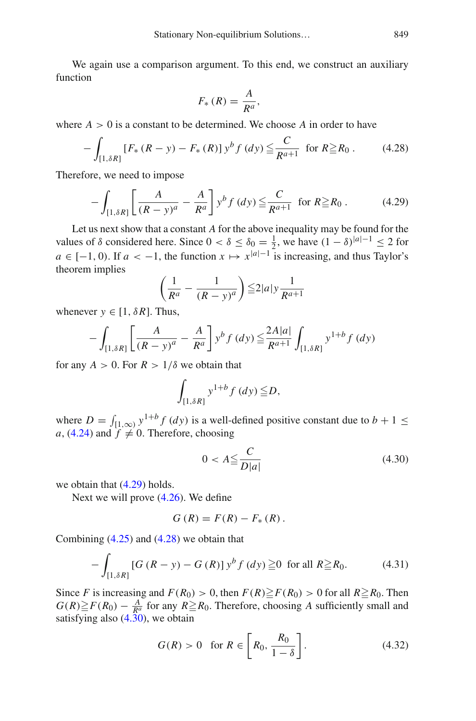We again use a comparison argument. To this end, we construct an auxiliary function

<span id="page-40-1"></span><span id="page-40-0"></span>
$$
F_*\left(R\right) = \frac{A}{R^a},
$$

where  $A > 0$  is a constant to be determined. We choose  $A$  in order to have

$$
-\int_{[1,\delta R]} \left[ F_* \left( R - y \right) - F_* \left( R \right) \right] y^b f \left( dy \right) \leq \frac{C}{R^{a+1}} \text{ for } R \geq R_0. \tag{4.28}
$$

Therefore, we need to impose

$$
-\int_{[1,\delta R]} \left[ \frac{A}{(R-y)^a} - \frac{A}{R^a} \right] y^b f(dy) \leq \frac{C}{R^{a+1}} \text{ for } R \geq R_0. \tag{4.29}
$$

Let us next show that a constant *A* for the above inequality may be found for the values of  $\delta$  considered here. Since  $0 < \delta \leq \delta_0 = \frac{1}{2}$ , we have  $(1 - \delta)^{|a| - 1} \leq 2$  for  $a \in [-1, 0)$ . If  $a < -1$ , the function  $x \mapsto x^{|a|-1}$  is increasing, and thus Taylor's theorem implies

$$
\left(\frac{1}{R^a} - \frac{1}{\left(R - y\right)^a}\right) \le 2|a|y\frac{1}{R^{a+1}}
$$

whenever  $y \in [1, \delta R]$ . Thus,

$$
-\int_{\left[1,\delta R\right]} \left[\frac{A}{\left(R-y\right)^{a}} - \frac{A}{R^{a}}\right] y^{b} f\left(dy\right) \leq \frac{2A|a|}{R^{a+1}} \int_{\left[1,\delta R\right]} y^{1+b} f\left(dy\right)
$$

for any  $A > 0$ . For  $R > 1/\delta$  we obtain that

$$
\int_{[1,\delta R]} y^{1+b} f\left(dy\right) \leqq D,
$$

where  $D = \int_{[1,\infty)} y^{1+b} f(dy)$  is a well-defined positive constant due to  $b + 1 \le$ *a*, [\(4.24\)](#page-39-0) and  $f \neq 0$ . Therefore, choosing

<span id="page-40-2"></span>
$$
0 < A \leq \frac{C}{D|a|} \tag{4.30}
$$

we obtain that [\(4.29\)](#page-40-0) holds.

Next we will prove [\(4.26\)](#page-39-1). We define

<span id="page-40-4"></span>
$$
G(R) = F(R) - F_{*}(R).
$$

Combining  $(4.25)$  and  $(4.28)$  we obtain that

$$
-\int_{[1,\delta R]} [G (R - y) - G (R)] y^{b} f (dy) \geqq 0 \text{ for all } R \geqq R_0.
$$
 (4.31)

Since *F* is increasing and  $F(R_0) > 0$ , then  $F(R) \ge F(R_0) > 0$  for all  $R \ge R_0$ . Then  $G(R) \geq F(R_0) - \frac{A}{R^a}$  for any  $R \geq R_0$ . Therefore, choosing *A* sufficiently small and satisfying also [\(4.30\)](#page-40-2), we obtain

<span id="page-40-3"></span>
$$
G(R) > 0 \quad \text{for } R \in \left[ R_0, \frac{R_0}{1 - \delta} \right]. \tag{4.32}
$$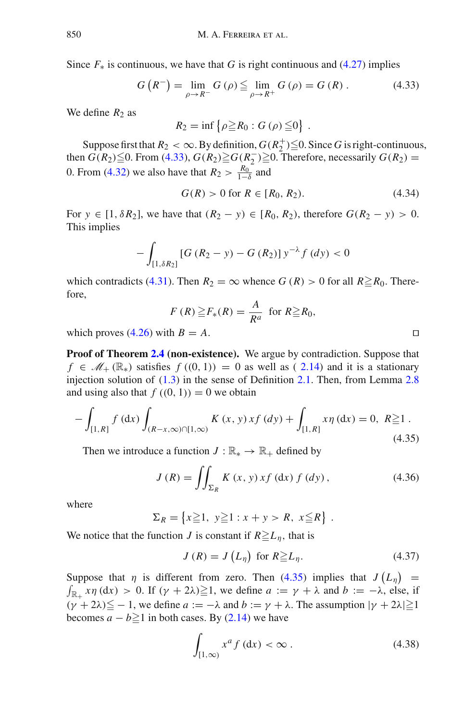Since  $F_*$  is continuous, we have that *G* is right continuous and [\(4.27\)](#page-39-3) implies

$$
G\left(R^{-}\right) = \lim_{\rho \to R^{-}} G\left(\rho\right) \le \lim_{\rho \to R^{+}} G\left(\rho\right) = G\left(R\right). \tag{4.33}
$$

We define  $R_2$  as

<span id="page-41-0"></span> $R_2 = \inf \{ \rho \geq R_0 : G(\rho) \leq 0 \}$ .

Suppose first that  $R_2 < \infty$ . By definition,  $G(R_2^+) \leq 0$ . Since *G* is right-continuous, then  $G(R_2) \leq 0$ . From [\(4.33\)](#page-41-0),  $G(R_2) \geq G(R_2^-) \geq 0$ . Therefore, necessarily  $G(R_2)$  = 0. From [\(4.32\)](#page-40-3) we also have that  $R_2 > \frac{R_0}{1-\delta}$  and

$$
G(R) > 0 \text{ for } R \in [R_0, R_2). \tag{4.34}
$$

For *y* ∈ [1,  $\delta R_2$ ], we have that  $(R_2 - y)$  ∈ [ $R_0, R_2$ ), therefore  $G(R_2 - y) > 0$ . This implies

$$
-\int_{[1,\delta R_2]} [G (R_2 - y) - G (R_2)] y^{-\lambda} f (dy) < 0
$$

which contradicts [\(4.31\)](#page-40-4). Then  $R_2 = \infty$  whence  $G(R) > 0$  for all  $R \ge R_0$ . Therefore,

<span id="page-41-1"></span>
$$
F(R) \geq F_*(R) = \frac{A}{R^a} \text{ for } R \geq R_0,
$$

which proves  $(4.26)$  with  $B = A$ .

**Proof of Theorem [2.4](#page-12-0) (non-existence).** We argue by contradiction. Suppose that  $f \in \mathcal{M}_+(\mathbb{R}_*)$  satisfies  $f((0, 1)) = 0$  as well as  $(2.14)$  $(2.14)$  and it is a stationary injection solution of [\(1.3\)](#page-3-0) in the sense of Definition [2.1.](#page-11-4) Then, from Lemma [2.8](#page-13-0) and using also that  $f((0, 1)) = 0$  we obtain

$$
-\int_{[1,R]} f\left(\mathrm{d}x\right) \int_{(R-x,\infty)\cap[1,\infty)} K\left(x,y\right) x f\left(\mathrm{d}y\right) + \int_{[1,R]} x \eta\left(\mathrm{d}x\right) = 0, \ R \ge 1. \tag{4.35}
$$

Then we introduce a function  $J : \mathbb{R}_* \to \mathbb{R}_+$  defined by

$$
J(R) = \iint_{\Sigma_R} K(x, y) x f(\mathrm{d}x) f(\mathrm{d}y), \qquad (4.36)
$$

where

$$
\Sigma_R = \left\{ x \geq 1, \ y \geq 1 : x + y > R, \ x \leq R \right\} .
$$

We notice that the function *J* is constant if  $R \geq L_{\eta}$ , that is

<span id="page-41-4"></span>
$$
J(R) = J(L_{\eta}) \text{ for } R \geq L_{\eta}. \tag{4.37}
$$

Suppose that  $\eta$  is different from zero. Then [\(4.35\)](#page-41-1) implies that  $J(L_{\eta})$ Suppose that  $\eta$  is different from zero. Then (4.35) implies that  $J(L_{\eta}) =$ <br> $\int_{\mathbb{R}_+} x \eta \, dx$  > 0. If  $(\gamma + 2\lambda) \ge 1$ , we define  $a := \gamma + \lambda$  and  $b := -\lambda$ , else, if  $(\gamma + 2\lambda) \leq -1$ , we define  $a := -\lambda$  and  $b := \gamma + \lambda$ . The assumption  $|\gamma + 2\lambda| \geq 1$ becomes  $a - b \ge 1$  in both cases. By [\(2.14\)](#page-11-5) we have

<span id="page-41-3"></span>
$$
\int_{[1,\infty)} x^a f(\mathrm{d}x) < \infty \,. \tag{4.38}
$$

<span id="page-41-2"></span>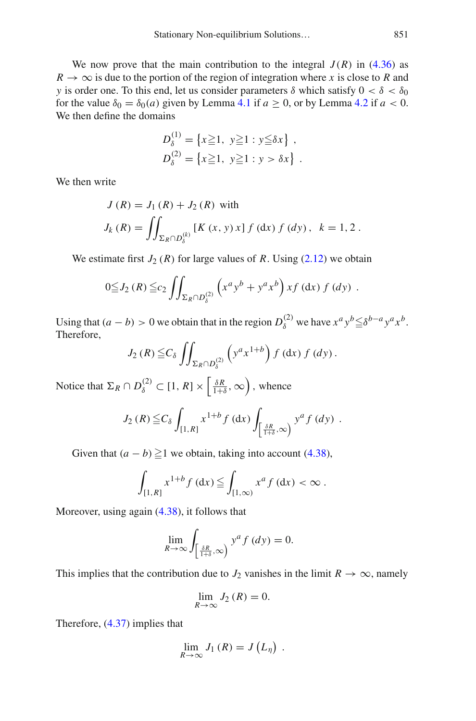We now prove that the main contribution to the integral  $J(R)$  in [\(4.36\)](#page-41-2) as  $R \to \infty$  is due to the portion of the region of integration where *x* is close to *R* and *y* is order one. To this end, let us consider parameters  $\delta$  which satisfy  $0 < \delta < \delta_0$ for the value  $\delta_0 = \delta_0(a)$  given by Lemma [4.1](#page-35-7) if  $a \ge 0$ , or by Lemma [4.2](#page-39-4) if  $a < 0$ . We then define the domains

$$
D_{\delta}^{(1)} = \{x \ge 1, y \ge 1 : y \le \delta x\},
$$
  

$$
D_{\delta}^{(2)} = \{x \ge 1, y \ge 1 : y > \delta x\}.
$$

We then write

$$
J(R) = J_1(R) + J_2(R)
$$
 with  

$$
J_k(R) = \iint_{\Sigma_R \cap D_\delta^{(k)}} [K(x, y) x] f(dx) f(dy), \ k = 1, 2.
$$

We estimate first  $J_2(R)$  for large values of R. Using  $(2.12)$  we obtain

$$
0 \leq J_2(R) \leq c_2 \iint_{\Sigma_R \cap D_\delta^{(2)}} \left( x^a y^b + y^a x^b \right) x f \left( dx \right) f \left( dy \right) .
$$

Using that  $(a - b) > 0$  we obtain that in the region  $D_{\delta}^{(2)}$  we have  $x^a y^b \leq \delta^{b-a} y^a x^b$ . Therefore,

$$
J_2(R) \leq C_{\delta} \iint_{\Sigma_R \cap D_\delta^{(2)}} \left( y^a x^{1+b} \right) f \left( dx \right) f \left( dy \right).
$$

Notice that  $\Sigma_R \cap D_\delta^{(2)} \subset [1, R] \times \left[ \frac{\delta R}{1+\delta}, \infty \right)$ , whence

$$
J_2(R) \leq C_\delta \int_{[1,R]} x^{1+b} f(\mathrm{d} x) \int_{\left[\frac{\delta R}{1+\delta},\infty\right]} y^a f(\mathrm{d} y) .
$$

Given that  $(a - b) \ge 1$  we obtain, taking into account [\(4.38\)](#page-41-3),

$$
\int_{[1,R]} x^{1+b} f(\mathrm{d} x) \leqq \int_{[1,\infty)} x^a f(\mathrm{d} x) < \infty \, .
$$

Moreover, using again [\(4.38\)](#page-41-3), it follows that

$$
\lim_{R \to \infty} \int_{\left[\frac{\delta R}{1+\delta}, \infty\right)} y^a f\left(dy\right) = 0.
$$

This implies that the contribution due to  $J_2$  vanishes in the limit  $R \to \infty$ , namely

$$
\lim_{R \to \infty} J_2(R) = 0.
$$

Therefore, [\(4.37\)](#page-41-4) implies that

$$
\lim_{R\to\infty} J_1(R) = J(L_\eta) .
$$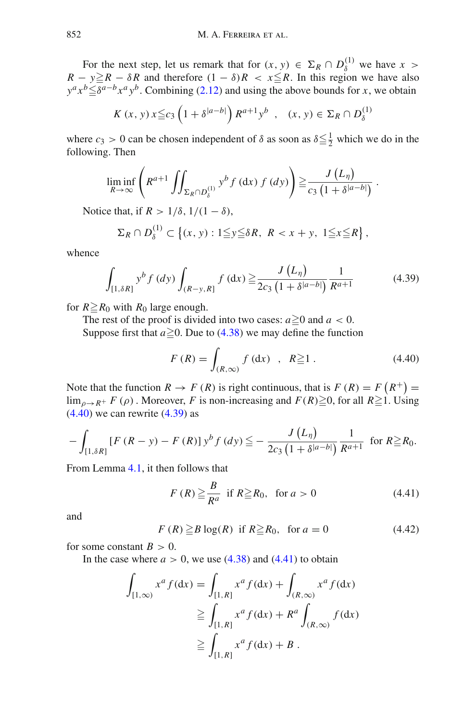For the next step, let us remark that for  $(x, y) \in \Sigma_R \cap D_\delta^{(1)}$  we have  $x >$  $R - y \ge R - \delta R$  and therefore  $(1 - \delta)R < x \le R$ . In this region we have also  $y^a x^b \leq \delta^{a-b} x^a y^b$ . Combining [\(2.12\)](#page-11-2) and using the above bounds for *x*, we obtain

$$
K(x, y) x \leq c_3 \left(1 + \delta^{|a-b|}\right) R^{a+1} y^b \quad , \quad (x, y) \in \Sigma_R \cap D_\delta^{(1)}
$$

where  $c_3 > 0$  can be chosen independent of  $\delta$  as soon as  $\delta \leq \frac{1}{2}$  which we do in the following. Then

$$
\liminf_{R\to\infty}\left(R^{a+1}\iint_{\Sigma_R\cap D_\delta^{(1)}}y^b f\left(\mathrm{d}x\right)f\left(\mathrm{d}y\right)\right)\geq\frac{J\left(L_\eta\right)}{c_3\left(1+\delta^{|a-b|}\right)}\,.
$$

Notice that, if  $R > 1/\delta$ ,  $1/(1 - \delta)$ ,

$$
\Sigma_R \cap D_\delta^{(1)} \subset \left\{ (x, y) : 1 \leqq y \leqq \delta R, \ R < x + y, \ 1 \leqq x \leqq R \right\},\
$$

whence

<span id="page-43-1"></span>
$$
\int_{[1,\delta R]} y^b f(dy) \int_{(R-y,R]} f(dx) \ge \frac{J(L_\eta)}{2c_3 \left(1 + \delta^{|a-b|}\right)} \frac{1}{R^{a+1}} \tag{4.39}
$$

for  $R \ge R_0$  with  $R_0$  large enough.

The rest of the proof is divided into two cases:  $a \ge 0$  and  $a < 0$ . Suppose first that  $a \ge 0$ . Due to [\(4.38\)](#page-41-3) we may define the function

<span id="page-43-0"></span>
$$
F(R) = \int_{(R,\infty)} f \,(\mathrm{d}x) \quad , \quad R \ge 1 \,. \tag{4.40}
$$

Note that the function  $R \to F(R)$  is right continuous, that is  $F(R) = F(R^+) =$  $\lim_{\rho \to R^+} F(\rho)$ . Moreover, *F* is non-increasing and  $F(R) \ge 0$ , for all  $R \ge 1$ . Using  $(4.40)$  we can rewrite  $(4.39)$  as

$$
-\int_{[1,\delta R]} \left[ F\left( R - y \right) - F\left( R \right) \right] y^b f\left( dy \right) \leq -\frac{J\left( L_{\eta} \right)}{2c_3 \left( 1 + \delta^{|a-b|} \right)} \frac{1}{R^{a+1}} \text{ for } R \geq R_0.
$$

From Lemma [4.1,](#page-35-7) it then follows that

<span id="page-43-2"></span>
$$
F(R) \ge \frac{B}{R^a} \text{ if } R \ge R_0, \text{ for } a > 0
$$
 (4.41)

<span id="page-43-3"></span>and

$$
F(R) \ge B \log(R) \text{ if } R \ge R_0, \text{ for } a = 0
$$
 (4.42)

for some constant  $B > 0$ .

In the case where  $a > 0$ , we use  $(4.38)$  and  $(4.41)$  to obtain

$$
\int_{[1,\infty)} x^a f(\mathrm{d}x) = \int_{[1,R]} x^a f(\mathrm{d}x) + \int_{(R,\infty)} x^a f(\mathrm{d}x)
$$

$$
\geqq \int_{[1,R]} x^a f(\mathrm{d}x) + R^a \int_{(R,\infty)} f(\mathrm{d}x)
$$

$$
\geqq \int_{[1,R]} x^a f(\mathrm{d}x) + B.
$$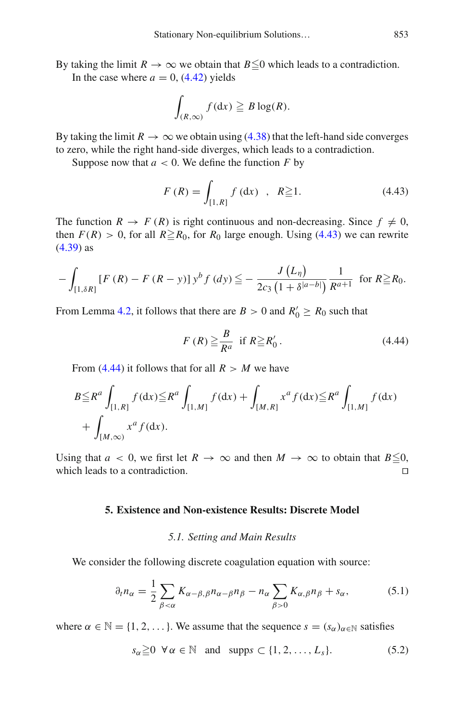By taking the limit  $R \to \infty$  we obtain that  $B \le 0$  which leads to a contradiction. In the case where  $a = 0$ , [\(4.42\)](#page-43-3) yields

$$
\int_{(R,\infty)} f(\mathrm{d}x) \geq B \log(R).
$$

By taking the limit  $R \to \infty$  we obtain using [\(4.38\)](#page-41-3) that the left-hand side converges to zero, while the right hand-side diverges, which leads to a contradiction.

Suppose now that  $a < 0$ . We define the function  $F$  by

<span id="page-44-3"></span>
$$
F(R) = \int_{[1,R]} f(\mathrm{d}x) , R \ge 1.
$$
 (4.43)

The function  $R \to F(R)$  is right continuous and non-decreasing. Since  $f \neq 0$ , then  $F(R) > 0$ , for all  $R \ge R_0$ , for  $R_0$  large enough. Using [\(4.43\)](#page-44-3) we can rewrite [\(4.39\)](#page-43-1) as

$$
-\int_{[1,\delta R]} [F(R) - F(R-y)] y^{b} f(dy) \leq -\frac{J(L_{\eta})}{2c_{3} (1+\delta^{|a-b|})} \frac{1}{R^{a+1}} \text{ for } R \geq R_{0}.
$$

From Lemma [4.2,](#page-39-4) it follows that there are  $B > 0$  and  $R'_0 \ge R_0$  such that

<span id="page-44-4"></span>
$$
F(R) \geq \frac{B}{R^a} \text{ if } R \geq R'_0. \tag{4.44}
$$

From [\(4.44\)](#page-44-4) it follows that for all  $R > M$  we have

$$
B \leq R^a \int_{[1,R]} f(\mathrm{d}x) \leq R^a \int_{[1,M]} f(\mathrm{d}x) + \int_{[M,R]} x^a f(\mathrm{d}x) \leq R^a \int_{[1,M]} f(\mathrm{d}x) + \int_{[M,\infty)} x^a f(\mathrm{d}x).
$$

<span id="page-44-0"></span>Using that *a* < 0, we first let  $R \to \infty$  and then  $M \to \infty$  to obtain that  $B \leq 0$ , which leads to a contradiction. which leads to a contradiction.

#### **5. Existence and Non-existence Results: Discrete Model**

#### <span id="page-44-5"></span><span id="page-44-2"></span>*5.1. Setting and Main Results*

<span id="page-44-1"></span>We consider the following discrete coagulation equation with source:

$$
\partial_t n_\alpha = \frac{1}{2} \sum_{\beta < \alpha} K_{\alpha - \beta, \beta} n_{\alpha - \beta} n_\beta - n_\alpha \sum_{\beta > 0} K_{\alpha, \beta} n_\beta + s_\alpha, \tag{5.1}
$$

where  $\alpha \in \mathbb{N} = \{1, 2, \dots\}$ . We assume that the sequence  $s = (s_{\alpha})_{\alpha \in \mathbb{N}}$  satisfies

$$
s_{\alpha} \geq 0 \ \forall \alpha \in \mathbb{N} \ \text{and } \text{supp}s \subset \{1, 2, \dots, L_s\}. \tag{5.2}
$$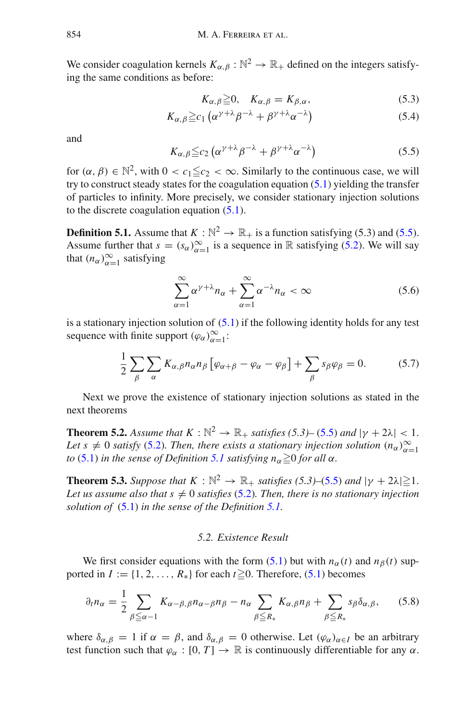We consider coagulation kernels  $K_{\alpha,\beta}: \mathbb{N}^2 \to \mathbb{R}_+$  defined on the integers satisfying the same conditions as before:

<span id="page-45-4"></span>
$$
K_{\alpha,\beta} \geq 0, \quad K_{\alpha,\beta} = K_{\beta,\alpha}, \tag{5.3}
$$

$$
K_{\alpha,\beta} \geq c_1 \left( \alpha^{\gamma+\lambda} \beta^{-\lambda} + \beta^{\gamma+\lambda} \alpha^{-\lambda} \right) \tag{5.4}
$$

<span id="page-45-1"></span>and

$$
K_{\alpha,\beta} \leq c_2 \left( \alpha^{\gamma+\lambda} \beta^{-\lambda} + \beta^{\gamma+\lambda} \alpha^{-\lambda} \right) \tag{5.5}
$$

for  $(\alpha, \beta) \in \mathbb{N}^2$ , with  $0 < c_1 \leq c_2 < \infty$ . Similarly to the continuous case, we will try to construct steady states for the coagulation equation  $(5.1)$  yielding the transfer of particles to infinity. More precisely, we consider stationary injection solutions to the discrete coagulation equation [\(5.1\)](#page-44-5).

<span id="page-45-2"></span>**Definition 5.1.** Assume that  $K : \mathbb{N}^2 \to \mathbb{R}_+$  is a function satisfying (5.3) and [\(5.5\)](#page-45-1). Assume further that  $s = (s_{\alpha})_{\alpha=1}^{\infty}$  is a sequence in R satisfying [\(5.2\)](#page-44-2). We will say that  $(n_{\alpha})_{\alpha=1}^{\infty}$  satisfying

<span id="page-45-7"></span><span id="page-45-6"></span>
$$
\sum_{\alpha=1}^{\infty} \alpha^{\gamma+\lambda} n_{\alpha} + \sum_{\alpha=1}^{\infty} \alpha^{-\lambda} n_{\alpha} < \infty \tag{5.6}
$$

is a stationary injection solution of  $(5.1)$  if the following identity holds for any test sequence with finite support  $(\varphi_{\alpha})_{\alpha=1}^{\infty}$ :

$$
\frac{1}{2} \sum_{\beta} \sum_{\alpha} K_{\alpha,\beta} n_{\alpha} n_{\beta} \left[ \varphi_{\alpha+\beta} - \varphi_{\alpha} - \varphi_{\beta} \right] + \sum_{\beta} s_{\beta} \varphi_{\beta} = 0. \tag{5.7}
$$

<span id="page-45-5"></span>Next we prove the existence of stationary injection solutions as stated in the next theorems

**Theorem 5.2.** *Assume that*  $K : \mathbb{N}^2 \to \mathbb{R}_+$  *satisfies (5.3)–[\(5.5\)](#page-45-1) and*  $|\gamma + 2\lambda| < 1$ . *Let*  $s \neq 0$  *satisfy* [\(5.2\)](#page-44-2)*. Then, there exists a stationary injection solution*  $(n_\alpha)_{\alpha=1}^\infty$ *to* [\(5.1\)](#page-44-5) *in the sense of Definition* [5.1](#page-45-2) *satisfying*  $n_{\alpha} \ge 0$  *for all*  $\alpha$ *.* 

<span id="page-45-8"></span>**Theorem 5.3.** *Suppose that*  $K : \mathbb{N}^2 \to \mathbb{R}_+$  *satisfies* (5.3)–[\(5.5\)](#page-45-1) *and*  $|\gamma + 2\lambda| \ge 1$ . Let us assume also that  $s \neq 0$  *satisfies* [\(5.2\)](#page-44-2). Then, there is no stationary injection *solution of* [\(5.1\)](#page-44-5) *in the sense of the Definition [5.1.](#page-45-2)*

## <span id="page-45-3"></span>*5.2. Existence Result*

<span id="page-45-0"></span>We first consider equations with the form [\(5.1\)](#page-44-5) but with  $n_{\alpha}(t)$  and  $n_{\beta}(t)$  supported in  $I := \{1, 2, ..., R_*\}$  for each  $t \ge 0$ . Therefore, [\(5.1\)](#page-44-5) becomes

$$
\partial_t n_{\alpha} = \frac{1}{2} \sum_{\beta \leq \alpha - 1} K_{\alpha - \beta, \beta} n_{\alpha - \beta} n_{\beta} - n_{\alpha} \sum_{\beta \leq R_*} K_{\alpha, \beta} n_{\beta} + \sum_{\beta \leq R_*} s_{\beta} \delta_{\alpha, \beta}, \qquad (5.8)
$$

where  $\delta_{\alpha,\beta} = 1$  if  $\alpha = \beta$ , and  $\delta_{\alpha,\beta} = 0$  otherwise. Let  $(\varphi_{\alpha})_{\alpha \in I}$  be an arbitrary test function such that  $\varphi_{\alpha} : [0, T] \to \mathbb{R}$  is continuously differentiable for any  $\alpha$ .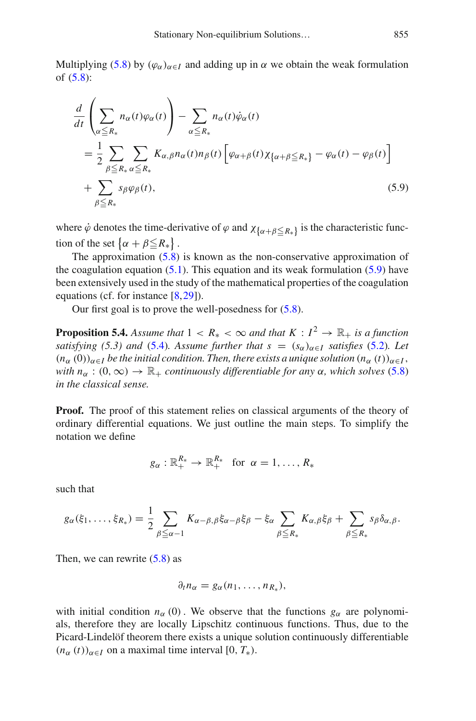Multiplying [\(5.8\)](#page-45-3) by  $(\varphi_{\alpha})_{\alpha \in I}$  and adding up in  $\alpha$  we obtain the weak formulation of [\(5.8\)](#page-45-3):

<span id="page-46-0"></span>
$$
\frac{d}{dt} \left( \sum_{\alpha \le R_*} n_{\alpha}(t) \varphi_{\alpha}(t) \right) - \sum_{\alpha \le R_*} n_{\alpha}(t) \dot{\varphi}_{\alpha}(t) \n= \frac{1}{2} \sum_{\beta \le R_*} \sum_{\alpha \le R_*} K_{\alpha,\beta} n_{\alpha}(t) n_{\beta}(t) \left[ \varphi_{\alpha+\beta}(t) \chi_{\{\alpha+\beta \le R_*\}} - \varphi_{\alpha}(t) - \varphi_{\beta}(t) \right] \n+ \sum_{\beta \le R_*} s_{\beta} \varphi_{\beta}(t),
$$
\n(5.9)

where  $\dot{\varphi}$  denotes the time-derivative of  $\varphi$  and  $\chi_{\{\alpha+\beta\leq R_*\}}$  is the characteristic function of the set  $\{\alpha + \beta \leq R_*\}$ .

The approximation [\(5.8\)](#page-45-3) is known as the non-conservative approximation of the coagulation equation  $(5.1)$ . This equation and its weak formulation  $(5.9)$  have been extensively used in the study of the mathematical properties of the coagulation equations (cf. for instance [\[8](#page-64-16)[,29](#page-65-21)]).

Our first goal is to prove the well-posedness for [\(5.8\)](#page-45-3).

**Proposition 5.4.** *Assume that*  $1 < R_* < \infty$  *and that*  $K : I^2 \to \mathbb{R}_+$  *is a function satisfying* (5.3) and [\(5.4\)](#page-45-4). Assume further that  $s = (s_\alpha)_{\alpha \in I}$  *satisfies* [\(5.2\)](#page-44-2)*.* Let  $(n_\alpha(0))_{\alpha \in I}$  *be the initial condition. Then, there exists a unique solution*  $(n_\alpha(t))_{\alpha \in I}$ , *with*  $n_{\alpha}$  : (0,  $\infty$ )  $\rightarrow \mathbb{R}_{+}$  *continuously differentiable for any*  $\alpha$ *, which solves* [\(5.8\)](#page-45-3) *in the classical sense.*

**Proof.** The proof of this statement relies on classical arguments of the theory of ordinary differential equations. We just outline the main steps. To simplify the notation we define

<span id="page-46-1"></span>
$$
g_{\alpha}: \mathbb{R}_{+}^{R_{*}} \to \mathbb{R}_{+}^{R_{*}} \text{ for } \alpha = 1, \ldots, R_{*}
$$

such that

$$
g_{\alpha}(\xi_1,\ldots,\xi_{R_*})=\frac{1}{2}\sum_{\beta\leq\alpha-1}K_{\alpha-\beta,\beta}\xi_{\alpha-\beta}\xi_{\beta}-\xi_{\alpha}\sum_{\beta\leq R_*}K_{\alpha,\beta}\xi_{\beta}+\sum_{\beta\leq R_*}s_{\beta}\delta_{\alpha,\beta}.
$$

Then, we can rewrite  $(5.8)$  as

$$
\partial_t n_\alpha = g_\alpha(n_1,\ldots,n_{R_*}),
$$

with initial condition  $n_{\alpha}(0)$ . We observe that the functions  $g_{\alpha}$  are polynomials, therefore they are locally Lipschitz continuous functions. Thus, due to the Picard-Lindelöf theorem there exists a unique solution continuously differentiable  $(n_{\alpha}(t))_{\alpha \in I}$  on a maximal time interval [0,  $T_{*}$ ).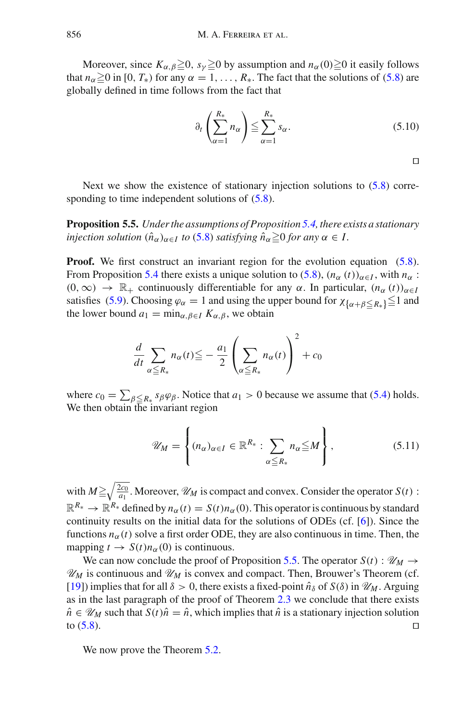Moreover, since  $K_{\alpha,\beta} \ge 0$ ,  $s_{\gamma} \ge 0$  by assumption and  $n_{\alpha}(0) \ge 0$  it easily follows that  $n_{\alpha} \ge 0$  in [0,  $T_*$ ) for any  $\alpha = 1, \ldots, R_*$ . The fact that the solutions of [\(5.8\)](#page-45-3) are globally defined in time follows from the fact that

$$
\partial_t \left( \sum_{\alpha=1}^{R_*} n_\alpha \right) \leq \sum_{\alpha=1}^{R_*} s_\alpha. \tag{5.10}
$$

 $\Box$ 

<span id="page-47-0"></span>Next we show the existence of stationary injection solutions to  $(5.8)$  corresponding to time independent solutions of  $(5.8)$ .

**Proposition 5.5.** *Under the assumptions of Proposition [5.4,](#page-46-1) there exists a stationary injection solution*  $(\hat{n}_{\alpha})_{\alpha \in I}$  *to* [\(5.8\)](#page-45-3) *satisfying*  $\hat{n}_{\alpha} \ge 0$  *for any*  $\alpha \in I$ .

**Proof.** We first construct an invariant region for the evolution equation [\(5.8\)](#page-45-3). From Proposition [5.4](#page-46-1) there exists a unique solution to [\(5.8\)](#page-45-3),  $(n_{\alpha}(t))_{\alpha \in I}$ , with  $n_{\alpha}$ :  $(0, \infty) \rightarrow \mathbb{R}_+$  continuously differentiable for any  $\alpha$ . In particular,  $(n_\alpha(t))_{\alpha \in I}$ satisfies [\(5.9\)](#page-46-0). Choosing  $\varphi_{\alpha} = 1$  and using the upper bound for  $\chi_{\{\alpha+\beta \leq R_*\}} \leq 1$  and the lower bound  $a_1 = \min_{\alpha, \beta \in I} K_{\alpha, \beta}$ , we obtain

$$
\frac{d}{dt} \sum_{\alpha \le R_*} n_{\alpha}(t) \le \frac{a_1}{2} \left( \sum_{\alpha \le R_*} n_{\alpha}(t) \right)^2 + c_0
$$

where  $c_0 = \sum_{\beta \le R_*} s_{\beta} \varphi_{\beta}$ . Notice that  $a_1 > 0$  because we assume that [\(5.4\)](#page-45-4) holds. We then obtain the invariant region

$$
\mathscr{U}_M = \left\{ (n_\alpha)_{\alpha \in I} \in \mathbb{R}^{R_*} : \sum_{\alpha \leq R_*} n_\alpha \leq M \right\},\tag{5.11}
$$

with  $M \ge \sqrt{\frac{2c_0}{a_1}}$ . Moreover,  $\mathcal{U}_M$  is compact and convex. Consider the operator  $S(t)$ :  $\mathbb{R}^{R_*} \to \mathbb{R}^{R_*}$  defined by  $n_\alpha(t) = S(t)n_\alpha(0)$ . This operator is continuous by standard continuity results on the initial data for the solutions of ODEs (cf. [\[6](#page-64-17)]). Since the functions  $n_{\alpha}(t)$  solve a first order ODE, they are also continuous in time. Then, the mapping  $t \to S(t)n_\alpha(0)$  is continuous.

We can now conclude the proof of Proposition [5.5.](#page-47-0) The operator  $S(t)$ :  $\mathcal{U}_M \rightarrow$  $\mathcal{U}_M$  is continuous and  $\mathcal{U}_M$  is convex and compact. Then, Brouwer's Theorem (cf.  $[19]$ ) implies that for all  $\delta > 0$ , there exists a fixed-point  $\hat{n}_{\delta}$  of  $S(\delta)$  in  $\mathcal{U}_M$ . Arguing as in the last paragraph of the proof of Theorem [2.3](#page-12-1) we conclude that there exists  $\hat{n}$  ∈  $\mathcal{U}_M$  such that *S*(*t*) $\hat{n} = \hat{n}$ , which implies that  $\hat{n}$  is a stationary injection solution to (5.8). to  $(5.8)$ .

We now prove the Theorem [5.2.](#page-45-5)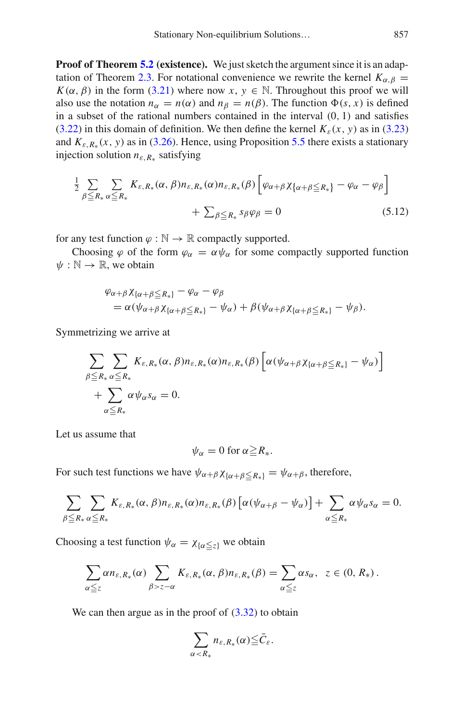**Proof of Theorem [5.2](#page-45-5) (existence).** We just sketch the argument since it is an adap-tation of Theorem [2.3.](#page-12-1) For notational convenience we rewrite the kernel  $K_{\alpha,\beta}$  = *K*( $\alpha$ ,  $\beta$ ) in the form [\(3.21\)](#page-24-0) where now *x*,  $y \in \mathbb{N}$ . Throughout this proof we will also use the notation  $n_{\alpha} = n(\alpha)$  and  $n_{\beta} = n(\beta)$ . The function  $\Phi(s, x)$  is defined in a subset of the rational numbers contained in the interval  $(0, 1)$  and satisfies [\(3.22\)](#page-24-1) in this domain of definition. We then define the kernel  $K_{\varepsilon}(x, y)$  as in [\(3.23\)](#page-24-2) and  $K_{\varepsilon, R_{\varepsilon}}(x, y)$  as in [\(3.26\)](#page-25-4). Hence, using Proposition [5.5](#page-47-0) there exists a stationary injection solution *n*ε,*R*<sup>∗</sup> satisfying

$$
\frac{1}{2} \sum_{\beta \le R_*} \sum_{\alpha \le R_*} K_{\varepsilon, R_*}(\alpha, \beta) n_{\varepsilon, R_*}(\alpha) n_{\varepsilon, R_*}(\beta) \left[ \varphi_{\alpha + \beta} \chi_{\{\alpha + \beta \le R_*\}} - \varphi_{\alpha} - \varphi_{\beta} \right] + \sum_{\beta \le R_*} s_{\beta} \varphi_{\beta} = 0 \tag{5.12}
$$

for any test function  $\varphi : \mathbb{N} \to \mathbb{R}$  compactly supported.

Choosing  $\varphi$  of the form  $\varphi_{\alpha} = \alpha \psi_{\alpha}$  for some compactly supported function  $\psi : \mathbb{N} \to \mathbb{R}$ , we obtain

$$
\varphi_{\alpha+\beta}\chi_{\{\alpha+\beta\leq R_*\}}-\varphi_{\alpha}-\varphi_{\beta}
$$
  
=  $\alpha(\psi_{\alpha+\beta}\chi_{\{\alpha+\beta\leq R_*\}}-\psi_{\alpha})+\beta(\psi_{\alpha+\beta}\chi_{\{\alpha+\beta\leq R_*\}}-\psi_{\beta}).$ 

Symmetrizing we arrive at

$$
\sum_{\beta \leq R_*} \sum_{\alpha \leq R_*} K_{\varepsilon, R_*}(\alpha, \beta) n_{\varepsilon, R_*}(\alpha) n_{\varepsilon, R_*}(\beta) \left[ \alpha (\psi_{\alpha + \beta} \chi_{\{\alpha + \beta \leq R_*\}} - \psi_\alpha) \right] + \sum_{\alpha \leq R_*} \alpha \psi_\alpha s_\alpha = 0.
$$

Let us assume that

$$
\psi_{\alpha}=0 \text{ for } \alpha\geq R_*.
$$

For such test functions we have  $\psi_{\alpha+\beta} \chi_{\{\alpha+\beta \leq R_*\}} = \psi_{\alpha+\beta}$ , therefore,

$$
\sum_{\beta \leq R_*} \sum_{\alpha \leq R_*} K_{\varepsilon, R_*}(\alpha, \beta) n_{\varepsilon, R_*}(\alpha) n_{\varepsilon, R_*}(\beta) \left[ \alpha (\psi_{\alpha+\beta} - \psi_{\alpha}) \right] + \sum_{\alpha \leq R_*} \alpha \psi_{\alpha} s_{\alpha} = 0.
$$

Choosing a test function  $\psi_{\alpha} = \chi_{\{\alpha \leq z\}}$  we obtain

$$
\sum_{\alpha \leq z} \alpha n_{\varepsilon, R_*}(\alpha) \sum_{\beta > z - \alpha} K_{\varepsilon, R_*}(\alpha, \beta) n_{\varepsilon, R_*}(\beta) = \sum_{\alpha \leq z} \alpha s_{\alpha}, \ \ z \in (0, R_*).
$$

We can then argue as in the proof of  $(3.32)$  to obtain

$$
\sum_{\alpha < R_*} n_{\varepsilon, R_*}(\alpha) \leq \bar{C}_{\varepsilon}.
$$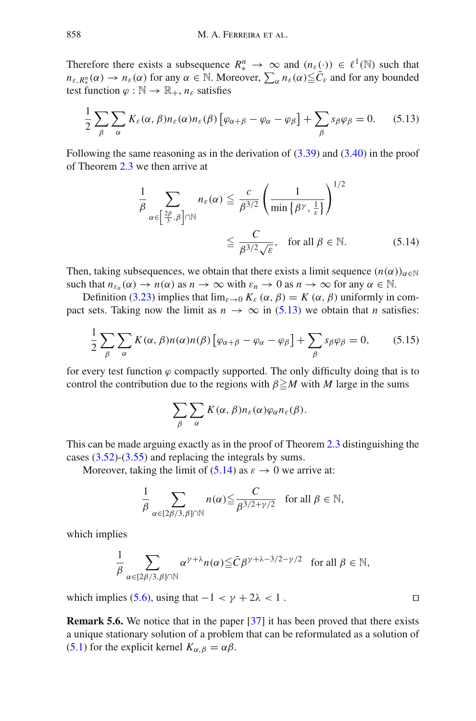Therefore there exists a subsequence  $R^n_* \to \infty$  and  $(n_{\varepsilon}(\cdot)) \in \ell^1(\mathbb{N})$  such that  $n_{\varepsilon, R_{\varepsilon}^n}(\alpha) \to n_{\varepsilon}(\alpha)$  for any  $\alpha \in \mathbb{N}$ . Moreover,  $\sum_{\alpha} n_{\varepsilon}(\alpha) \leq \bar{C}_{\varepsilon}$  and for any bounded test function  $\varphi : \mathbb{N} \to \mathbb{R}_+, n_{\varepsilon}$  satisfies

$$
\frac{1}{2} \sum_{\beta} \sum_{\alpha} K_{\varepsilon}(\alpha, \beta) n_{\varepsilon}(\alpha) n_{\varepsilon}(\beta) \left[ \varphi_{\alpha+\beta} - \varphi_{\alpha} - \varphi_{\beta} \right] + \sum_{\beta} s_{\beta} \varphi_{\beta} = 0. \quad (5.13)
$$

Following the same reasoning as in the derivation of [\(3.39\)](#page-28-1) and [\(3.40\)](#page-28-1) in the proof of Theorem [2.3](#page-12-1) we then arrive at

<span id="page-49-1"></span><span id="page-49-0"></span>
$$
\frac{1}{\beta} \sum_{\alpha \in \left[\frac{2\beta}{3}, \beta\right] \cap \mathbb{N}} n_{\varepsilon}(\alpha) \leq \frac{c}{\beta^{3/2}} \left(\frac{1}{\min\left\{\beta^{\gamma}, \frac{1}{\varepsilon}\right\}}\right)^{1/2} \leq \frac{C}{\beta^{3/2} \sqrt{\varepsilon}}, \quad \text{for all } \beta \in \mathbb{N}.
$$
 (5.14)

Then, taking subsequences, we obtain that there exists a limit sequence  $(n(\alpha))_{\alpha \in \mathbb{N}}$ such that  $n_{\varepsilon_n}(\alpha) \to n(\alpha)$  as  $n \to \infty$  with  $\varepsilon_n \to 0$  as  $n \to \infty$  for any  $\alpha \in \mathbb{N}$ .

Definition [\(3.23\)](#page-24-2) implies that  $\lim_{\varepsilon \to 0} K_{\varepsilon}(\alpha, \beta) = K(\alpha, \beta)$  uniformly in compact sets. Taking now the limit as  $n \to \infty$  in [\(5.13\)](#page-49-0) we obtain that *n* satisfies:

$$
\frac{1}{2} \sum_{\beta} \sum_{\alpha} K(\alpha, \beta) n(\alpha) n(\beta) \left[ \varphi_{\alpha+\beta} - \varphi_{\alpha} - \varphi_{\beta} \right] + \sum_{\beta} s_{\beta} \varphi_{\beta} = 0, \qquad (5.15)
$$

for every test function  $\varphi$  compactly supported. The only difficulty doing that is to control the contribution due to the regions with  $\beta \ge M$  with *M* large in the sums

$$
\sum_{\beta}\sum_{\alpha}K(\alpha,\beta)n_{\varepsilon}(\alpha)\varphi_{\alpha}n_{\varepsilon}(\beta).
$$

This can be made arguing exactly as in the proof of Theorem [2.3](#page-12-1) distinguishing the cases [\(3.52\)](#page-31-0)-[\(3.55\)](#page-31-3) and replacing the integrals by sums.

Moreover, taking the limit of [\(5.14\)](#page-49-1) as  $\varepsilon \to 0$  we arrive at:

$$
\frac{1}{\beta} \sum_{\alpha \in [2\beta/3,\beta] \cap \mathbb{N}} n(\alpha) \leq \frac{C}{\beta^{3/2 + \gamma/2}} \quad \text{for all } \beta \in \mathbb{N},
$$

which implies

$$
\frac{1}{\beta} \sum_{\alpha \in [2\beta/3, \beta] \cap \mathbb{N}} \alpha^{\gamma + \lambda} n(\alpha) \leq \bar{C} \beta^{\gamma + \lambda - 3/2 - \gamma/2} \quad \text{for all } \beta \in \mathbb{N},
$$

which implies [\(5.6\)](#page-45-6), using that  $-1 < \gamma + 2\lambda < 1$ .

**Remark 5.6.** We notice that in the paper [\[37\]](#page-65-22) it has been proved that there exists a unique stationary solution of a problem that can be reformulated as a solution of [\(5.1\)](#page-44-5) for the explicit kernel  $K_{\alpha,\beta} = \alpha\beta$ .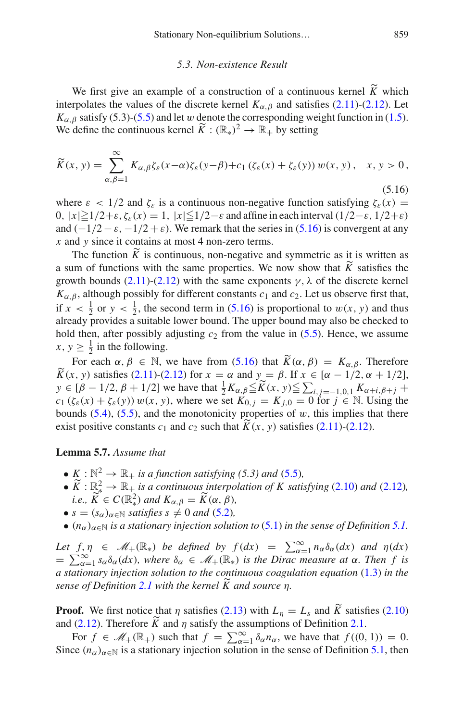#### <span id="page-50-1"></span>*5.3. Non-existence Result*

<span id="page-50-0"></span>We first give an example of a construction of a continuous kernel  $\tilde{K}$  which interpolates the values of the discrete kernel  $K_{\alpha,\beta}$  and satisfies [\(2.11\)](#page-11-1)-[\(2.12\)](#page-11-2). Let  $K_{\alpha,\beta}$  satisfy (5.3)-[\(5.5\)](#page-45-1) and let w denote the corresponding weight function in [\(1.5\)](#page-4-0). We define the continuous kernel  $\widetilde{K}: (\mathbb{R}_*)^2 \to \mathbb{R}_+$  by setting

$$
\widetilde{K}(x, y) = \sum_{\alpha, \beta=1}^{\infty} K_{\alpha, \beta} \zeta_{\varepsilon}(x - \alpha) \zeta_{\varepsilon}(y - \beta) + c_1 (\zeta_{\varepsilon}(x) + \zeta_{\varepsilon}(y)) w(x, y), \quad x, y > 0,
$$
\n(5.16)

where  $\varepsilon$  < 1/2 and  $\zeta_{\varepsilon}$  is a continuous non-negative function satisfying  $\zeta_{\varepsilon}(x)$  = 0,  $|x| \ge 1/2 + \varepsilon$ ,  $\zeta_{\varepsilon}(x) = 1$ ,  $|x| \le 1/2 - \varepsilon$  and affine in each interval  $(1/2 - \varepsilon, 1/2 + \varepsilon)$ and  $(-1/2 - \varepsilon, -1/2 + \varepsilon)$ . We remark that the series in [\(5.16\)](#page-50-1) is convergent at any *x* and *y* since it contains at most 4 non-zero terms.

The function  $\widetilde{K}$  is continuous, non-negative and symmetric as it is written as a sum of functions with the same properties. We now show that  $\widetilde{K}$  satisfies the growth bounds [\(2.11\)](#page-11-1)-[\(2.12\)](#page-11-2) with the same exponents  $\gamma$ ,  $\lambda$  of the discrete kernel  $K_{\alpha,\beta}$ , although possibly for different constants  $c_1$  and  $c_2$ . Let us observe first that, if  $x < \frac{1}{2}$  or  $y < \frac{1}{2}$ , the second term in [\(5.16\)](#page-50-1) is proportional to  $w(x, y)$  and thus already provides a suitable lower bound. The upper bound may also be checked to hold then, after possibly adjusting  $c_2$  from the value in  $(5.5)$ . Hence, we assume  $x, y \geq \frac{1}{2}$  in the following.

For each  $\alpha, \beta \in \mathbb{N}$ , we have from [\(5.16\)](#page-50-1) that  $\widetilde{K}(\alpha, \beta) = K_{\alpha, \beta}$ . Therefore  $\widetilde{K}(x, y)$  satisfies [\(2.11\)](#page-11-1)-[\(2.12\)](#page-11-2) for  $x = \alpha$  and  $y = \beta$ . If  $x \in [\alpha - 1/2, \alpha + 1/2]$ ,  $y \in [\beta - 1/2, \beta + 1/2]$  we have that  $\frac{1}{2}K_{\alpha,\beta} \leq \widetilde{K}(x, y) \leq \sum_{i,j=-1,0,1} K_{\alpha+i,\beta+j} +$  $c_1$  ( $\zeta_{\varepsilon}(x) + \zeta_{\varepsilon}(y)$ )  $w(x, y)$ , where we set  $K_{0, j} = K_{j, 0} = 0$  for  $j \in \mathbb{N}$ . Using the bounds  $(5.4)$ ,  $(5.5)$ , and the monotonicity properties of w, this implies that there exist positive constants  $c_1$  and  $c_2$  such that  $\widetilde{K}(x, y)$  satisfies [\(2.11\)](#page-11-1)-[\(2.12\)](#page-11-2).

# <span id="page-50-2"></span>**Lemma 5.7.** *Assume that*

- $K : \mathbb{N}^2 \to \mathbb{R}_+$  *is a function satisfying (5.3) and [\(5.5\)](#page-45-1),*
- $\widetilde{K}: \mathbb{R}^2_* \to \mathbb{R}_+$  *is a continuous interpolation of* K satisfying [\(2.10\)](#page-10-1) and [\(2.12\)](#page-11-2), *i.e.*,  $\widetilde{K} \in C(\mathbb{R}^2)$  *and*  $K_{\alpha,\beta} = \widetilde{K}(\alpha,\beta)$ ,
- $s = (s_\alpha)_{\alpha \in \mathbb{N}}$  *satisfies*  $s \neq 0$  *and* [\(5.2\)](#page-44-2)*,*
- $(n_\alpha)_{\alpha \in \mathbb{N}}$  *is a stationary injection solution to* [\(5.1\)](#page-44-5) *in the sense of Definition [5.1.](#page-45-2)*

*Let*  $f, \eta \in \mathcal{M}_+(\mathbb{R}_*)$  *be defined by*  $f(dx) = \sum_{\alpha=1}^{\infty} n_{\alpha} \delta_{\alpha}(dx)$  *and*  $\eta(dx)$  $=\sum_{\alpha=1}^{\infty} s_{\alpha} \delta_{\alpha}(dx)$ *, where*  $\delta_{\alpha} \in \mathcal{M}_{+}(\mathbb{R}_{*})$  *is the Dirac measure at*  $\alpha$ *. Then f is a stationary injection solution to the continuous coagulation equation* [\(1.3\)](#page-3-0) *in the sense of Definition* [2.1](#page-11-4) with the kernel  $\widetilde{K}$  and source  $\eta$ .

**Proof.** We first notice that  $\eta$  satisfies [\(2.13\)](#page-11-3) with  $L_{\eta} = L_s$  and  $\widetilde{K}$  satisfies [\(2.10\)](#page-10-1) and [\(2.12\)](#page-11-2). Therefore  $\widetilde{K}$  and  $\eta$  satisfy the assumptions of Definition [2.1.](#page-11-4)

For  $f \in \mathcal{M}_+(\mathbb{R}_+)$  such that  $f = \sum_{\alpha=1}^{\infty} \delta_{\alpha} n_{\alpha}$ , we have that  $f((0, 1)) = 0$ . Since  $(n_{\alpha})_{\alpha \in \mathbb{N}}$  is a stationary injection solution in the sense of Definition [5.1,](#page-45-2) then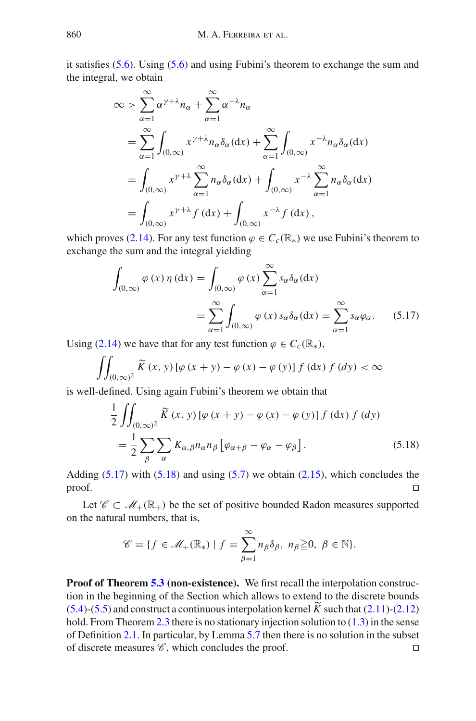it satisfies [\(5.6\)](#page-45-6). Using [\(5.6\)](#page-45-6) and using Fubini's theorem to exchange the sum and the integral, we obtain

$$
\begin{split}\n&\infty > \sum_{\alpha=1}^{\infty} \alpha^{\gamma+\lambda} n_{\alpha} + \sum_{\alpha=1}^{\infty} \alpha^{-\lambda} n_{\alpha} \\
&= \sum_{\alpha=1}^{\infty} \int_{(0,\infty)} x^{\gamma+\lambda} n_{\alpha} \delta_{\alpha}(\mathrm{d}x) + \sum_{\alpha=1}^{\infty} \int_{(0,\infty)} x^{-\lambda} n_{\alpha} \delta_{\alpha}(\mathrm{d}x) \\
&= \int_{(0,\infty)} x^{\gamma+\lambda} \sum_{\alpha=1}^{\infty} n_{\alpha} \delta_{\alpha}(\mathrm{d}x) + \int_{(0,\infty)} x^{-\lambda} \sum_{\alpha=1}^{\infty} n_{\alpha} \delta_{\alpha}(\mathrm{d}x) \\
&= \int_{(0,\infty)} x^{\gamma+\lambda} f(\mathrm{d}x) + \int_{(0,\infty)} x^{-\lambda} f(\mathrm{d}x),\n\end{split}
$$

which proves [\(2.14\)](#page-11-5). For any test function  $\varphi \in C_c(\mathbb{R})$  we use Fubini's theorem to exchange the sum and the integral yielding

<span id="page-51-0"></span>
$$
\int_{(0,\infty)} \varphi(x) \eta(dx) = \int_{(0,\infty)} \varphi(x) \sum_{\alpha=1}^{\infty} s_{\alpha} \delta_{\alpha}(dx)
$$

$$
= \sum_{\alpha=1}^{\infty} \int_{(0,\infty)} \varphi(x) s_{\alpha} \delta_{\alpha}(dx) = \sum_{\alpha=1}^{\infty} s_{\alpha} \varphi_{\alpha}.
$$
(5.17)

Using [\(2.14\)](#page-11-5) we have that for any test function  $\varphi \in C_c(\mathbb{R}_*)$ ,

$$
\iint_{(0,\infty)^2} \widetilde{K}(x,y) \left[ \varphi(x+y) - \varphi(x) - \varphi(y) \right] f(\mathrm{d}x) f(\mathrm{d}y) < \infty
$$

is well-defined. Using again Fubini's theorem we obtain that

<span id="page-51-1"></span>
$$
\frac{1}{2} \iint_{(0,\infty)^2} \widetilde{K}(x, y) \left[ \varphi(x + y) - \varphi(x) - \varphi(y) \right] f(\mathrm{d}x) f(\mathrm{d}y)
$$

$$
= \frac{1}{2} \sum_{\beta} \sum_{\alpha} K_{\alpha,\beta} n_{\alpha} n_{\beta} \left[ \varphi_{\alpha + \beta} - \varphi_{\alpha} - \varphi_{\beta} \right]. \tag{5.18}
$$

Adding  $(5.17)$  with  $(5.18)$  and using  $(5.7)$  we obtain  $(2.15)$ , which concludes the  $\Box$ 

Let  $\mathscr{C} \subset \mathscr{M}_+(\mathbb{R}_+)$  be the set of positive bounded Radon measures supported on the natural numbers, that is,

$$
\mathscr{C} = \{ f \in \mathscr{M}_+(\mathbb{R}_*) \mid f = \sum_{\beta=1}^{\infty} n_{\beta} \delta_{\beta}, n_{\beta} \geq 0, \ \beta \in \mathbb{N} \}.
$$

**Proof of Theorem [5.3](#page-45-8) (non-existence).** We first recall the interpolation construction in the beginning of the Section which allows to extend to the discrete bounds  $(5.4)$ -[\(5.5\)](#page-45-1) and construct a continuous interpolation kernel  $\widetilde{K}$  such that [\(2.11\)](#page-11-1)-[\(2.12\)](#page-11-2) hold. From Theorem [2.3](#page-12-1) there is no stationary injection solution to [\(1.3\)](#page-3-0) in the sense of Definition [2.1.](#page-11-4) In particular, by Lemma [5.7](#page-50-2) then there is no solution in the subset of discrete measures  $\mathscr{C}$ , which concludes the proof.  $\square$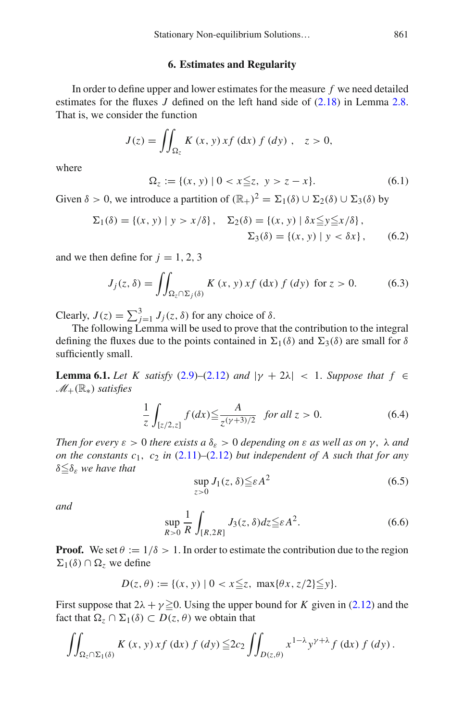# **6. Estimates and Regularity**

<span id="page-52-0"></span>In order to define upper and lower estimates for the measure *f* we need detailed estimates for the fluxes *J* defined on the left hand side of [\(2.18\)](#page-13-1) in Lemma [2.8.](#page-13-0) That is, we consider the function

$$
J(z) = \iint_{\Omega_z} K(x, y) x f(\mathrm{d}x) f(\mathrm{d}y) , \quad z > 0,
$$

<span id="page-52-6"></span>where

<span id="page-52-4"></span>
$$
\Omega_z := \{(x, y) \mid 0 < x \leq z, \ y > z - x\}.\tag{6.1}
$$

Given  $\delta > 0$ , we introduce a partition of  $(\mathbb{R}_{+})^2 = \Sigma_1(\delta) \cup \Sigma_2(\delta) \cup \Sigma_3(\delta)$  by

<span id="page-52-7"></span>
$$
\Sigma_1(\delta) = \{(x, y) \mid y > x/\delta\}, \quad \Sigma_2(\delta) = \{(x, y) \mid \delta x \leqq y \leqq x/\delta\},
$$
  

$$
\Sigma_3(\delta) = \{(x, y) \mid y < \delta x\}, \quad (6.2)
$$

and we then define for  $j = 1, 2, 3$ 

$$
J_j(z,\delta) = \iint_{\Omega_z \cap \Sigma_j(\delta)} K(x,y) x f(\mathrm{d}x) f(\mathrm{d}y) \text{ for } z > 0. \tag{6.3}
$$

Clearly,  $J(z) = \sum_{j=1}^{3} J_j(z, \delta)$  for any choice of  $\delta$ .

The following Lemma will be used to prove that the contribution to the integral defining the fluxes due to the points contained in  $\Sigma_1(\delta)$  and  $\Sigma_3(\delta)$  are small for  $\delta$ sufficiently small.

<span id="page-52-1"></span>**Lemma 6.1.** *Let K satisfy* [\(2.9\)](#page-10-2)–[\(2.12\)](#page-11-2) *and*  $|\gamma + 2\lambda| < 1$ . *Suppose that*  $f \in$ *<sup>M</sup>*+(R∗) *satisfies*

<span id="page-52-2"></span>
$$
\frac{1}{z} \int_{[z/2,z]} f(dx) \le \frac{A}{z^{(\gamma+3)/2}} \quad \text{for all } z > 0. \tag{6.4}
$$

*Then for every*  $\varepsilon > 0$  *there exists a*  $\delta_{\varepsilon} > 0$  *depending on*  $\varepsilon$  *as well as on*  $\gamma$ ,  $\lambda$  *and on the constants c*1, *c*<sup>2</sup> *in* [\(2.11\)](#page-11-1)*–*[\(2.12\)](#page-11-2) *but independent of A such that for any*  $\delta \leq \delta_{\varepsilon}$  *we have that* 

$$
\sup_{z>0} J_1(z,\delta) \leq \varepsilon A^2 \tag{6.5}
$$

<span id="page-52-5"></span>*and*

<span id="page-52-3"></span>
$$
\sup_{R>0} \frac{1}{R} \int_{[R,2R]} J_3(z,\delta) dz \leq \varepsilon A^2.
$$
\n(6.6)

**Proof.** We set  $\theta := 1/\delta > 1$ . In order to estimate the contribution due to the region  $\Sigma_1(\delta) \cap \Omega$ <sub>z</sub> we define

$$
D(z, \theta) := \{(x, y) | 0 < x \leq z, \max\{\theta x, z/2\} \leq y\}.
$$

First suppose that  $2\lambda + \gamma \ge 0$ . Using the upper bound for *K* given in [\(2.12\)](#page-11-2) and the fact that  $\Omega_z \cap \Sigma_1(\delta) \subset D(z, \theta)$  we obtain that

$$
\iint_{\Omega_{z} \cap \Sigma_{1}(\delta)} K(x, y) x f(\mathrm{d}x) f(\mathrm{d}y) \leq 2c_{2} \iint_{D(z, \theta)} x^{1-\lambda} y^{\gamma+\lambda} f(\mathrm{d}x) f(\mathrm{d}y).
$$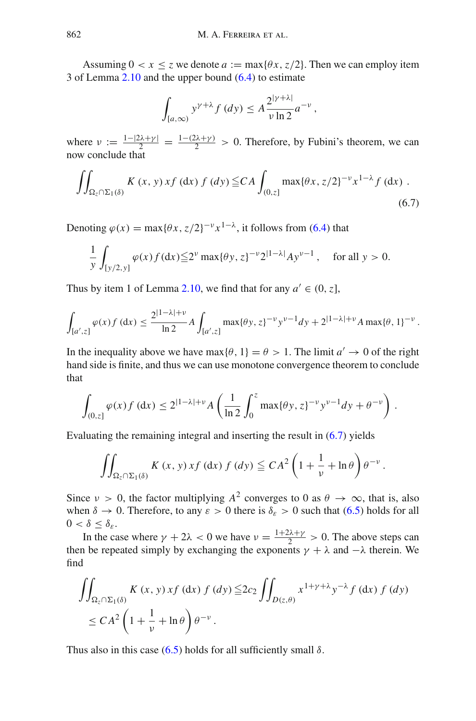Assuming  $0 < x \le z$  we denote  $a := \max\{\theta x, z/2\}$ . Then we can employ item 3 of Lemma [2.10](#page-14-3) and the upper bound [\(6.4\)](#page-52-2) to estimate

<span id="page-53-0"></span>
$$
\int_{[a,\infty)} y^{\gamma+\lambda} f(dy) \leq A \frac{2^{|\gamma+\lambda|}}{\nu \ln 2} a^{-\nu},
$$

where  $v := \frac{1-|2\lambda+\gamma|}{2} = \frac{1-(2\lambda+\gamma)}{2} > 0$ . Therefore, by Fubini's theorem, we can now conclude that

$$
\iint_{\Omega_z \cap \Sigma_1(\delta)} K(x, y) x f(\mathrm{d}x) f(\mathrm{d}y) \leq C A \int_{(0, z]} \max\{\theta x, z/2\}^{-\nu} x^{1-\lambda} f(\mathrm{d}x) .
$$
\n(6.7)

Denoting  $\varphi(x) = \max\{\theta x, z/2\}^{-\nu} x^{1-\lambda}$ , it follows from [\(6.4\)](#page-52-2) that

$$
\frac{1}{y} \int_{[y/2,y]} \varphi(x) f(dx) \leq 2^{\nu} \max\{\theta y, z\}^{-\nu} 2^{|1-\lambda|} A y^{\nu-1}, \quad \text{for all } y > 0.
$$

Thus by item 1 of Lemma [2.10,](#page-14-3) we find that for any  $a' \in (0, z]$ ,

$$
\int_{[a',z]} \varphi(x) f(\mathrm{d}x) \le \frac{2^{|1-\lambda|+v}}{\ln 2} A \int_{[a',z]} \max\{\theta y, z\}^{-v} y^{v-1} dy + 2^{|1-\lambda|+v} A \max\{\theta, 1\}^{-v}.
$$

In the inequality above we have max{ $\theta$ , 1} =  $\theta$  > 1. The limit  $a' \rightarrow 0$  of the right hand side is finite, and thus we can use monotone convergence theorem to conclude that

$$
\int_{(0,z]} \varphi(x) f(\mathrm{d} x) \le 2^{|1-\lambda|+\nu} A\left(\frac{1}{\ln 2} \int_0^z \max\{\theta y, z\}^{-\nu} y^{\nu-1} dy + \theta^{-\nu}\right).
$$

Evaluating the remaining integral and inserting the result in [\(6.7\)](#page-53-0) yields

$$
\iint_{\Omega_z \cap \Sigma_1(\delta)} K(x, y) x f (dx) f (dy) \leq C A^2 \left( 1 + \frac{1}{\nu} + \ln \theta \right) \theta^{-\nu}.
$$

Since  $v > 0$ , the factor multiplying  $A^2$  converges to 0 as  $\theta \to \infty$ , that is, also when  $\delta \to 0$ . Therefore, to any  $\varepsilon > 0$  there is  $\delta_{\varepsilon} > 0$  such that [\(6.5\)](#page-52-3) holds for all  $0 < \delta \leq \delta_{\varepsilon}.$ 

In the case where  $\gamma + 2\lambda < 0$  we have  $\nu = \frac{1+2\lambda+\gamma}{2} > 0$ . The above steps can then be repeated simply by exchanging the exponents  $\gamma + \lambda$  and  $-\lambda$  therein. We find

$$
\iint_{\Omega_z \cap \Sigma_1(\delta)} K(x, y) x f(dx) f(dy) \leq 2c_2 \iint_{D(z, \theta)} x^{1 + \gamma + \lambda} y^{-\lambda} f(dx) f(dy)
$$
  
 
$$
\leq C A^2 \left( 1 + \frac{1}{\nu} + \ln \theta \right) \theta^{-\nu}.
$$

Thus also in this case  $(6.5)$  holds for all sufficiently small  $\delta$ .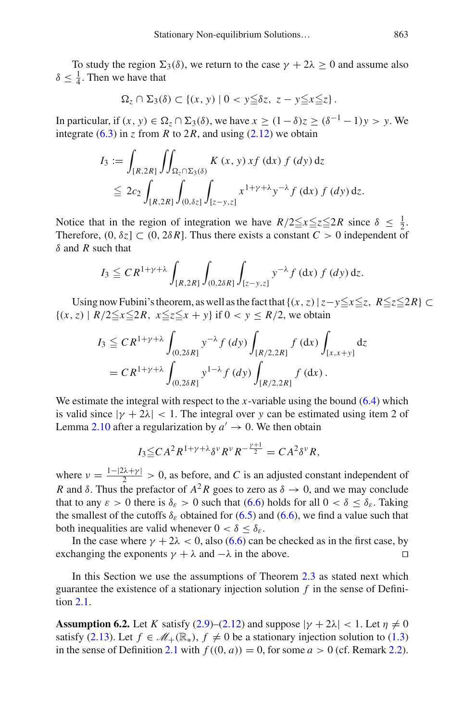To study the region  $\Sigma_3(\delta)$ , we return to the case  $\gamma + 2\lambda \geq 0$  and assume also  $\delta \leq \frac{1}{4}$ . Then we have that

$$
\Omega_z \cap \Sigma_3(\delta) \subset \{(x, y) \mid 0 < y \leq \delta z, \ z - y \leq x \leq z\}.
$$

In particular, if  $(x, y) \in \Omega$ <sub>z</sub>  $\cap$   $\Sigma$ <sub>3</sub>( $\delta$ ), we have  $x \ge (1 - \delta)z \ge (\delta^{-1} - 1)y > y$ . We integrate  $(6.3)$  in *z* from *R* to 2*R*, and using  $(2.12)$  we obtain

$$
I_3 := \int_{[R,2R]} \iint_{\Omega_z \cap \Sigma_3(\delta)} K(x,y) x f(\mathrm{d}x) f(\mathrm{d}y) \mathrm{d}z
$$
  
\n
$$
\leq 2c_2 \int_{[R,2R]} \int_{(0,\delta z]} \int_{[z-y,z]} x^{1+y+\lambda} y^{-\lambda} f(\mathrm{d}x) f(\mathrm{d}y) \mathrm{d}z.
$$

Notice that in the region of integration we have  $R/2 \le x \le z \le 2R$  since  $\delta \le \frac{1}{2}$ . Therefore,  $(0, \delta z] \subset (0, 2\delta R)$ . Thus there exists a constant  $C > 0$  independent of δ and *R* such that

$$
I_3 \leq C R^{1+\gamma+\lambda} \int_{[R,2R]} \int_{(0,2\delta R]} \int_{[z-y,z]} y^{-\lambda} f(\mathrm{d} x) f(dy) \, \mathrm{d} z.
$$

Using now Fubini's theorem, as well as the fact that  $\{(x, z) | z - y \le x \le z, R \le z \le 2R\} \subset$  ${(x, z) | R/2 \le x \le 2R, x \le z \le x + y}$  if  $0 < y \le R/2$ , we obtain

$$
I_3 \leq C R^{1+\gamma+\lambda} \int_{(0,2\delta R]} y^{-\lambda} f(dy) \int_{[R/2,2R]} f(dx) \int_{[x,x+y]} dz
$$
  
= 
$$
C R^{1+\gamma+\lambda} \int_{(0,2\delta R]} y^{1-\lambda} f(dy) \int_{[R/2,2R]} f(dx).
$$

We estimate the integral with respect to the *x*-variable using the bound [\(6.4\)](#page-52-2) which is valid since  $|\gamma + 2\lambda| < 1$ . The integral over y can be estimated using item 2 of Lemma [2.10](#page-14-3) after a regularization by  $a' \rightarrow 0$ . We then obtain

$$
I_3 \leq C A^2 R^{1+\gamma+\lambda} \delta^{\nu} R^{\nu} R^{-\frac{\gamma+1}{2}} = C A^2 \delta^{\nu} R,
$$

where  $v = \frac{1-|2\lambda + \gamma|}{2} > 0$ , as before, and *C* is an adjusted constant independent of *R* and  $\delta$ . Thus the prefactor of  $A^2R$  goes to zero as  $\delta \rightarrow 0$ , and we may conclude that to any  $\varepsilon > 0$  there is  $\delta_{\varepsilon} > 0$  such that  $(6.6)$  holds for all  $0 < \delta \leq \delta_{\varepsilon}$ . Taking the smallest of the cutoffs  $\delta_{\varepsilon}$  obtained for [\(6.5\)](#page-52-3) and [\(6.6\)](#page-52-5), we find a value such that both inequalities are valid whenever  $0 < \delta \leq \delta_{\epsilon}$ .

In the case where  $\gamma + 2\lambda < 0$ , also [\(6.6\)](#page-52-5) can be checked as in the first case, by hanging the exponents  $\gamma + \lambda$  and  $-\lambda$  in the above. exchanging the exponents  $\gamma + \lambda$  and  $-\lambda$  in the above.

In this Section we use the assumptions of Theorem [2.3](#page-12-1) as stated next which guarantee the existence of a stationary injection solution  $f$  in the sense of Definition [2.1.](#page-11-4)

<span id="page-54-0"></span>**Assumption 6.2.** Let *K* satisfy [\(2.9\)](#page-10-2)–[\(2.12\)](#page-11-2) and suppose  $|\gamma + 2\lambda| < 1$ . Let  $\eta \neq 0$ satisfy [\(2.13\)](#page-11-3). Let  $f \in \mathcal{M}_+(\mathbb{R}_*)$ ,  $f \neq 0$  be a stationary injection solution to [\(1.3\)](#page-3-0) in the sense of Definition [2.1](#page-11-4) with  $f((0, a)) = 0$ , for some  $a > 0$  (cf. Remark [2.2\)](#page-11-6).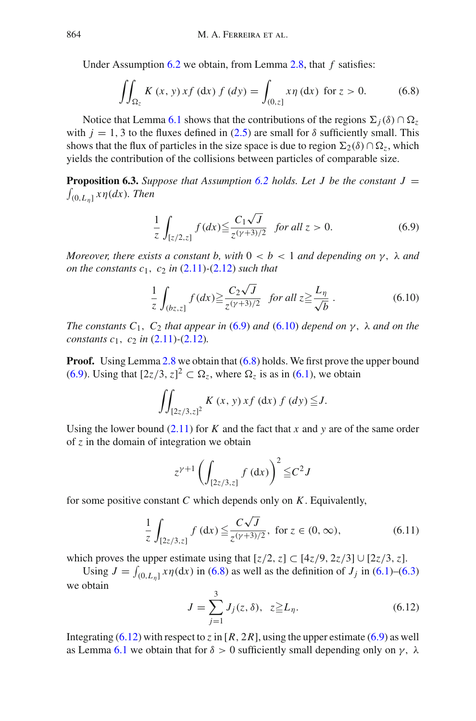Under Assumption [6.2](#page-54-0) we obtain, from Lemma [2.8,](#page-13-0) that *f* satisfies:

<span id="page-55-2"></span>
$$
\iint_{\Omega_z} K(x, y) x f (dx) f (dy) = \int_{(0, z]} x \eta (dx) \text{ for } z > 0.
$$
 (6.8)

Notice that Lemma [6.1](#page-52-1) shows that the contributions of the regions  $\Sigma_i(\delta) \cap \Omega_z$ with  $j = 1, 3$  to the fluxes defined in [\(2.5\)](#page-8-4) are small for  $\delta$  sufficiently small. This shows that the flux of particles in the size space is due to region  $\Sigma_2(\delta) \cap \Omega_z$ , which yields the contribution of the collisions between particles of comparable size.

<span id="page-55-4"></span>**Proposition 6.3.** Suppose that Assumption [6.2](#page-54-0) holds. Let J be the constant  $J =$  $\int_{(0,L_n]} x \eta(dx)$ *. Then* 

<span id="page-55-0"></span>
$$
\frac{1}{z} \int_{[z/2,z]} f(dx) \le \frac{C_1 \sqrt{J}}{z^{(\gamma+3)/2}} \quad \text{for all } z > 0. \tag{6.9}
$$

*Moreover, there exists a constant b, with*  $0 < b < 1$  *and depending on*  $\gamma$ ,  $\lambda$  *and on the constants*  $c_1$ ,  $c_2$  *in* [\(2.11\)](#page-11-1) $-(2.12)$  $-(2.12)$  *such that* 

<span id="page-55-1"></span>
$$
\frac{1}{z} \int_{(bz,z]} f(dx) \ge \frac{C_2 \sqrt{J}}{z^{(\gamma+3)/2}} \quad \text{for all } z \ge \frac{L_\eta}{\sqrt{b}} \,. \tag{6.10}
$$

*The constants C*1, *C*<sup>2</sup> *that appear in* [\(6.9\)](#page-55-0) *and* [\(6.10\)](#page-55-1) *depend on* γ, λ *and on the constants c*1, *c*<sup>2</sup> *in* [\(2.11\)](#page-11-1)*-*[\(2.12\)](#page-11-2)*.*

**Proof.** Using Lemma [2.8](#page-13-0) we obtain that  $(6.8)$  holds. We first prove the upper bound [\(6.9\)](#page-55-0). Using that  $[2z/3, z]^2 \subset \Omega_z$ , where  $\Omega_z$  is as in [\(6.1\)](#page-52-6), we obtain

$$
\iint_{[2z/3,z]^2} K(x,y) x f(\mathrm{d}x) f(\mathrm{d}y) \leq J.
$$

Using the lower bound  $(2.11)$  for *K* and the fact that *x* and *y* are of the same order of *z* in the domain of integration we obtain

$$
z^{\gamma+1} \left( \int_{[2z/3,z]} f \,(\mathrm{d} x) \right)^2 \leq C^2 J
$$

for some positive constant *C* which depends only on *K*. Equivalently,

$$
\frac{1}{z} \int_{[2z/3,z]} f(\mathrm{d}x) \le \frac{C\sqrt{J}}{z^{(\gamma+3)/2}}, \text{ for } z \in (0,\infty), \tag{6.11}
$$

which proves the upper estimate using that  $[z/2, z] \subset [4z/9, 2z/3] \cup [2z/3, z]$ .

<span id="page-55-3"></span>Using  $J = \int_{(0,L_{\eta}]} x \eta(dx)$  in [\(6.8\)](#page-55-2) as well as the definition of  $J_j$  in [\(6.1\)](#page-52-6)–[\(6.3\)](#page-52-4) we obtain

$$
J = \sum_{j=1}^{3} J_j(z, \delta), \ z \geq L_{\eta}.
$$
 (6.12)

Integrating  $(6.12)$  with respect to *z* in [*R*, 2*R*], using the upper estimate [\(6.9\)](#page-55-0) as well as Lemma [6.1](#page-52-1) we obtain that for  $\delta > 0$  sufficiently small depending only on  $\gamma$ ,  $\lambda$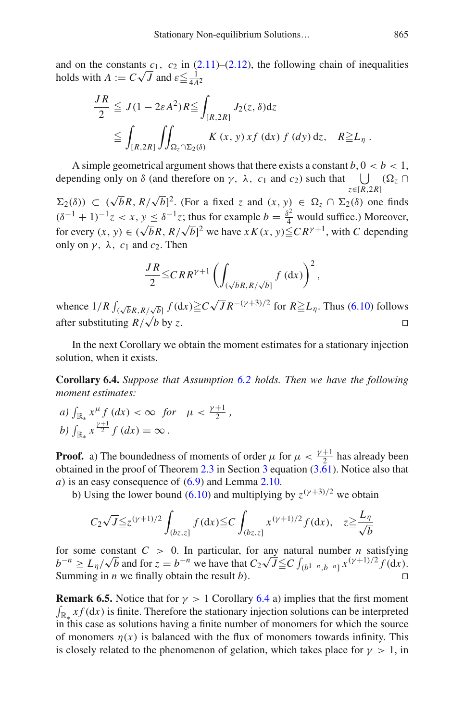and on the constants  $c_1$ ,  $c_2$  in  $(2.11)$ – $(2.12)$ , the following chain of inequalities holds with  $A := C\sqrt{J}$  and  $\varepsilon \leq \frac{1}{4A^2}$ 

$$
\frac{JR}{2} \leq J(1 - 2\varepsilon A^2)R \leq \int_{[R,2R]} J_2(z, \delta)dz
$$
  
\n
$$
\leq \int_{[R,2R]} \iint_{\Omega_z \cap \Sigma_2(\delta)} K(x, y) x f(dx) f(dy) dz, \quad R \geq L_\eta.
$$

A simple geometrical argument shows that there exists a constant  $b, 0 < b < 1$ , depending only on  $\delta$  (and therefore on  $\gamma$ ,  $\lambda$ ,  $c_1$  and  $c_2$ ) such that *z*∈[*R*,2*R*]  $\bigcup$  (Ω<sub>z</sub> ∩

 $\Sigma_2(\delta)$ )  $\subset (\sqrt{b}R, R/\sqrt{b})^2$ . (For a fixed *z* and  $(x, y) \in \Omega_z \cap \Sigma_2(\delta)$  one finds  $(\delta^{-1} + 1)^{-1}z < x, y \leq \delta^{-1}z$ ; thus for example  $b = \frac{\delta^2}{4}$  would suffice.) Moreover, for every  $(x, y) \in (\sqrt{b}R, R/\sqrt{b})^2$  we have  $xK(x, y) \le C R^{\gamma+1}$ , with *C* depending only on  $\gamma$ ,  $\lambda$ ,  $c_1$  and  $c_2$ . Then

$$
\frac{JR}{2} \leq CRR^{\gamma+1} \left( \int_{(\sqrt{b}R, R/\sqrt{b}]} f \left( dx \right) \right)^2,
$$

whence  $1/R \int_{(\sqrt{b}R, R/\sqrt{b}]} f(\mathrm{d}x) \geq C \sqrt{J} R^{-(\gamma+3)/2}$  for  $R \geq L_\eta$ . Thus [\(6.10\)](#page-55-1) follows after substituting  $R/\sqrt{b}$  by z.  $\sqrt{b}$  by *z*.

<span id="page-56-0"></span>In the next Corollary we obtain the moment estimates for a stationary injection solution, when it exists.

**Corollary 6.4.** *Suppose that Assumption [6.2](#page-54-0) holds. Then we have the following moment estimates:*

*a*)  $\int_{\mathbb{R}_*} x^{\mu} f(dx) < \infty$  *for*  $\mu < \frac{\gamma+1}{2}$ , *b*)  $\int_{\mathbb{R}_*} x^{\frac{\gamma+1}{2}} f(dx) = \infty$ .

**Proof.** a) The boundedness of moments of order  $\mu$  for  $\mu < \frac{\gamma+1}{2}$  has already been obtained in the proof of Theorem [2.3](#page-12-1) in Section [3](#page-16-0) equation [\(3.61\)](#page-34-4). Notice also that *a*) is an easy consequence of [\(6.9\)](#page-55-0) and Lemma [2.10.](#page-14-3)

b) Using the lower bound [\(6.10\)](#page-55-1) and multiplying by  $z^{(\gamma+3)/2}$  we obtain

$$
C_2\sqrt{J}\leq z^{(\gamma+1)/2}\int_{(bz,z]}f(\mathrm{d}x)\leq C\int_{(bz,z]}x^{(\gamma+1)/2}f(\mathrm{d}x),\quad z\geq\frac{L_\eta}{\sqrt{b}}
$$

for some constant  $C > 0$ . In particular, for any natural number *n* satisfying *b*<sup>−*n*</sup> ≥ *L*<sub>η</sub>/ $\sqrt{b}$  and for  $z = b^{-n}$  we have that  $C_2 \sqrt{J} \leq C \int_{(b^{1-n}, b^{-n}]} x^{(y+1)/2} f(\text{d}x)$ . Summing in *n* we finally obtain the result *b*).

**Remark 6.5.** Notice that for  $\gamma > 1$  Corollary [6.4](#page-56-0) a) implies that the first moment  $\int_{\mathbb{R}^*} x f(\mathrm{d}x)$  is finite. Therefore the stationary injection solutions can be interpreted in this case as solutions having a finite number of monomers for which the source of monomers  $\eta(x)$  is balanced with the flux of monomers towards infinity. This is closely related to the phenomenon of gelation, which takes place for  $\gamma > 1$ , in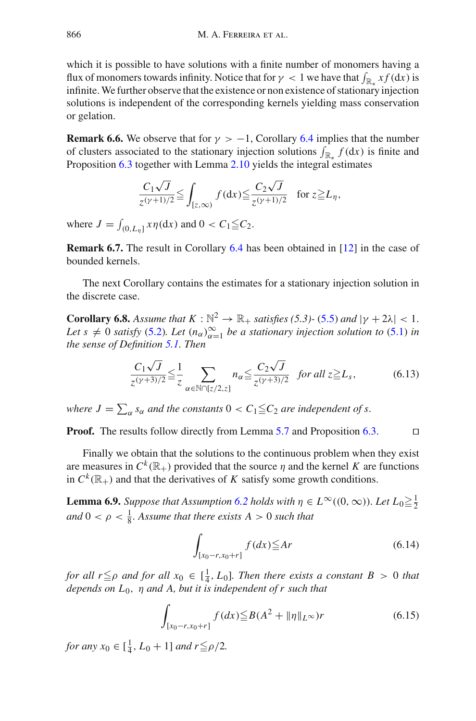which it is possible to have solutions with a finite number of monomers having a flux of monomers towards infinity. Notice that for  $\gamma < 1$  we have that  $\int_{\mathbb{R}^*} x f(\mathrm{d}x)$  is infinite.We further observe that the existence or non existence of stationary injection solutions is independent of the corresponding kernels yielding mass conservation or gelation.

**Remark 6.6.** We observe that for  $\gamma > -1$ , Corollary [6.4](#page-56-0) implies that the number of clusters associated to the stationary injection solutions  $\int_{\mathbb{R}_+} f(\mathrm{d}x)$  is finite and Proposition [6.3](#page-55-4) together with Lemma [2.10](#page-14-3) yields the integral estimates

$$
\frac{C_1\sqrt{J}}{z^{(\gamma+1)/2}} \leq \int_{[z,\infty)} f(\mathrm{d}x) \leq \frac{C_2\sqrt{J}}{z^{(\gamma+1)/2}} \quad \text{for } z \geq L_\eta,
$$

where  $J = \int_{(0,L_{\eta}]} x \eta(dx)$  and  $0 < C_1 \leq C_2$ .

**Remark 6.7.** The result in Corollary [6.4](#page-56-0) has been obtained in [\[12\]](#page-64-3) in the case of bounded kernels.

<span id="page-57-3"></span>The next Corollary contains the estimates for a stationary injection solution in the discrete case.

**Corollary 6.8.** *Assume that*  $K : \mathbb{N}^2 \to \mathbb{R}_+$  *satisfies* (5.3)- [\(5.5\)](#page-45-1) *and*  $|\gamma + 2\lambda| < 1$ . *Let*  $s \neq 0$  *satisfy* [\(5.2\)](#page-44-2). Let  $(n_{\alpha})_{\alpha=1}^{\infty}$  be a stationary injection solution to [\(5.1\)](#page-44-5) *in the sense of Definition [5.1.](#page-45-2) Then*

$$
\frac{C_1\sqrt{J}}{z^{(\gamma+3)/2}} \leq \frac{1}{z} \sum_{\alpha \in \mathbb{N} \cap [z/2, z]} n_{\alpha} \leq \frac{C_2\sqrt{J}}{z^{(\gamma+3)/2}} \text{ for all } z \geq L_s,
$$
 (6.13)

*where*  $J = \sum_{\alpha} s_{\alpha}$  *and the constants*  $0 < C_1 \leqq C_2$  *are independent of s.* 

**Proof.** The results follow directly from Lemma [5.7](#page-50-2) and Proposition [6.3.](#page-55-4)

Finally we obtain that the solutions to the continuous problem when they exist are measures in  $C^k(\mathbb{R}_+)$  provided that the source  $\eta$  and the kernel K are functions in  $C^k(\mathbb{R}_+)$  and that the derivatives of *K* satisfy some growth conditions.

<span id="page-57-2"></span>**Lemma 6.9.** *Suppose that Assumption [6.2](#page-54-0) holds with*  $\eta \in L^{\infty}((0, \infty))$ *. Let*  $L_0 \geq \frac{1}{2}$ and  $0 < \rho < \frac{1}{8}$ . Assume that there exists  $A > 0$  such that

<span id="page-57-1"></span><span id="page-57-0"></span>
$$
\int_{[x_0-r, x_0+r]} f(dx) \leq Ar \tag{6.14}
$$

*for all r* $\leq$ *ρ and for all x*<sub>0</sub>  $\in$  [ $\frac{1}{4}$ , *L*<sub>0</sub>]*. Then there exists a constant B* > 0 *that depends on L*0, η *and A, but it is independent of r such that*

$$
\int_{[x_0 - r, x_0 + r]} f(dx) \le B(A^2 + \|\eta\|_{L^\infty})r
$$
\n(6.15)

*for any*  $x_0 \in [\frac{1}{4}, L_0 + 1]$  *and*  $r \leq \rho/2$ *.*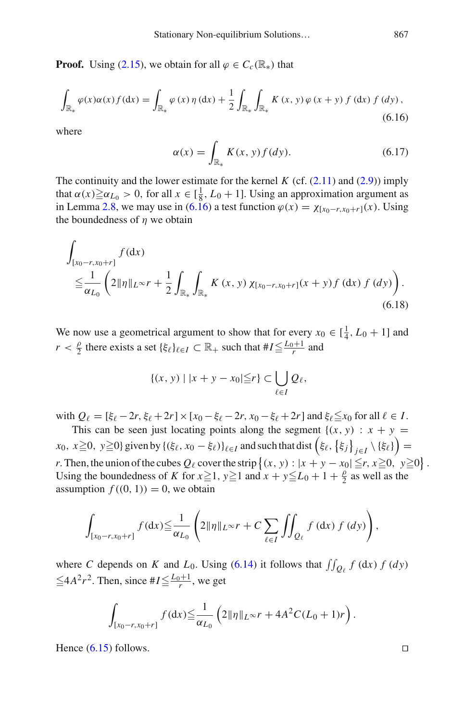<span id="page-58-0"></span>**Proof.** Using [\(2.15\)](#page-11-0), we obtain for all  $\varphi \in C_c(\mathbb{R})$  that

$$
\int_{\mathbb{R}_{*}} \varphi(x) \alpha(x) f(\mathrm{d}x) = \int_{\mathbb{R}_{*}} \varphi(x) \eta(\mathrm{d}x) + \frac{1}{2} \int_{\mathbb{R}_{*}} \int_{\mathbb{R}_{*}} K(x, y) \varphi(x + y) f(\mathrm{d}x) f(\mathrm{d}y), \tag{6.16}
$$

<span id="page-58-1"></span>where

$$
\alpha(x) = \int_{\mathbb{R}_*} K(x, y) f(dy).
$$
 (6.17)

The continuity and the lower estimate for the kernel  $K$  (cf.  $(2.11)$ ) and  $(2.9)$ ) imply that  $\alpha(x) \ge \alpha_{L_0} > 0$ , for all  $x \in [\frac{1}{8}, L_0 + 1]$ . Using an approximation argument as in Lemma [2.8,](#page-13-0) we may use in [\(6.16\)](#page-58-0) a test function  $\varphi(x) = \chi_{[x_0-r, x_0+r]}(x)$ . Using the boundedness of  $\eta$  we obtain

$$
\int_{[x_0-r, x_0+r]} f(\mathrm{d}x) \n\leq \frac{1}{\alpha_{L_0}} \left( 2\|\eta\|_{L^\infty} r + \frac{1}{2} \int_{\mathbb{R}_*} \int_{\mathbb{R}_*} K(x, y) \chi_{[x_0-r, x_0+r]}(x+y) f(\mathrm{d}x) f(dy) \right).
$$
\n(6.18)

We now use a geometrical argument to show that for every  $x_0 \in [\frac{1}{4}, L_0 + 1]$  and *r* <  $\frac{\rho}{2}$  there exists a set { $\xi_{\ell}$ } $_{\ell \in I}$   $\subset \mathbb{R}_+$  such that  $\#I \leq \frac{L_0+1}{r}$  and

$$
\{(x, y) \mid |x + y - x_0| \leqq r\} \subset \bigcup_{\ell \in I} Q_{\ell},
$$

with  $Q_{\ell} = [\xi_{\ell} - 2r, \xi_{\ell} + 2r] \times [x_0 - \xi_{\ell} - 2r, x_0 - \xi_{\ell} + 2r]$  and  $\xi_{\ell} \leq x_0$  for all  $\ell \in I$ .

This can be seen just locating points along the segment  $\{(x, y) : x + y =$  $f(x_0, x \ge 0, y \ge 0$ } given by  $\{(\xi_\ell, x_0 - \xi_\ell)\}_{\ell \in I}$  and such that dist  $(\xi_\ell, \{\xi_j\}_{j \in I} \setminus {\{\xi_\ell\}})$ *r*. Then, the union of the cubes  $Q_\ell$  cover the strip  $\{(x, y) : |x + y - x_0| \le r, x \ge 0, y \ge 0\}$ . Using the boundedness of *K* for  $x \ge 1$ ,  $y \ge 1$  and  $x + y \le L_0 + 1 + \frac{\rho}{2}$  as well as the assumption  $f((0, 1)) = 0$ , we obtain

$$
\int_{[x_0-r,x_0+r]} f(\mathrm{d} x) \leq \frac{1}{\alpha_{L_0}} \left( 2\|\eta\|_{L^\infty} r + C \sum_{\ell \in I} \iint_{Q_\ell} f(\mathrm{d} x) f(\mathrm{d} y) \right),
$$

where *C* depends on *K* and  $L_0$ . Using [\(6.14\)](#page-57-0) it follows that  $\iint_{Q_\ell} f(\mathrm{d}x) f(\mathrm{d}y)$  $\leq 4A^2r^2$ . Then, since  $H \leq \frac{L_0+1}{r}$ , we get

$$
\int_{[x_0-r,x_0+r]} f(\mathrm{d} x) \leq \frac{1}{\alpha_{L_0}} \left( 2\|\eta\|_{L^\infty} r + 4A^2 C (L_0+1)r \right).
$$

Hence  $(6.15)$  follows.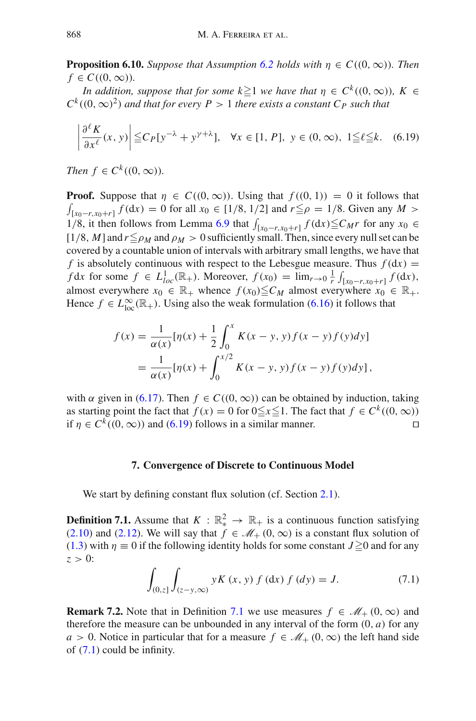**Proposition 6.10.** *Suppose that Assumption* [6.2](#page-54-0) *holds with*  $\eta \in C((0,\infty))$ *. Then*  $f \in C((0,\infty))$ .

*In addition, suppose that for some*  $k \ge 1$  *we have that*  $\eta \in C^k((0, \infty))$ *,*  $K \in$  $C^k((0,\infty)^2)$  *and that for every P* > 1 *there exists a constant C<sub>P</sub> such that* 

<span id="page-59-1"></span>
$$
\left|\frac{\partial^{\ell} K}{\partial x^{\ell}}(x, y)\right| \leq C_P[y^{-\lambda} + y^{\gamma + \lambda}], \quad \forall x \in [1, P], \ y \in (0, \infty), \ 1 \leq \ell \leq k. \tag{6.19}
$$

*Then*  $f \in C^k((0, \infty))$ *.* 

**Proof.** Suppose that  $\eta \in C((0,\infty))$ . Using that  $f((0,1)) = 0$  it follows that  $\int_{[x_0-r, x_0+r]} f(\mathrm{d}x) = 0$  for all  $x_0 \in [1/8, 1/2]$  and  $r \leq \rho = 1/8$ . Given any  $M > 0$ 1/8, it then follows from Lemma [6.9](#page-57-2) that  $\int_{[x_0-r, x_0+r]} f(\mathrm{d}x) \leq C_M r$  for any  $x_0 \in$  $[1/8, M]$  and  $r \leq \rho_M$  and  $\rho_M > 0$  sufficiently small. Then, since every null set can be covered by a countable union of intervals with arbitrary small lengths, we have that *f* is absolutely continuous with respect to the Lebesgue measure. Thus  $f(dx) =$ *f* d*x* for some  $f \in L^1_{loc}(\mathbb{R}_+)$ . Moreover,  $f(x_0) = \lim_{r \to 0} \frac{1}{r} \int_{[x_0 - r, x_0 + r]} f(dx)$ , almost everywhere  $x_0 \in \mathbb{R}_+$  whence  $f(x_0) \leq C_M$  almost everywhere  $x_0 \in \mathbb{R}_+$ . Hence  $f \in L^{\infty}_{loc}(\mathbb{R}_{+})$ . Using also the weak formulation [\(6.16\)](#page-58-0) it follows that

$$
f(x) = \frac{1}{\alpha(x)} [\eta(x) + \frac{1}{2} \int_0^x K(x - y, y) f(x - y) f(y) dy]
$$
  
= 
$$
\frac{1}{\alpha(x)} [\eta(x) + \int_0^{x/2} K(x - y, y) f(x - y) f(y) dy],
$$

with  $\alpha$  given in [\(6.17\)](#page-58-1). Then  $f \in C((0,\infty))$  can be obtained by induction, taking as starting point the fact that *f* (*x*) = 0 for 0≤*x* ≤1. The fact that *f* ∈ *C*<sup>*k*</sup> ((0, ∞)) if *n* ∈ *C*<sup>*k*</sup> ((0, ∞)) and (6.19) follows in a similar manner. if  $\eta \in C^k((0,\infty))$  and [\(6.19\)](#page-59-1) follows in a similar manner.

## **7. Convergence of Discrete to Continuous Model**

<span id="page-59-2"></span><span id="page-59-0"></span>We start by defining constant flux solution (cf. Section [2.1\)](#page-8-1).

<span id="page-59-3"></span>**Definition 7.1.** Assume that  $K : \mathbb{R}^2_* \to \mathbb{R}^+$  is a continuous function satisfying [\(2.10\)](#page-10-1) and [\(2.12\)](#page-11-2). We will say that  $f \in \mathcal{M}_+$  (0,  $\infty$ ) is a constant flux solution of [\(1.3\)](#page-3-0) with  $\eta \equiv 0$  if the following identity holds for some constant  $J \ge 0$  and for any  $z > 0$ :

$$
\int_{(0,z]} \int_{(z-y,\infty)} yK(x,y) f(\mathrm{d}x) f(\mathrm{d}y) = J. \tag{7.1}
$$

**Remark 7.2.** Note that in Definition [7.1](#page-59-2) we use measures  $f \in M_+$  (0, ∞) and therefore the measure can be unbounded in any interval of the form  $(0, a)$  for any *a* > 0. Notice in particular that for a measure  $f \in M_+$  (0, ∞) the left hand side of [\(7.1\)](#page-59-3) could be infinity.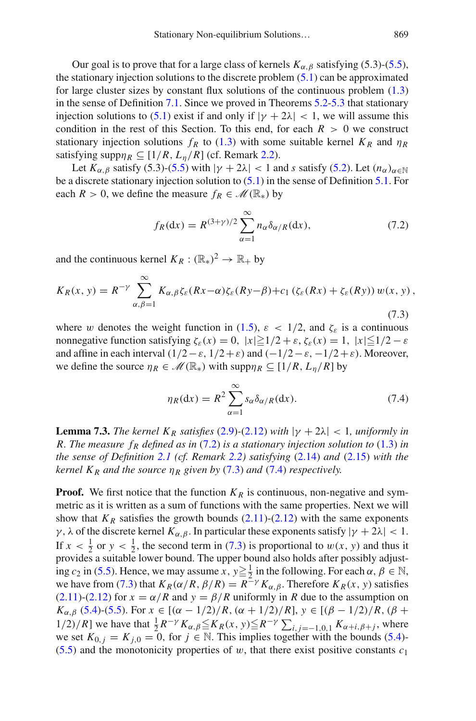Our goal is to prove that for a large class of kernels  $K_{\alpha,\beta}$  satisfying (5.3)-[\(5.5\)](#page-45-1), the stationary injection solutions to the discrete problem [\(5.1\)](#page-44-5) can be approximated for large cluster sizes by constant flux solutions of the continuous problem [\(1.3\)](#page-3-0) in the sense of Definition [7.1.](#page-59-2) Since we proved in Theorems [5.2-](#page-45-5)[5.3](#page-45-8) that stationary injection solutions to [\(5.1\)](#page-44-5) exist if and only if  $|\gamma + 2\lambda| < 1$ , we will assume this condition in the rest of this Section. To this end, for each  $R > 0$  we construct stationary injection solutions  $f_R$  to [\(1.3\)](#page-3-0) with some suitable kernel  $K_R$  and  $\eta_R$ satisfying supp $\eta_R \subset [1/R, L_n/R]$  (cf. Remark [2.2\)](#page-11-6).

Let  $K_{\alpha,\beta}$  satisfy (5.3)-[\(5.5\)](#page-45-1) with  $|\gamma + 2\lambda| < 1$  and *s* satisfy [\(5.2\)](#page-44-2). Let  $(n_\alpha)_{\alpha \in \mathbb{N}}$ be a discrete stationary injection solution to [\(5.1\)](#page-44-5) in the sense of Definition [5.1.](#page-45-2) For each *R* > 0, we define the measure  $f_R \in \mathcal{M}(\mathbb{R}_*)$  by

<span id="page-60-1"></span><span id="page-60-0"></span>
$$
f_R(\mathrm{d}x) = R^{(3+\gamma)/2} \sum_{\alpha=1}^{\infty} n_{\alpha} \delta_{\alpha/R}(\mathrm{d}x), \tag{7.2}
$$

and the continuous kernel  $K_R : (\mathbb{R}_*)^2 \to \mathbb{R}_+$  by

$$
K_R(x, y) = R^{-\gamma} \sum_{\alpha, \beta=1}^{\infty} K_{\alpha, \beta} \zeta_{\varepsilon}(Rx - \alpha) \zeta_{\varepsilon}(Ry - \beta) + c_1 (\zeta_{\varepsilon}(Rx) + \zeta_{\varepsilon}(Ry)) w(x, y),
$$
\n(7.3)

where w denotes the weight function in [\(1.5\)](#page-4-0),  $\varepsilon$  < 1/2, and  $\zeta_{\varepsilon}$  is a continuous nonnegative function satisfying  $\zeta_{\varepsilon}(x) = 0$ ,  $|x| \ge 1/2 + \varepsilon$ ,  $\zeta_{\varepsilon}(x) = 1$ ,  $|x| \le 1/2 - \varepsilon$ and affine in each interval  $(1/2 - \varepsilon, 1/2 + \varepsilon)$  and  $(-1/2 - \varepsilon, -1/2 + \varepsilon)$ . Moreover, we define the source  $\eta_R \in \mathcal{M}(\mathbb{R}_*)$  with  $\text{supp}\eta_R \subseteq [1/R, L_n/R]$  by

<span id="page-60-2"></span>
$$
\eta_R(\mathrm{d}x) = R^2 \sum_{\alpha=1}^{\infty} s_{\alpha} \delta_{\alpha/R}(\mathrm{d}x). \tag{7.4}
$$

**Lemma 7.3.** *The kernel K<sub>R</sub> satisfies* [\(2.9\)](#page-10-2) $-(2.12)$  $-(2.12)$  *with*  $|\gamma + 2\lambda| < 1$ *, uniformly in R. The measure fR defined as in* [\(7.2\)](#page-60-0) *is a stationary injection solution to* [\(1.3\)](#page-3-0) *in the sense of Definition [2.1](#page-11-4) (cf. Remark [2.2\)](#page-11-6) satisfying* [\(2.14\)](#page-11-5) *and* [\(2.15\)](#page-11-0) *with the kernel*  $K_R$  *and the source*  $\eta_R$  *given by* [\(7.3\)](#page-60-1) *and* [\(7.4\)](#page-60-2) *respectively.* 

**Proof.** We first notice that the function  $K_R$  is continuous, non-negative and symmetric as it is written as a sum of functions with the same properties. Next we will show that  $K_R$  satisfies the growth bounds  $(2.11)-(2.12)$  $(2.11)-(2.12)$  $(2.11)-(2.12)$  with the same exponents γ, λ of the discrete kernel  $K_{\alpha,\beta}$ . In particular these exponents satisfy  $|\gamma + 2\lambda| < 1$ . If  $x < \frac{1}{2}$  or  $y < \frac{1}{2}$ , the second term in [\(7.3\)](#page-60-1) is proportional to  $w(x, y)$  and thus it provides a suitable lower bound. The upper bound also holds after possibly adjusting *c*<sub>2</sub> in [\(5.5\)](#page-45-1). Hence, we may assume *x*,  $y \ge \frac{1}{2}$  in the following. For each  $\alpha$ ,  $\beta \in \mathbb{N}$ , we have from [\(7.3\)](#page-60-1) that  $K_R(\alpha/R, \beta/R) = R^{-\gamma} K_{\alpha,\beta}$ . Therefore  $K_R(x, y)$  satisfies [\(2.11\)](#page-11-1)-[\(2.12\)](#page-11-2) for  $x = \alpha/R$  and  $y = \beta/R$  uniformly in *R* due to the assumption on *K*<sub>α,β</sub> [\(5.4\)](#page-45-4)-[\(5.5\)](#page-45-1). For  $x \in [(\alpha - 1/2)/R, (\alpha + 1/2)/R]$ ,  $y \in [(\beta - 1/2)/R, (\beta +$ 1/2)/*R*] we have that  $\frac{1}{2}R^{-\gamma}K_{\alpha,\beta} ≤ K_R(x, y) ≤ R^{-\gamma} \sum_{i,j=-1,0,1} K_{\alpha+i,\beta+j}$ , where we set  $K_{0,i} = K_{i,0} = 0$ , for  $j \in \mathbb{N}$ . This implies together with the bounds [\(5.4\)](#page-45-4)- $(5.5)$  and the monotonicity properties of w, that there exist positive constants  $c_1$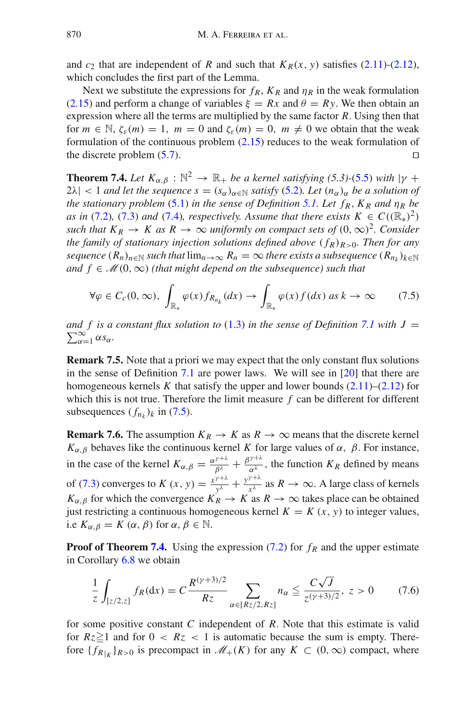and  $c_2$  that are independent of *R* and such that  $K_R(x, y)$  satisfies [\(2.11\)](#page-11-1)-[\(2.12\)](#page-11-2), which concludes the first part of the Lemma.

Next we substitute the expressions for  $f_R$ ,  $K_R$  and  $\eta_R$  in the weak formulation [\(2.15\)](#page-11-0) and perform a change of variables  $\xi = Rx$  and  $\theta = Ry$ . We then obtain an expression where all the terms are multiplied by the same factor *R*. Using then that for  $m \in \mathbb{N}$ ,  $\zeta_{\varepsilon}(m) = 1$ ,  $m = 0$  and  $\zeta_{\varepsilon}(m) = 0$ ,  $m \neq 0$  we obtain that the weak formulation of the continuous problem [\(2.15\)](#page-11-0) reduces to the weak formulation of the discrete problem  $(5.7)$ .

<span id="page-61-1"></span>**Theorem 7.4.** *Let*  $K_{\alpha,\beta}$  :  $\mathbb{N}^2 \to \mathbb{R}_+$  *be a kernel satisfying (5.3)-[\(5.5\)](#page-45-1) with*  $|\gamma + \gamma|$  $2\lambda$ | < 1 *and let the sequence*  $s = (s_{\alpha})_{\alpha \in \mathbb{N}}$  *satisfy* [\(5.2\)](#page-44-2)*. Let*  $(n_{\alpha})_{\alpha}$  *be a solution of the stationary problem* [\(5.1\)](#page-44-5) *in the sense of Definition* [5.1.](#page-45-2) Let  $f_R$ ,  $K_R$  *and*  $\eta_R$  *be as in* [\(7.2\)](#page-60-0)*,* (7.3*) and* (7.4*), respectively. Assume that there exists*  $K \in C((\mathbb{R}_*)^2)$ *such that*  $K_R \to K$  *as*  $R \to \infty$  *uniformly on compact sets of*  $(0, \infty)^2$ *. Consider the family of stationary injection solutions defined above*  $(f_R)_{R>0}$ *. Then for any sequence*  $(R_n)_{n \in \mathbb{N}}$  *such that*  $\lim_{n \to \infty} R_n = \infty$  *there exists a subsequence*  $(R_n)_{k \in \mathbb{N}}$ *and*  $f \in \mathcal{M}(0,\infty)$  *(that might depend on the subsequence) such that* 

<span id="page-61-0"></span>
$$
\forall \varphi \in C_c(0,\infty), \ \int_{\mathbb{R}_*} \varphi(x) f_{R_{n_k}}(dx) \to \int_{\mathbb{R}_*} \varphi(x) f(dx) \ as \ k \to \infty \tag{7.5}
$$

*and f* is a constant flux solution to [\(1.3\)](#page-3-0) in the sense of Definition [7.1](#page-59-2) with  $J = \sum_{\alpha} \alpha s_{\alpha}$ .  $\sum_{\alpha=1}^{\infty} \alpha s_{\alpha}$ .

**Remark 7.5.** Note that a priori we may expect that the only constant flux solutions in the sense of Definition [7.1](#page-59-2) are power laws. We will see in [\[20\]](#page-64-19) that there are homogeneous kernels  $K$  that satisfy the upper and lower bounds  $(2.11)$ – $(2.12)$  for which this is not true. Therefore the limit measure *f* can be different for different subsequences  $(f_{n_k})_k$  in [\(7.5\)](#page-61-0).

**Remark 7.6.** The assumption  $K_R \to K$  as  $R \to \infty$  means that the discrete kernel *K*<sub>α,β</sub> behaves like the continuous kernel *K* for large values of  $\alpha$ ,  $\beta$ . For instance, in the case of the kernel  $K_{\alpha,\beta} = \frac{\alpha^{\gamma+\lambda}}{\beta^{\lambda}} + \frac{\beta^{\gamma+\lambda}}{\alpha^{\lambda}}$ , the function  $K_R$  defined by means of [\(7.3\)](#page-60-1) converges to *K* (*x*, *y*) =  $\frac{x^{\gamma+\lambda}}{y^{\lambda}} + \frac{y^{\gamma+\lambda}}{x^{\lambda}}$  as *R* → ∞. A large class of kernels *K*<sub>α,β</sub> for which the convergence  $K_R \to K$  as  $R \to \infty$  takes place can be obtained just restricting a continuous homogeneous kernel  $K = K(x, y)$  to integer values, i.e  $K_{\alpha,\beta} = K(\alpha,\beta)$  for  $\alpha, \beta \in \mathbb{N}$ .

**Proof of Theorem [7.4.](#page-61-1)** Using the expression [\(7.2\)](#page-60-0) for  $f_R$  and the upper estimate in Corollary [6.8](#page-57-3) we obtain

<span id="page-61-2"></span>
$$
\frac{1}{z} \int_{[z/2,z]} f_R(\mathrm{d}x) = C \frac{R^{(\gamma+3)/2}}{Rz} \sum_{\alpha \in [Rz/2, Rz]} n_{\alpha} \le \frac{C\sqrt{J}}{z^{(\gamma+3)/2}}, \ z > 0 \tag{7.6}
$$

for some positive constant *C* independent of *R*. Note that this estimate is valid for  $Rz \geq 1$  and for  $0 < Rz < 1$  is automatic because the sum is empty. Therefore  ${f_{R}}_{|K}$  $_{R>0}$  is precompact in  $\mathcal{M}_+(K)$  for any  $K \subset (0,\infty)$  compact, where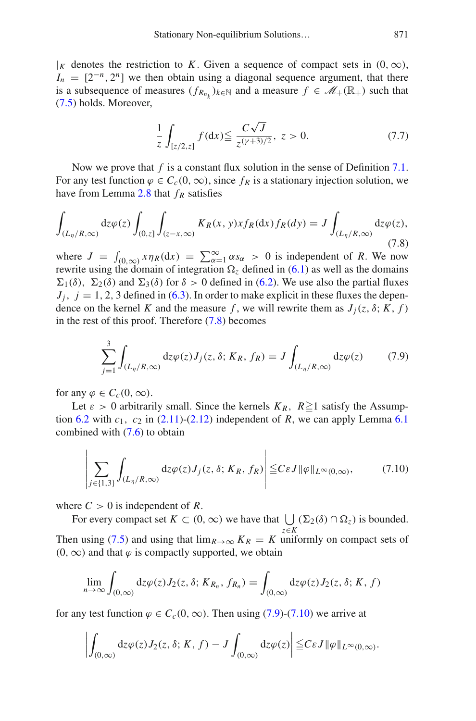$|K|$  denotes the restriction to K. Given a sequence of compact sets in  $(0, \infty)$ ,  $I_n = [2^{-n}, 2^n]$  we then obtain using a diagonal sequence argument, that there is a subsequence of measures  $(f_{R_{n_k}})_{k \in \mathbb{N}}$  and a measure  $f \in \mathcal{M}_+(\mathbb{R}_+)$  such that [\(7.5\)](#page-61-0) holds. Moreover,

<span id="page-62-3"></span><span id="page-62-0"></span>
$$
\frac{1}{z} \int_{[z/2,z]} f(\mathrm{d}x) \le \frac{C\sqrt{J}}{z^{(\gamma+3)/2}}, \ z > 0. \tag{7.7}
$$

Now we prove that *f* is a constant flux solution in the sense of Definition [7.1.](#page-59-2) For any test function  $\varphi \in C_c(0,\infty)$ , since  $f_R$  is a stationary injection solution, we have from Lemma [2.8](#page-13-0) that  $f_R$  satisfies

$$
\int_{(L_\eta/R,\infty)} \mathrm{d}z \varphi(z) \int_{(0,z]} \int_{(z-x,\infty)} K_R(x,y) x f_R(\mathrm{d}x) f_R(\mathrm{d}y) = J \int_{(L_\eta/R,\infty)} \mathrm{d}z \varphi(z),\tag{7.8}
$$

where  $J = \int_{(0,\infty)} x \eta_R(dx) = \sum_{\alpha=1}^{\infty} \alpha s_{\alpha} > 0$  is independent of *R*. We now rewrite using the domain of integration  $\Omega$ <sub>z</sub> defined in [\(6.1\)](#page-52-6) as well as the domains  $\Sigma_1(\delta)$ ,  $\Sigma_2(\delta)$  and  $\Sigma_3(\delta)$  for  $\delta > 0$  defined in [\(6.2\)](#page-52-7). We use also the partial fluxes  $J_i$ ,  $j = 1, 2, 3$  defined in [\(6.3\)](#page-52-4). In order to make explicit in these fluxes the dependence on the kernel *K* and the measure *f*, we will rewrite them as  $J_i(z, \delta; K, f)$ in the rest of this proof. Therefore [\(7.8\)](#page-62-0) becomes

<span id="page-62-1"></span>
$$
\sum_{j=1}^{3} \int_{(L_{\eta}/R,\infty)} dz \varphi(z) J_j(z,\delta; K_R, f_R) = J \int_{(L_{\eta}/R,\infty)} dz \varphi(z) \tag{7.9}
$$

for any  $\varphi \in C_c(0,\infty)$ .

Let  $\varepsilon > 0$  arbitrarily small. Since the kernels  $K_R$ ,  $R \ge 1$  satisfy the Assumption  $6.2$  with  $c_1$ ,  $c_2$  in  $(2.11)-(2.12)$  $(2.11)-(2.12)$  $(2.11)-(2.12)$  independent of *R*, we can apply Lemma  $6.1$ combined with [\(7.6\)](#page-61-2) to obtain

<span id="page-62-2"></span>
$$
\left| \sum_{j \in \{1,3\}} \int_{(L_\eta/R,\infty)} dz \varphi(z) J_j(z,\delta; K_R, f_R) \right| \leq C \varepsilon J \|\varphi\|_{L^\infty(0,\infty)},\tag{7.10}
$$

where  $C > 0$  is independent of R.

For every compact set  $K \subset (0, \infty)$  we have that  $\bigcup_{\mathfrak{m}} (\Sigma_2(\delta) \cap \Omega_{\mathfrak{m}})$  is bounded. *z*∈*K* Then using [\(7.5\)](#page-61-0) and using that  $\lim_{R\to\infty} K_R = K$  uniformly on compact sets of  $(0, \infty)$  and that  $\varphi$  is compactly supported, we obtain

$$
\lim_{n\to\infty}\int_{(0,\infty)}\mathrm{d}z\varphi(z)J_2(z,\delta;K_{R_n},f_{R_n})=\int_{(0,\infty)}\mathrm{d}z\varphi(z)J_2(z,\delta;K,f)
$$

for any test function  $\varphi \in C_c(0,\infty)$ . Then using [\(7.9\)](#page-62-1)-[\(7.10\)](#page-62-2) we arrive at

$$
\left|\int_{(0,\infty)}\mathrm{d}z\varphi(z)J_2(z,\delta;K,f)-J\int_{(0,\infty)}\mathrm{d}z\varphi(z)\right|\leq C\varepsilon J\|\varphi\|_{L^\infty(0,\infty)}.
$$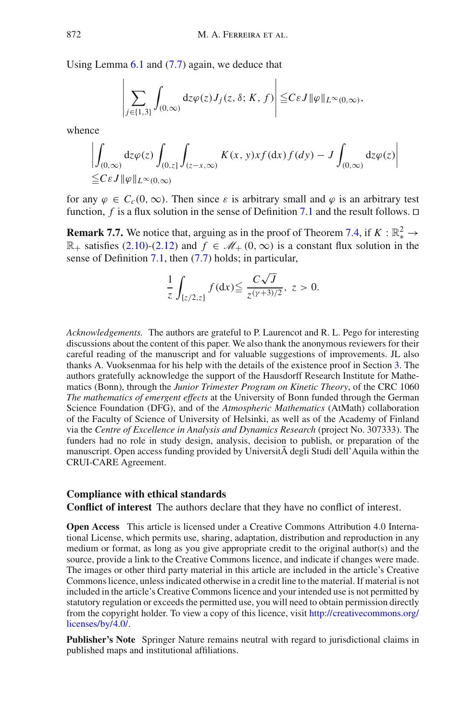Using Lemma [6.1](#page-52-1) and [\(7.7\)](#page-62-3) again, we deduce that

$$
\left|\sum_{j\in\{1,3\}}\int_{(0,\infty)}\mathrm{d}z\varphi(z)J_j(z,\delta;K,f)\right|\leq C\varepsilon J\|\varphi\|_{L^{\infty}(0,\infty)},
$$

whence

$$
\left| \int_{(0,\infty)} dz \varphi(z) \int_{(0,z]} \int_{(z-x,\infty)} K(x,y) x f(\mathrm{d}x) f(\mathrm{d}y) - J \int_{(0,\infty)} dz \varphi(z) \right|
$$
  
 
$$
\leq C \varepsilon J \|\varphi\|_{L^{\infty}(0,\infty)}
$$

for any  $\varphi \in C_c(0,\infty)$ . Then since  $\varepsilon$  is arbitrary small and  $\varphi$  is an arbitrary test function, *f* is a flux solution in the sense of Definition [7.1](#page-59-2) and the result follows.  $\Box$ 

**Remark 7.7.** We notice that, arguing as in the proof of Theorem [7.4,](#page-61-1) if  $K : \mathbb{R}^2_* \to \mathbb{R}^2$  $\mathbb{R}_+$  satisfies [\(2.10\)](#page-10-1)-[\(2.12\)](#page-11-2) and *f* ∈  $\mathcal{M}_+(0,\infty)$  is a constant flux solution in the sense of Definition [7.1,](#page-59-2) then [\(7.7\)](#page-62-3) holds; in particular,

$$
\frac{1}{z} \int_{[z/2,z]} f(\mathrm{d}x) \le \frac{C\sqrt{J}}{z^{(\gamma+3)/2}}, \ z > 0.
$$

*Acknowledgements.* The authors are grateful to P. Laurencot and R. L. Pego for interesting discussions about the content of this paper. We also thank the anonymous reviewers for their careful reading of the manuscript and for valuable suggestions of improvements. JL also thanks A. Vuoksenmaa for his help with the details of the existence proof in Section [3.](#page-16-0) The authors gratefully acknowledge the support of the Hausdorff Research Institute for Mathematics (Bonn), through the *Junior Trimester Program on Kinetic Theory*, of the CRC 1060 *The mathematics of emergent effects* at the University of Bonn funded through the German Science Foundation (DFG), and of the *Atmospheric Mathematics* (AtMath) collaboration of the Faculty of Science of University of Helsinki, as well as of the Academy of Finland via the *Centre of Excellence in Analysis and Dynamics Research* (project No. 307333). The funders had no role in study design, analysis, decision to publish, or preparation of the manuscript. Open access funding provided by Università degli Studi dell'Aquila within the CRUI-CARE Agreement.

#### **Compliance with ethical standards**

**Conflict of interest** The authors declare that they have no conflict of interest.

**Open Access** This article is licensed under a Creative Commons Attribution 4.0 International License, which permits use, sharing, adaptation, distribution and reproduction in any medium or format, as long as you give appropriate credit to the original author(s) and the source, provide a link to the Creative Commons licence, and indicate if changes were made. The images or other third party material in this article are included in the article's Creative Commons licence, unless indicated otherwise in a credit line to the material. If material is not included in the article's Creative Commons licence and your intended use is not permitted by statutory regulation or exceeds the permitted use, you will need to obtain permission directly from the copyright holder. To view a copy of this licence, visit [http://creativecommons.org/](http://creativecommons.org/licenses/by/4.0/) [licenses/by/4.0/.](http://creativecommons.org/licenses/by/4.0/)

**Publisher's Note** Springer Nature remains neutral with regard to jurisdictional claims in published maps and institutional affiliations.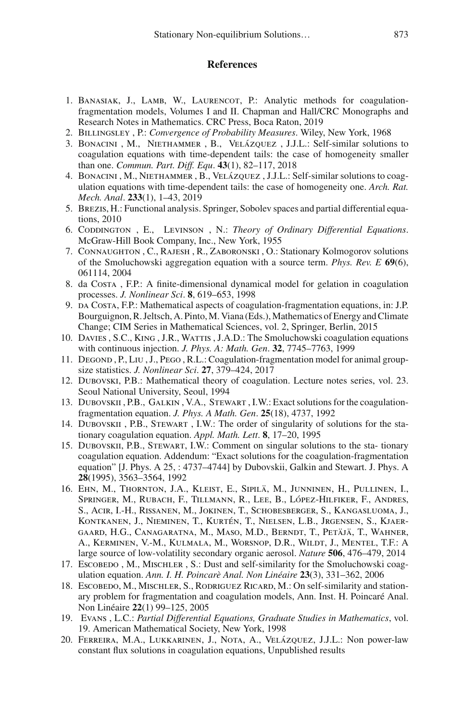## <span id="page-64-0"></span>**References**

- <span id="page-64-9"></span>1. BANASIAK, J., LAMB, W., LAURENCOT, P.: Analytic methods for coagulationfragmentation models, Volumes I and II. Chapman and Hall/CRC Monographs and Research Notes in Mathematics. CRC Press, Boca Raton, 2019
- <span id="page-64-15"></span>2. Billingsley , P.: *Convergence of Probability Measures*. Wiley, New York, 1968
- <span id="page-64-5"></span>3. Bonacini , M., Niethammer , B., Velázquez , J.J.L.: Self-similar solutions to coagulation equations with time-dependent tails: the case of homogeneity smaller than one. *Commun. Part. Diff. Equ*. **43**(1), 82–117, 2018
- <span id="page-64-6"></span>4. Bonacini , M., Niethammer , B., Velázquez , J.J.L.: Self-similar solutions to coagulation equations with time-dependent tails: the case of homogeneity one. *Arch. Rat. Mech. Anal*. **233**(1), 1–43, 2019
- <span id="page-64-14"></span>5. Brezis, H.: Functional analysis. Springer, Sobolev spaces and partial differential equations, 2010
- <span id="page-64-17"></span>6. CODDINGTON , E., LEVINSON , N.: *Theory of Ordinary Differential Equations*. McGraw-Hill Book Company, Inc., New York, 1955
- <span id="page-64-13"></span>7. Connaughton , C., Rajesh , R., Zaboronski , O.: Stationary Kolmogorov solutions of the Smoluchowski aggregation equation with a source term. *Phys. Rev. E* **69**(6), 061114, 2004
- <span id="page-64-16"></span>8. da Costa , F.P.: A finite-dimensional dynamical model for gelation in coagulation processes. *J. Nonlinear Sci*. **8**, 619–653, 1998
- <span id="page-64-2"></span>9. da Costa, F.P.: Mathematical aspects of coagulation-fragmentation equations, in: J.P. Bourguignon, R. Jeltsch, A. Pinto, M. Viana (Eds.), Mathematics of Energy and Climate Change; CIM Series in Mathematical Sciences, vol. 2, Springer, Berlin, 2015
- <span id="page-64-7"></span>10. DAVIES, S.C., KING, J.R., WATTIS, J.A.D.: The Smoluchowski coagulation equations with continuous injection. *J. Phys. A: Math. Gen*. **32**, 7745–7763, 1999
- <span id="page-64-10"></span>11. Degond , P., Liu , J., Pego , R.L.: Coagulation-fragmentation model for animal groupsize statistics. *J. Nonlinear Sci*. **27**, 379–424, 2017
- <span id="page-64-3"></span>12. Dubovski, P.B.: Mathematical theory of coagulation. Lecture notes series, vol. 23. Seoul National University, Seoul, 1994
- <span id="page-64-11"></span>13. DUBOVSKII, P.B., GALKIN, V.A., STEWART, I.W.: Exact solutions for the coagulationfragmentation equation. *J. Phys. A Math. Gen*. **25**(18), 4737, 1992
- 14. Dubovskii , P.B., Stewart , I.W.: The order of singularity of solutions for the stationary coagulation equation. *Appl. Math. Lett*. **8**, 17–20, 1995
- <span id="page-64-12"></span>15. Dubovskii, P.B., Stewart, I.W.: Comment on singular solutions to the sta- tionary coagulation equation. Addendum: "Exact solutions for the coagulation-fragmentation equation" [J. Phys. A 25, : 4737–4744] by Dubovskii, Galkin and Stewart. J. Phys. A **28**(1995), 3563–3564, 1992
- <span id="page-64-1"></span>16. Ehn, M., Thornton, J.A., Kleist, E., Sipilä, M., Junninen, H., Pullinen, I., Springer, M., Rubach, F., Tillmann, R., Lee, B., López-Hilfiker, F., Andres, S., Acir, I.-H., Rissanen, M., Jokinen, T., Schobesberger, S., Kangasluoma, J., Kontkanen, J., Nieminen, T., Kurtén, T., Nielsen, L.B., Jrgensen, S., Kjaergaard, H.G., Canagaratna, M., Maso, M.D., Berndt, T., Petäjä, T., Wahner, A., Kerminen, V.-M., Kulmala, M., Worsnop, D.R., Wildt, J., Mentel, T.F.: A large source of low-volatility secondary organic aerosol. *Nature* **506**, 476–479, 2014
- <span id="page-64-8"></span>17. Escobedo, M., Mischler, S.: Dust and self-similarity for the Smoluchowski coagulation equation. *Ann. I. H. Poincarè Anal. Non Linéaire* **23**(3), 331–362, 2006
- <span id="page-64-4"></span>18. Escobedo, M., Mischler, S., Rodriguez Ricard, M.: On self-similarity and stationary problem for fragmentation and coagulation models, Ann. Inst. H. Poincaré Anal. Non Linéaire **22**(1) 99–125, 2005
- <span id="page-64-18"></span>19. Evans , L.C.: *Partial Differential Equations, Graduate Studies in Mathematics*, vol. 19. American Mathematical Society, New York, 1998
- <span id="page-64-19"></span>20. Ferreira, M.A., Lukkarinen, J., Nota, A., Velázquez, J.J.L.: Non power-law constant flux solutions in coagulation equations, Unpublished results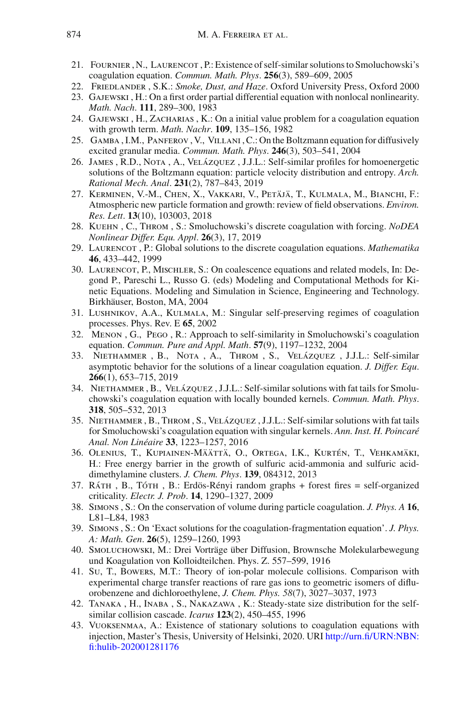- <span id="page-65-5"></span>21. FOURNIER, N., LAURENCOT, P.: Existence of self-similar solutions to Smoluchowski's coagulation equation. *Commun. Math. Phys*. **256**(3), 589–609, 2005
- <span id="page-65-0"></span>22. Friedlander , S.K.: *Smoke, Dust, and Haze*. Oxford University Press, Oxford 2000
- <span id="page-65-12"></span>23. Gajewski , H.: On a first order partial differential equation with nonlocal nonlinearity. *Math. Nach*. **111**, 289–300, 1983
- <span id="page-65-13"></span>24. Gajewski , H., Zacharias , K.: On a initial value problem for a coagulation equation with growth term. *Math. Nachr*. **109**, 135–156, 1982
- <span id="page-65-8"></span>25. Gamba , I.M., Panferov , V., Villani , C.: On the Boltzmann equation for diffusively excited granular media. *Commun. Math. Phys*. **246**(3), 503–541, 2004
- <span id="page-65-9"></span>26. James , R.D., Nota , A., Velázquez , J.J.L.: Self-similar profiles for homoenergetic solutions of the Boltzmann equation: particle velocity distribution and entropy. *Arch. Rational Mech. Anal*. **231**(2), 787–843, 2019
- <span id="page-65-2"></span>27. Kerminen, V.-M., Chen, X., Vakkari, V., Petäjä, T., Kulmala, M., Bianchi, F.: Atmospheric new particle formation and growth: review of field observations. *Environ. Res. Lett*. **13**(10), 103003, 2018
- <span id="page-65-14"></span>28. Kuehn , C., Throm , S.: Smoluchowski's discrete coagulation with forcing. *NoDEA Nonlinear Differ. Equ. Appl*. **26**(3), 17, 2019
- <span id="page-65-21"></span>29. Laurencot , P.: Global solutions to the discrete coagulation equations. *Mathematika* **46**, 433–442, 1999
- <span id="page-65-3"></span>30. Laurencot, P., Mischler, S.: On coalescence equations and related models, In: Degond P., Pareschi L., Russo G. (eds) Modeling and Computational Methods for Kinetic Equations. Modeling and Simulation in Science, Engineering and Technology. Birkhäuser, Boston, MA, 2004
- <span id="page-65-11"></span>31. Lushnikov, A.A., Kulmala, M.: Singular self-preserving regimes of coagulation processes. Phys. Rev. E **65**, 2002
- <span id="page-65-4"></span>32. Menon , G., Pego , R.: Approach to self-similarity in Smoluchowski's coagulation equation. *Commun. Pure and Appl. Math*. **57**(9), 1197–1232, 2004
- <span id="page-65-10"></span>33. Niethammer , B., Nota , A., Throm , S., Velázquez , J.J.L.: Self-similar asymptotic behavior for the solutions of a linear coagulation equation. *J. Differ. Equ*. **266**(1), 653–715, 2019
- <span id="page-65-6"></span>34. Niethammer , B., Velázquez , J.J.L.: Self-similar solutions with fat tails for Smoluchowski's coagulation equation with locally bounded kernels. *Commun. Math. Phys*. **318**, 505–532, 2013
- <span id="page-65-7"></span>35. Niethammer , B., Throm , S., Velázquez , J.J.L.: Self-similar solutions with fat tails for Smoluchowski's coagulation equation with singular kernels. *Ann. Inst. H. Poincaré Anal. Non Linéaire* **33**, 1223–1257, 2016
- <span id="page-65-1"></span>36. Olenius, T., Kupiainen-Määttä, O., Ortega, I.K., Kurtén, T., Vehkamäki, H.: Free energy barrier in the growth of sulfuric acid-ammonia and sulfuric aciddimethylamine clusters. *J. Chem. Phys*. **139**, 084312, 2013
- <span id="page-65-22"></span>37. Ráth , B., Tóth , B.: Erdös-Rényi random graphs + forest fires = self-organized criticality. *Electr. J. Prob*. **14**, 1290–1327, 2009
- <span id="page-65-18"></span>38. Simons , S.: On the conservation of volume during particle coagulation. *J. Phys. A* **16**, L81–L84, 1983
- <span id="page-65-19"></span>39. Simons , S.: On 'Exact solutions for the coagulation-fragmentation equation'. *J. Phys. A: Math. Gen*. **26**(5), 1259–1260, 1993
- <span id="page-65-15"></span>40. Smoluchowski, M.: Drei Vorträge über Diffusion, Brownsche Molekularbewegung und Koagulation von Kolloidteilchen. Phys. Z. 557–599, 1916
- <span id="page-65-16"></span>41. Su, T., Bowers, M.T.: Theory of ion-polar molecule collisions. Comparison with experimental charge transfer reactions of rare gas ions to geometric isomers of difluorobenzene and dichloroethylene, *J. Chem. Phys. 58*(7), 3027–3037, 1973
- <span id="page-65-17"></span>42. Tanaka , H., Inaba , S., Nakazawa , K.: Steady-state size distribution for the selfsimilar collision cascade. *Icarus* **123**(2), 450–455, 1996
- <span id="page-65-20"></span>43. Vuoksenmaa, A.: Existence of stationary solutions to coagulation equations with injection, Master's Thesis, University of Helsinki, 2020. URI [http://urn.fi/URN:NBN:](http://urn.fi/URN:NBN:fi:hulib-202001281176) [fi:hulib-202001281176](http://urn.fi/URN:NBN:fi:hulib-202001281176)